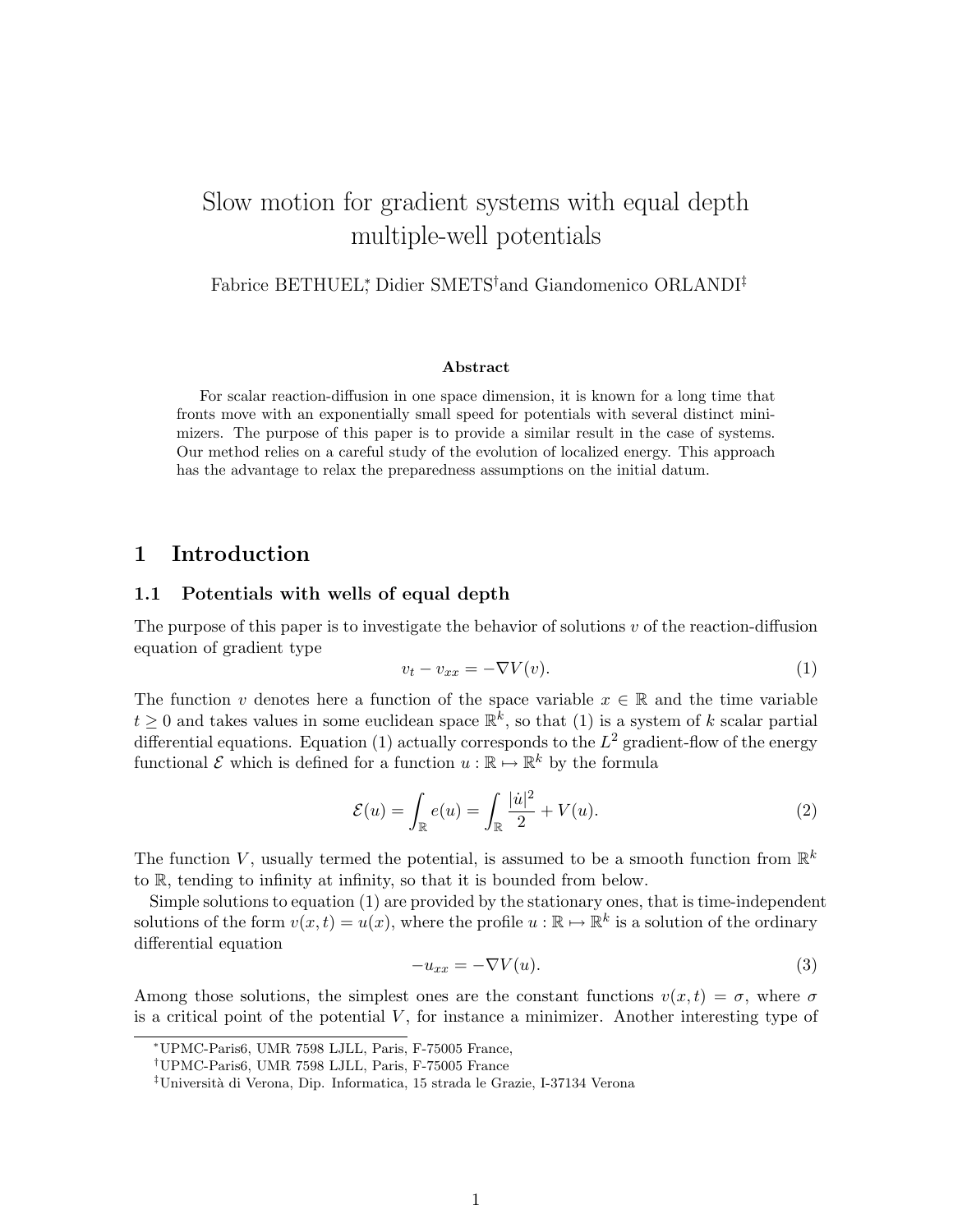# Slow motion for gradient systems with equal depth multiple-well potentials

Fabrice BETHUEL<sup>∗</sup> , Didier SMETS†and Giandomenico ORLANDI‡

#### Abstract

For scalar reaction-diffusion in one space dimension, it is known for a long time that fronts move with an exponentially small speed for potentials with several distinct minimizers. The purpose of this paper is to provide a similar result in the case of systems. Our method relies on a careful study of the evolution of localized energy. This approach has the advantage to relax the preparedness assumptions on the initial datum.

## 1 Introduction

### 1.1 Potentials with wells of equal depth

The purpose of this paper is to investigate the behavior of solutions  $v$  of the reaction-diffusion equation of gradient type

$$
v_t - v_{xx} = -\nabla V(v). \tag{1}
$$

The function v denotes here a function of the space variable  $x \in \mathbb{R}$  and the time variable  $t \geq 0$  and takes values in some euclidean space  $\mathbb{R}^k$ , so that (1) is a system of k scalar partial differential equations. Equation (1) actually corresponds to the  $L^2$  gradient-flow of the energy functional  $\mathcal E$  which is defined for a function  $u : \mathbb R \to \mathbb R^k$  by the formula

$$
\mathcal{E}(u) = \int_{\mathbb{R}} e(u) = \int_{\mathbb{R}} \frac{|\dot{u}|^2}{2} + V(u). \tag{2}
$$

The function V, usually termed the potential, is assumed to be a smooth function from  $\mathbb{R}^k$ to R, tending to infinity at infinity, so that it is bounded from below.

Simple solutions to equation (1) are provided by the stationary ones, that is time-independent solutions of the form  $v(x,t) = u(x)$ , where the profile  $u : \mathbb{R} \to \mathbb{R}^k$  is a solution of the ordinary differential equation

$$
-u_{xx} = -\nabla V(u). \tag{3}
$$

Among those solutions, the simplest ones are the constant functions  $v(x, t) = \sigma$ , where  $\sigma$ is a critical point of the potential  $V$ , for instance a minimizer. Another interesting type of

<sup>∗</sup>UPMC-Paris6, UMR 7598 LJLL, Paris, F-75005 France,

<sup>†</sup>UPMC-Paris6, UMR 7598 LJLL, Paris, F-75005 France

<sup>‡</sup>Universit`a di Verona, Dip. Informatica, 15 strada le Grazie, I-37134 Verona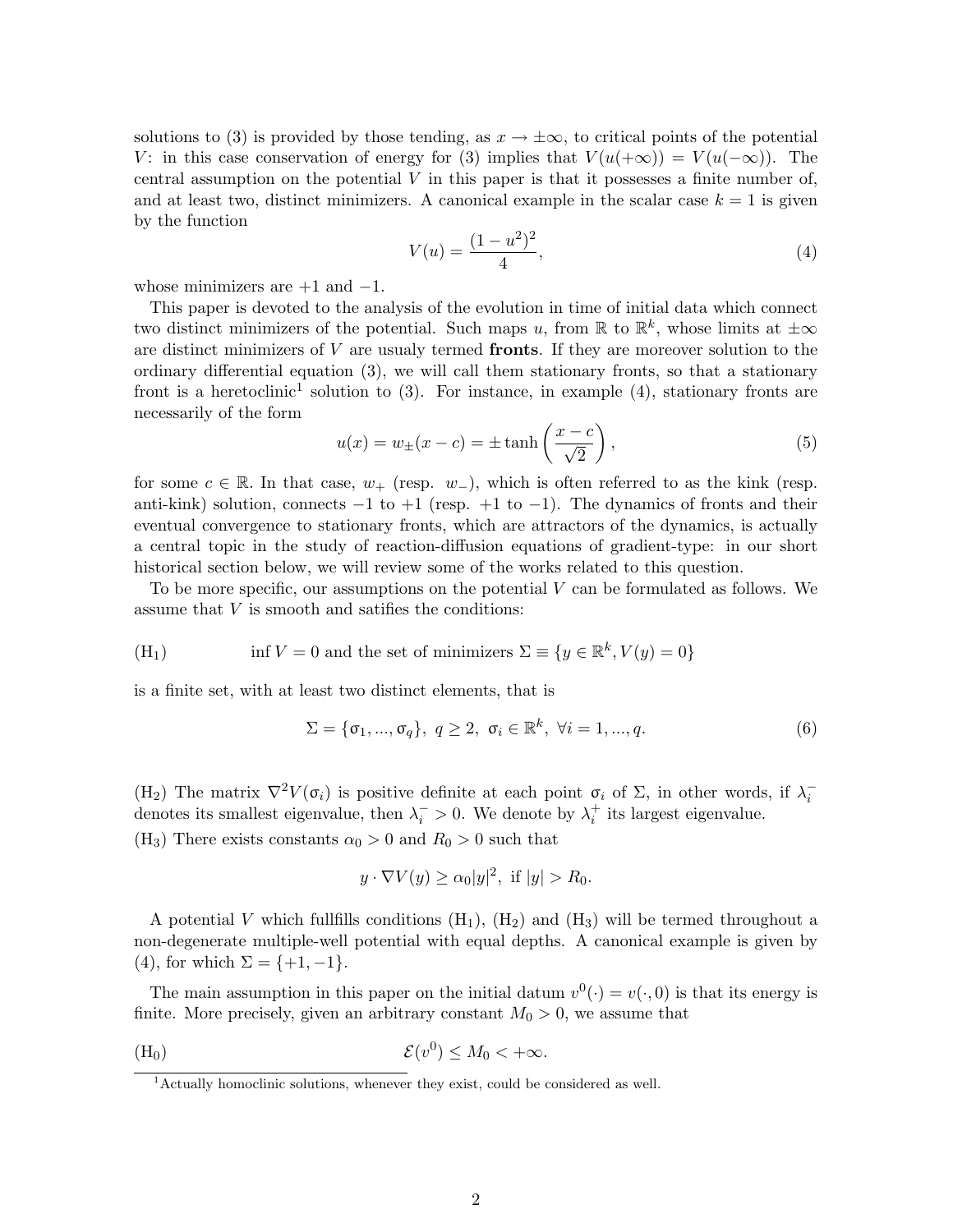solutions to (3) is provided by those tending, as  $x \to \pm \infty$ , to critical points of the potential V: in this case conservation of energy for (3) implies that  $V(u(+\infty)) = V(u(-\infty))$ . The central assumption on the potential  $V$  in this paper is that it possesses a finite number of, and at least two, distinct minimizers. A canonical example in the scalar case  $k = 1$  is given by the function

$$
V(u) = \frac{(1 - u^2)^2}{4},\tag{4}
$$

whose minimizers are  $+1$  and  $-1$ .

This paper is devoted to the analysis of the evolution in time of initial data which connect two distinct minimizers of the potential. Such maps u, from  $\mathbb{R}$  to  $\mathbb{R}^k$ , whose limits at  $\pm \infty$ are distinct minimizers of  $V$  are usualy termed **fronts**. If they are moreover solution to the ordinary differential equation (3), we will call them stationary fronts, so that a stationary front is a heretoclinic<sup>1</sup> solution to  $(3)$ . For instance, in example  $(4)$ , stationary fronts are necessarily of the form

$$
u(x) = w_{\pm}(x - c) = \pm \tanh\left(\frac{x - c}{\sqrt{2}}\right),\tag{5}
$$

for some  $c \in \mathbb{R}$ . In that case,  $w_+$  (resp.  $w_-$ ), which is often referred to as the kink (resp. anti-kink) solution, connects  $-1$  to  $+1$  (resp.  $+1$  to  $-1$ ). The dynamics of fronts and their eventual convergence to stationary fronts, which are attractors of the dynamics, is actually a central topic in the study of reaction-diffusion equations of gradient-type: in our short historical section below, we will review some of the works related to this question.

To be more specific, our assumptions on the potential  $V$  can be formulated as follows. We assume that V is smooth and satifies the conditions:

(H<sub>1</sub>) inf 
$$
V = 0
$$
 and the set of minimizers  $\Sigma \equiv \{y \in \mathbb{R}^k, V(y) = 0\}$ 

is a finite set, with at least two distinct elements, that is

$$
\Sigma = \{\sigma_1, ..., \sigma_q\}, \ q \ge 2, \ \sigma_i \in \mathbb{R}^k, \ \forall i = 1, ..., q.
$$
 (6)

(H<sub>2</sub>) The matrix  $\nabla^2 V(\sigma_i)$  is positive definite at each point  $\sigma_i$  of  $\Sigma$ , in other words, if  $\lambda_i^$ denotes its smallest eigenvalue, then  $\lambda_i$  > 0. We denote by  $\lambda_i^+$  its largest eigenvalue. (H<sub>3</sub>) There exists constants  $\alpha_0 > 0$  and  $R_0 > 0$  such that

$$
y \cdot \nabla V(y) \ge \alpha_0 |y|^2, \text{ if } |y| > R_0.
$$

A potential V which fullfills conditions  $(H_1)$ ,  $(H_2)$  and  $(H_3)$  will be termed throughout a non-degenerate multiple-well potential with equal depths. A canonical example is given by (4), for which  $\Sigma = \{+1, -1\}.$ 

The main assumption in this paper on the initial datum  $v^0(\cdot) = v(\cdot, 0)$  is that its energy is finite. More precisely, given an arbitrary constant  $M_0 > 0$ , we assume that

$$
(\mathrm{H}_0) \qquad \qquad \mathcal{E}(v^0) \le M_0 < +\infty.
$$

 $1$ Actually homoclinic solutions, whenever they exist, could be considered as well.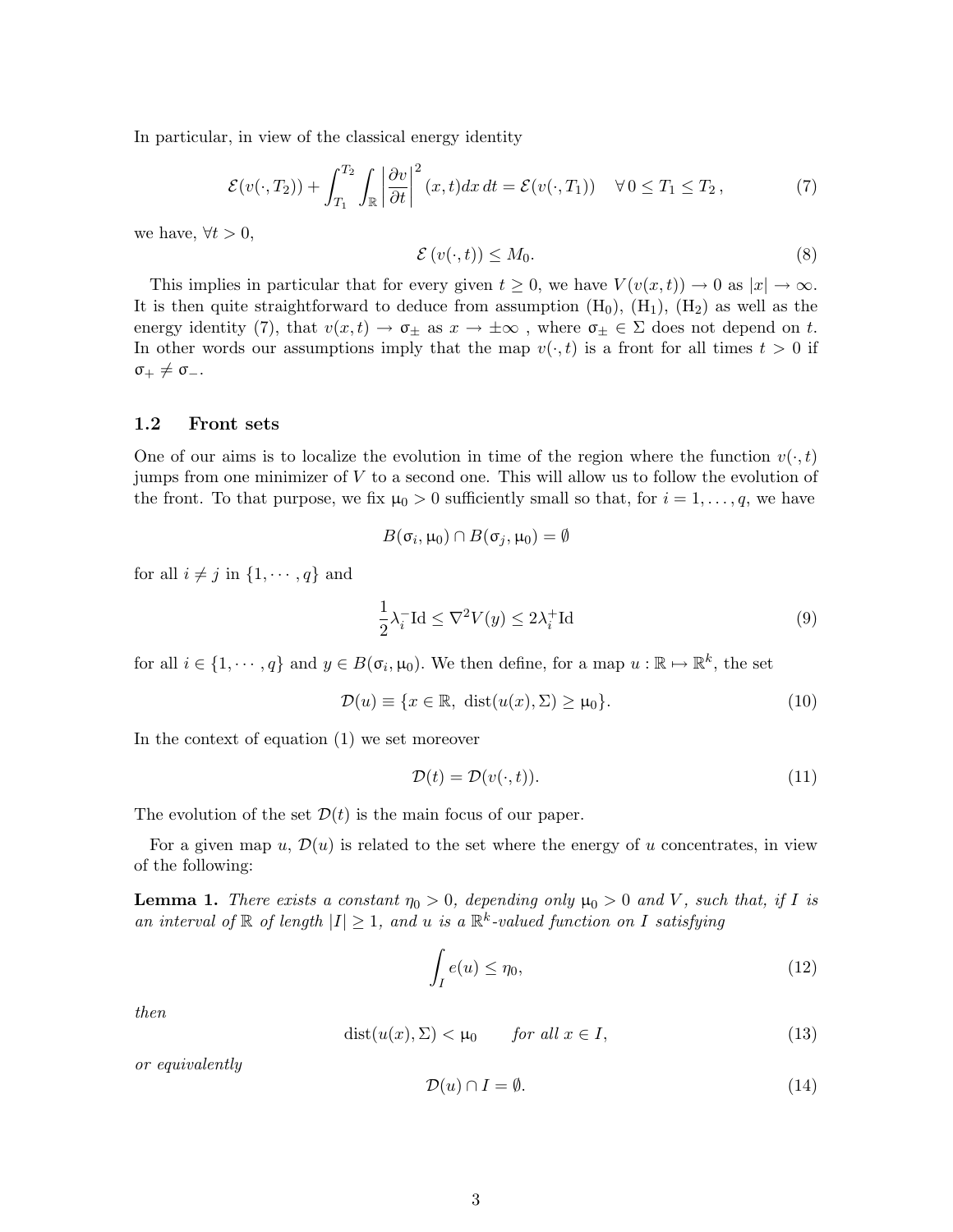In particular, in view of the classical energy identity

$$
\mathcal{E}(v(\cdot,T_2)) + \int_{T_1}^{T_2} \int_{\mathbb{R}} \left| \frac{\partial v}{\partial t} \right|^2 (x,t) dx dt = \mathcal{E}(v(\cdot,T_1)) \quad \forall \, 0 \le T_1 \le T_2 \,, \tag{7}
$$

we have,  $\forall t > 0$ ,

$$
\mathcal{E}\left(v(\cdot,t)\right) \le M_0. \tag{8}
$$

This implies in particular that for every given  $t \geq 0$ , we have  $V(v(x, t)) \to 0$  as  $|x| \to \infty$ . It is then quite straightforward to deduce from assumption  $(H_0)$ ,  $(H_1)$ ,  $(H_2)$  as well as the energy identity (7), that  $v(x, t) \to \sigma_{\pm}$  as  $x \to \pm \infty$ , where  $\sigma_{\pm} \in \Sigma$  does not depend on t. In other words our assumptions imply that the map  $v(\cdot, t)$  is a front for all times  $t > 0$  if  $\sigma_+ \neq \sigma_-$ .

#### 1.2 Front sets

One of our aims is to localize the evolution in time of the region where the function  $v(\cdot, t)$ jumps from one minimizer of V to a second one. This will allow us to follow the evolution of the front. To that purpose, we fix  $\mu_0 > 0$  sufficiently small so that, for  $i = 1, \ldots, q$ , we have

$$
B(\sigma_i, \mu_0) \cap B(\sigma_j, \mu_0) = \emptyset
$$

for all  $i \neq j$  in  $\{1, \dots, q\}$  and

$$
\frac{1}{2}\lambda_i^- \mathrm{Id} \le \nabla^2 V(y) \le 2\lambda_i^+ \mathrm{Id} \tag{9}
$$

for all  $i \in \{1, \dots, q\}$  and  $y \in B(\sigma_i, \mu_0)$ . We then define, for a map  $u : \mathbb{R} \mapsto \mathbb{R}^k$ , the set

$$
\mathcal{D}(u) \equiv \{x \in \mathbb{R}, \ \text{dist}(u(x), \Sigma) \ge \mu_0\}.
$$
\n(10)

In the context of equation (1) we set moreover

$$
\mathcal{D}(t) = \mathcal{D}(v(\cdot, t)).\tag{11}
$$

The evolution of the set  $\mathcal{D}(t)$  is the main focus of our paper.

For a given map u,  $\mathcal{D}(u)$  is related to the set where the energy of u concentrates, in view of the following:

**Lemma 1.** There exists a constant  $\eta_0 > 0$ , depending only  $\mu_0 > 0$  and V, such that, if I is an interval of  $\mathbb R$  of length  $|I| \geq 1$ , and u is a  $\mathbb R^k$ -valued function on I satisfying

$$
\int_{I} e(u) \le \eta_0,\tag{12}
$$

then

$$
dist(u(x), \Sigma) < \mu_0 \qquad \text{for all } x \in I,\tag{13}
$$

or equivalently

$$
\mathcal{D}(u) \cap I = \emptyset. \tag{14}
$$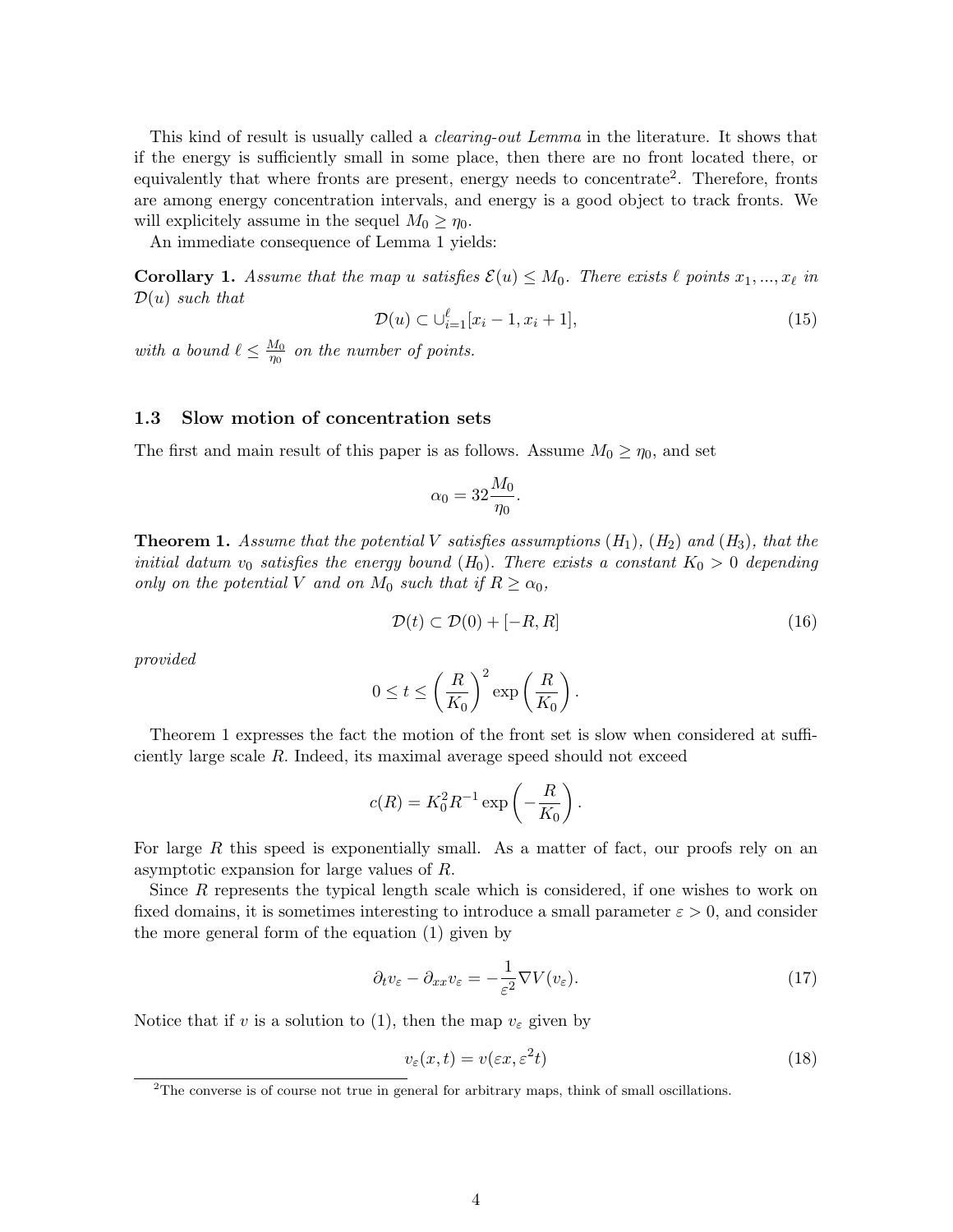This kind of result is usually called a clearing-out Lemma in the literature. It shows that if the energy is sufficiently small in some place, then there are no front located there, or equivalently that where fronts are present, energy needs to concentrate<sup>2</sup>. Therefore, fronts are among energy concentration intervals, and energy is a good object to track fronts. We will explicitely assume in the sequel  $M_0 \ge \eta_0$ .

An immediate consequence of Lemma 1 yields:

**Corollary 1.** Assume that the map u satisfies  $\mathcal{E}(u) \leq M_0$ . There exists  $\ell$  points  $x_1, ..., x_\ell$  in  $\mathcal{D}(u)$  such that

$$
\mathcal{D}(u) \subset \bigcup_{i=1}^{\ell} [x_i - 1, x_i + 1],\tag{15}
$$

with a bound  $\ell \leq \frac{M_0}{n_0}$  $\frac{M_0}{n_0}$  on the number of points.

#### 1.3 Slow motion of concentration sets

The first and main result of this paper is as follows. Assume  $M_0 \ge \eta_0$ , and set

$$
\alpha_0 = 32 \frac{M_0}{\eta_0}.
$$

**Theorem 1.** Assume that the potential V satisfies assumptions  $(H_1)$ ,  $(H_2)$  and  $(H_3)$ , that the initial datum  $v_0$  satisfies the energy bound  $(H_0)$ . There exists a constant  $K_0 > 0$  depending only on the potential V and on  $M_0$  such that if  $R \ge \alpha_0$ ,

$$
\mathcal{D}(t) \subset \mathcal{D}(0) + [-R, R] \tag{16}
$$

provided

$$
0 \le t \le \left(\frac{R}{K_0}\right)^2 \exp\left(\frac{R}{K_0}\right).
$$

Theorem 1 expresses the fact the motion of the front set is slow when considered at sufficiently large scale R. Indeed, its maximal average speed should not exceed

$$
c(R) = K_0^2 R^{-1} \exp\left(-\frac{R}{K_0}\right).
$$

For large R this speed is exponentially small. As a matter of fact, our proofs rely on an asymptotic expansion for large values of R.

Since  $R$  represents the typical length scale which is considered, if one wishes to work on fixed domains, it is sometimes interesting to introduce a small parameter  $\varepsilon > 0$ , and consider the more general form of the equation (1) given by

$$
\partial_t v_{\varepsilon} - \partial_{xx} v_{\varepsilon} = -\frac{1}{\varepsilon^2} \nabla V(v_{\varepsilon}).\tag{17}
$$

Notice that if v is a solution to (1), then the map  $v_{\varepsilon}$  given by

$$
v_{\varepsilon}(x,t) = v(\varepsilon x, \varepsilon^2 t) \tag{18}
$$

<sup>&</sup>lt;sup>2</sup>The converse is of course not true in general for arbitrary maps, think of small oscillations.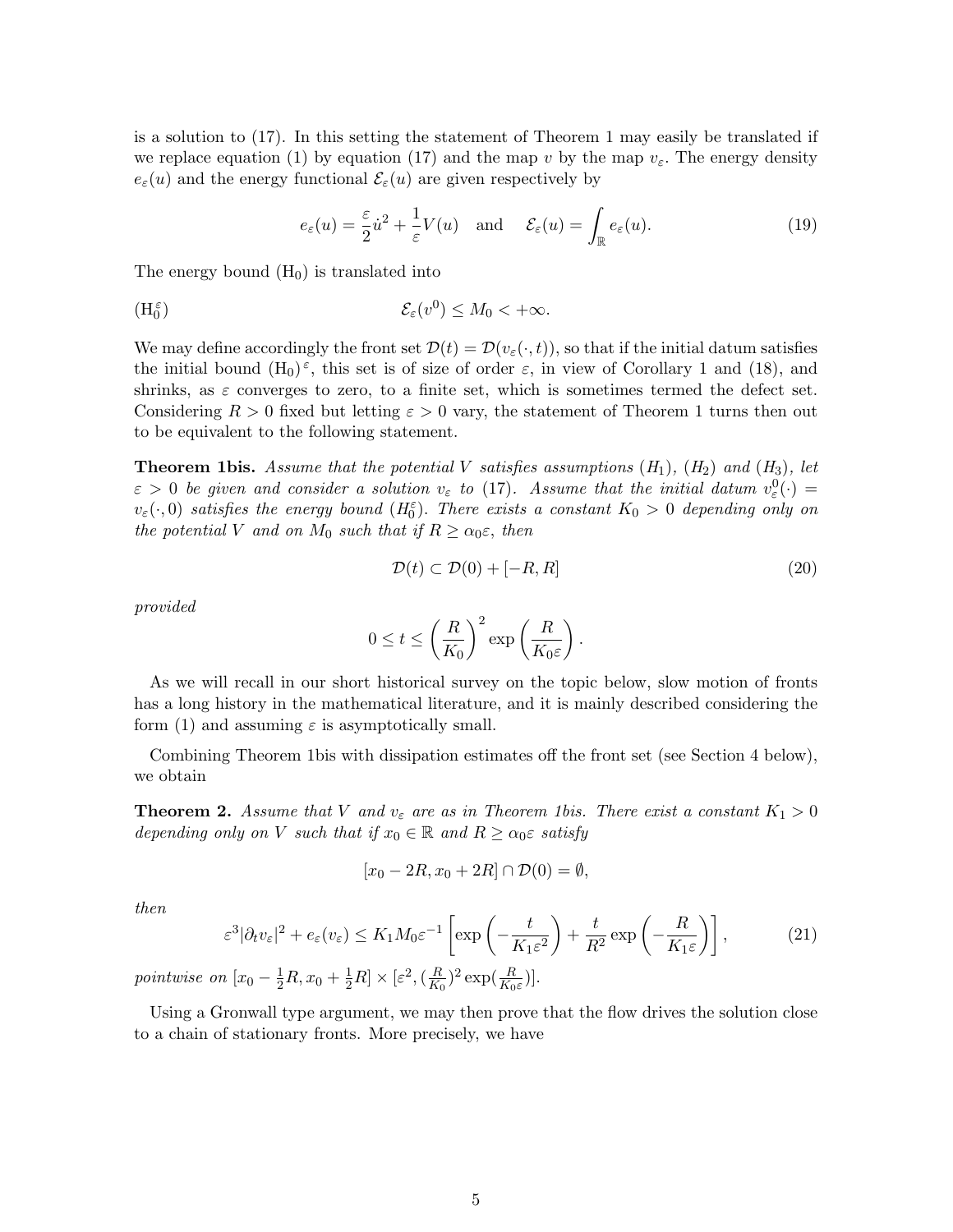is a solution to (17). In this setting the statement of Theorem 1 may easily be translated if we replace equation (1) by equation (17) and the map v by the map  $v_{\varepsilon}$ . The energy density  $e_{\varepsilon}(u)$  and the energy functional  $\mathcal{E}_{\varepsilon}(u)$  are given respectively by

$$
e_{\varepsilon}(u) = \frac{\varepsilon}{2}\dot{u}^2 + \frac{1}{\varepsilon}V(u) \quad \text{and} \quad \mathcal{E}_{\varepsilon}(u) = \int_{\mathbb{R}} e_{\varepsilon}(u). \tag{19}
$$

The energy bound  $(H_0)$  is translated into

$$
(\mathcal{H}_0^{\varepsilon}) \qquad \qquad \mathcal{E}_{\varepsilon}(v^0) \le M_0 < +\infty.
$$

We may define accordingly the front set  $\mathcal{D}(t) = \mathcal{D}(v_{\varepsilon}(\cdot,t))$ , so that if the initial datum satisfies the initial bound  $(H_0)^\varepsilon$ , this set is of size of order  $\varepsilon$ , in view of Corollary 1 and (18), and shrinks, as  $\varepsilon$  converges to zero, to a finite set, which is sometimes termed the defect set. Considering  $R > 0$  fixed but letting  $\varepsilon > 0$  vary, the statement of Theorem 1 turns then out to be equivalent to the following statement.

**Theorem 1bis.** Assume that the potential V satisfies assumptions  $(H_1)$ ,  $(H_2)$  and  $(H_3)$ , let  $\varepsilon > 0$  be given and consider a solution  $v_{\varepsilon}$  to (17). Assume that the initial datum  $v_{\varepsilon}^{0}(\cdot) =$  $v_{\varepsilon}(\cdot,0)$  satisfies the energy bound  $(H_0^{\varepsilon})$ . There exists a constant  $K_0 > 0$  depending only on the potential V and on  $M_0$  such that if  $R \ge \alpha_0 \varepsilon$ , then

$$
\mathcal{D}(t) \subset \mathcal{D}(0) + [-R, R] \tag{20}
$$

provided

$$
0 \le t \le \left(\frac{R}{K_0}\right)^2 \exp\left(\frac{R}{K_0 \varepsilon}\right).
$$

As we will recall in our short historical survey on the topic below, slow motion of fronts has a long history in the mathematical literature, and it is mainly described considering the form (1) and assuming  $\varepsilon$  is asymptotically small.

Combining Theorem 1bis with dissipation estimates off the front set (see Section 4 below), we obtain

**Theorem 2.** Assume that V and  $v_{\varepsilon}$  are as in Theorem 1bis. There exist a constant  $K_1 > 0$ depending only on V such that if  $x_0 \in \mathbb{R}$  and  $R \ge \alpha_0 \varepsilon$  satisfy

$$
[x_0 - 2R, x_0 + 2R] \cap \mathcal{D}(0) = \emptyset,
$$

then

$$
\varepsilon^3 |\partial_t v_\varepsilon|^2 + e_\varepsilon(v_\varepsilon) \le K_1 M_0 \varepsilon^{-1} \left[ \exp\left( -\frac{t}{K_1 \varepsilon^2} \right) + \frac{t}{R^2} \exp\left( -\frac{R}{K_1 \varepsilon} \right) \right],\tag{21}
$$

pointwise on  $[x_0 - \frac{1}{2}R, x_0 + \frac{1}{2}R] \times [\varepsilon^2, (\frac{R}{K_0})]$  $(\frac{R}{K_0})^2 \exp(\frac{R}{K_0 \varepsilon})].$ 

Using a Gronwall type argument, we may then prove that the flow drives the solution close to a chain of stationary fronts. More precisely, we have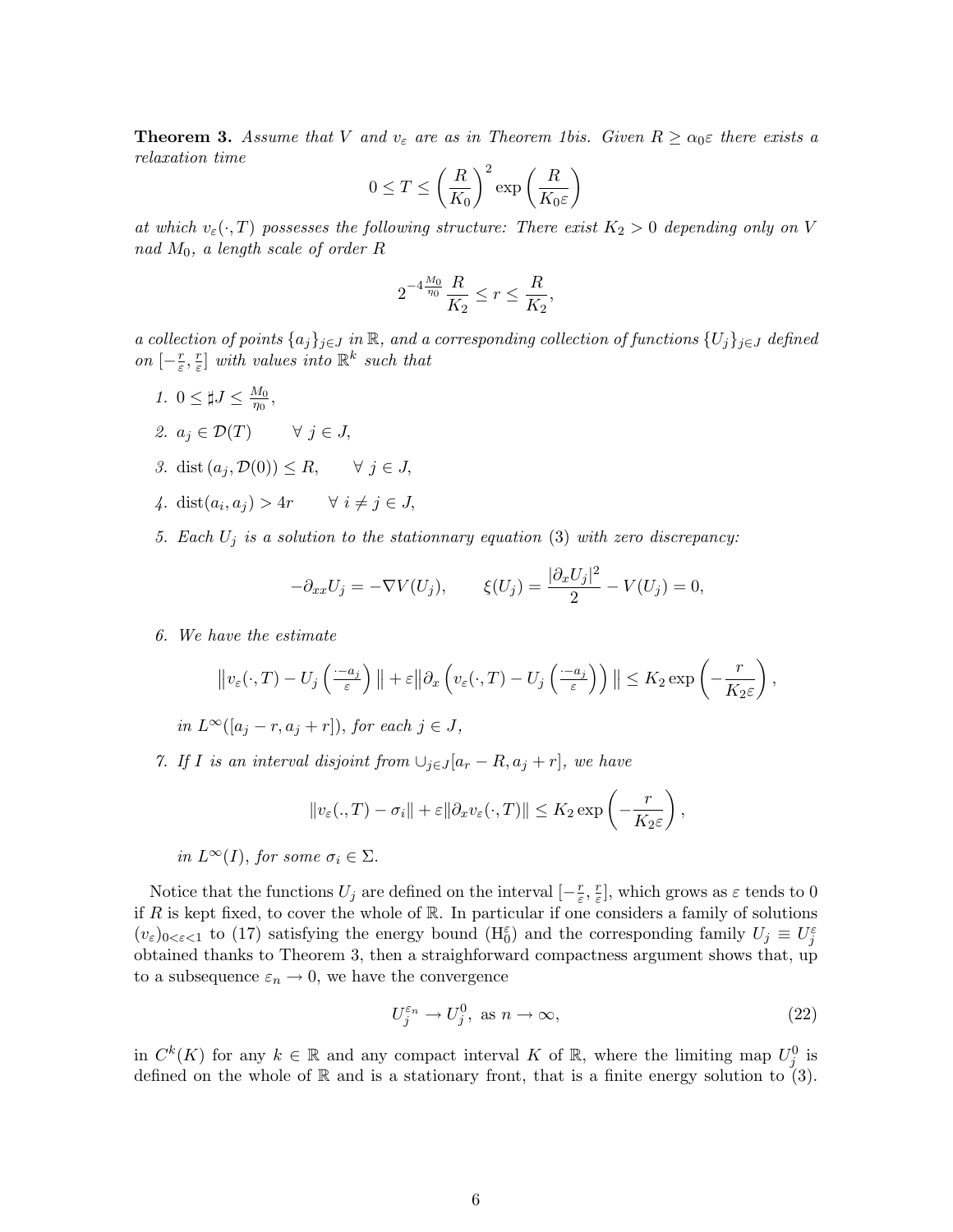**Theorem 3.** Assume that V and  $v_{\varepsilon}$  are as in Theorem 1bis. Given  $R \ge \alpha_0 \varepsilon$  there exists a relaxation time

$$
0 \le T \le \left(\frac{R}{K_0}\right)^2 \exp\left(\frac{R}{K_0 \varepsilon}\right)
$$

at which  $v_{\varepsilon}(\cdot, T)$  possesses the following structure: There exist  $K_2 > 0$  depending only on V nad  $M_0$ , a length scale of order R

$$
2^{-4\frac{M_0}{\eta_0}}\frac{R}{K_2} \le r \le \frac{R}{K_2},
$$

a collection of points  $\{a_j\}_{j\in J}$  in  $\mathbb R$ , and a corresponding collection of functions  $\{U_j\}_{j\in J}$  defined on  $\left[-\frac{r}{\varepsilon}\right]$  $\frac{r}{\varepsilon}, \frac{r}{\varepsilon}$  $\left[\frac{r}{\varepsilon}\right]$  with values into  $\mathbb{R}^k$  such that

- 1.  $0 \leq \sharp J \leq \frac{M_0}{n_0}$  $\frac{M_0}{\eta_0},$
- 2.  $a_j \in \mathcal{D}(T) \quad \forall j \in J$ ,
- 3. dist  $(a_j, \mathcal{D}(0)) \leq R$ ,  $\forall j \in J$ ,
- 4. dist $(a_i, a_j) > 4r$   $\forall i \neq j \in J$ ,
- 5. Each  $U_j$  is a solution to the stationnary equation (3) with zero discrepancy:

$$
-\partial_{xx}U_j = -\nabla V(U_j), \qquad \xi(U_j) = \frac{|\partial_x U_j|^2}{2} - V(U_j) = 0,
$$

6. We have the estimate

$$
\|v_{\varepsilon}(\cdot,T)-U_j\left(\frac{-a_j}{\varepsilon}\right)\|+\varepsilon\|\partial_x\left(v_{\varepsilon}(\cdot,T)-U_j\left(\frac{-a_j}{\varepsilon}\right)\right)\|\leq K_2\exp\left(-\frac{r}{K_2\varepsilon}\right),
$$

in  $L^{\infty}([a_i - r, a_i + r])$ , for each  $j \in J$ ,

7. If I is an interval disjoint from  $\bigcup_{j\in J}[a_r - R, a_j + r]$ , we have

$$
||v_{\varepsilon}(.,T)-\sigma_i||+\varepsilon||\partial_x v_{\varepsilon}(\cdot,T)||\leq K_2\exp\left(-\frac{r}{K_2\varepsilon}\right),
$$

in  $L^{\infty}(I)$ , for some  $\sigma_i \in \Sigma$ .

Notice that the functions  $U_j$  are defined on the interval  $\left[-\frac{r}{\epsilon}\right]$  $\frac{r}{\varepsilon}, \frac{r}{\varepsilon}$  $\frac{r}{\varepsilon}$ , which grows as  $\varepsilon$  tends to 0 if R is kept fixed, to cover the whole of  $\mathbb R$ . In particular if one considers a family of solutions  $(v_{\varepsilon})_{0<\varepsilon<1}$  to (17) satisfying the energy bound  $(H_0^{\varepsilon})$  and the corresponding family  $U_j\equiv U_j^{\varepsilon}$ obtained thanks to Theorem 3, then a straighforward compactness argument shows that, up to a subsequence  $\varepsilon_n \to 0$ , we have the convergence

$$
U_j^{\varepsilon_n} \to U_j^0, \text{ as } n \to \infty,
$$
\n(22)

in  $C^k(K)$  for any  $k \in \mathbb{R}$  and any compact interval K of  $\mathbb{R}$ , where the limiting map  $U_j^0$  is defined on the whole of  $\mathbb R$  and is a stationary front, that is a finite energy solution to (3).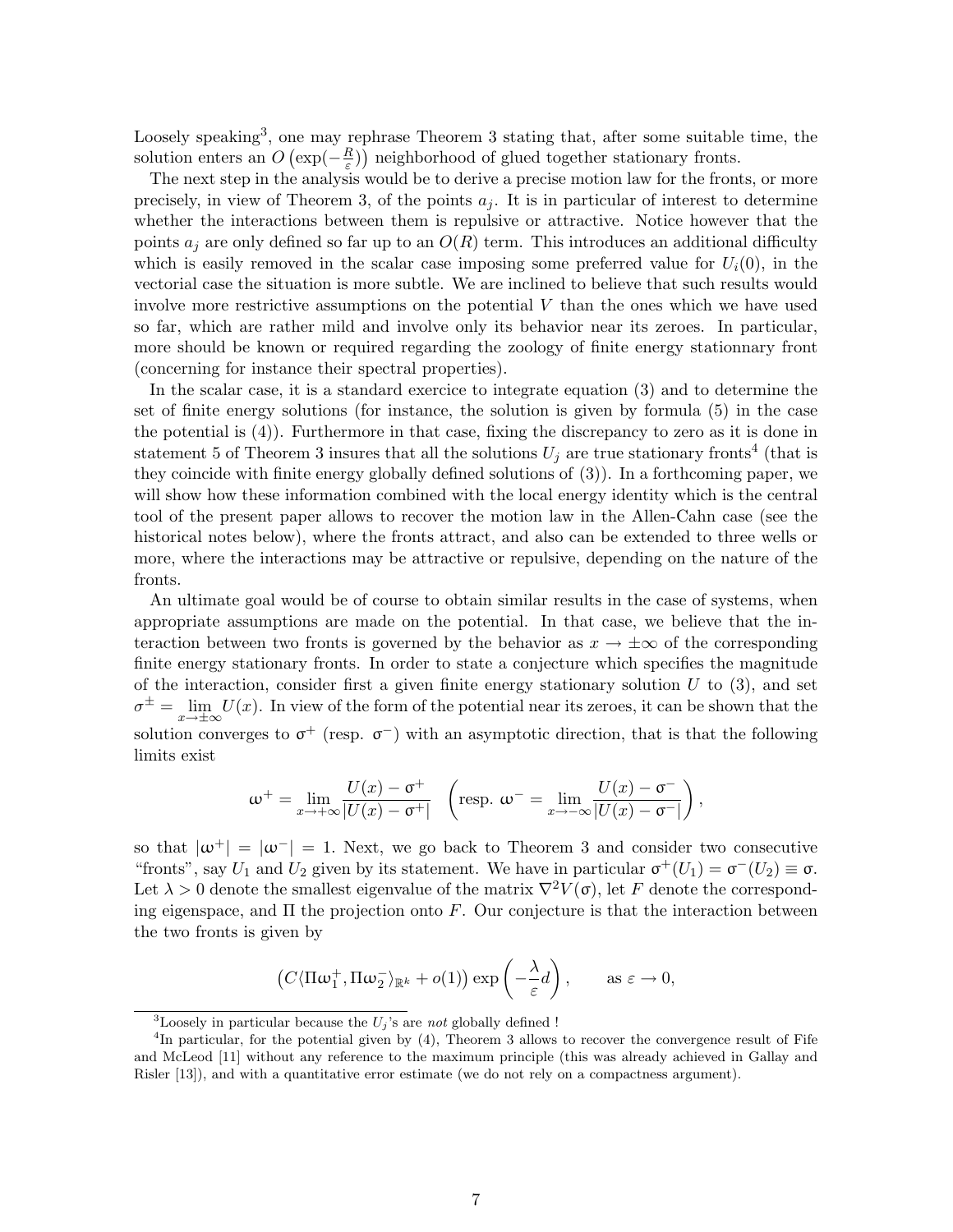Loosely speaking<sup>3</sup>, one may rephrase Theorem 3 stating that, after some suitable time, the solution enters an  $O\left(\exp(-\frac{R}{\varepsilon})\right)$  $(\frac{R}{\varepsilon})$ ) neighborhood of glued together stationary fronts.

The next step in the analysis would be to derive a precise motion law for the fronts, or more precisely, in view of Theorem 3, of the points  $a_i$ . It is in particular of interest to determine whether the interactions between them is repulsive or attractive. Notice however that the points  $a_i$  are only defined so far up to an  $O(R)$  term. This introduces an additional difficulty which is easily removed in the scalar case imposing some preferred value for  $U_i(0)$ , in the vectorial case the situation is more subtle. We are inclined to believe that such results would involve more restrictive assumptions on the potential  $V$  than the ones which we have used so far, which are rather mild and involve only its behavior near its zeroes. In particular, more should be known or required regarding the zoology of finite energy stationnary front (concerning for instance their spectral properties).

In the scalar case, it is a standard exercice to integrate equation (3) and to determine the set of finite energy solutions (for instance, the solution is given by formula (5) in the case the potential is (4)). Furthermore in that case, fixing the discrepancy to zero as it is done in statement 5 of Theorem 3 insures that all the solutions  $U_j$  are true stationary fronts<sup>4</sup> (that is they coincide with finite energy globally defined solutions of (3)). In a forthcoming paper, we will show how these information combined with the local energy identity which is the central tool of the present paper allows to recover the motion law in the Allen-Cahn case (see the historical notes below), where the fronts attract, and also can be extended to three wells or more, where the interactions may be attractive or repulsive, depending on the nature of the fronts.

An ultimate goal would be of course to obtain similar results in the case of systems, when appropriate assumptions are made on the potential. In that case, we believe that the interaction between two fronts is governed by the behavior as  $x \to \pm \infty$  of the corresponding finite energy stationary fronts. In order to state a conjecture which specifies the magnitude of the interaction, consider first a given finite energy stationary solution  $U$  to  $(3)$ , and set  $\sigma^{\pm} = \lim_{x \to \pm \infty} U(x)$ . In view of the form of the potential near its zeroes, it can be shown that the solution converges to  $\sigma^+$  (resp.  $\sigma^-$ ) with an asymptotic direction, that is that the following limits exist

$$
\omega^+ = \lim_{x \to +\infty} \frac{U(x) - \sigma^+}{|U(x) - \sigma^+|} \quad \left(\text{resp. } \omega^- = \lim_{x \to -\infty} \frac{U(x) - \sigma^-}{|U(x) - \sigma^-|}\right),
$$

so that  $|\omega^+| = |\omega^-| = 1$ . Next, we go back to Theorem 3 and consider two consecutive "fronts", say  $U_1$  and  $U_2$  given by its statement. We have in particular  $\sigma^+(U_1) = \sigma^-(U_2) \equiv \sigma$ . Let  $\lambda > 0$  denote the smallest eigenvalue of the matrix  $\nabla^2 V(\sigma)$ , let F denote the corresponding eigenspace, and  $\Pi$  the projection onto F. Our conjecture is that the interaction between the two fronts is given by

$$
(C\langle \Pi \omega_1^+, \Pi \omega_2^- \rangle_{\mathbb{R}^k} + o(1)) \exp \left(-\frac{\lambda}{\varepsilon}d\right), \quad \text{as } \varepsilon \to 0,
$$

<sup>&</sup>lt;sup>3</sup>Loosely in particular because the  $U_j$ 's are not globally defined !

<sup>&</sup>lt;sup>4</sup>In particular, for the potential given by (4), Theorem 3 allows to recover the convergence result of Fife and McLeod [11] without any reference to the maximum principle (this was already achieved in Gallay and Risler [13]), and with a quantitative error estimate (we do not rely on a compactness argument).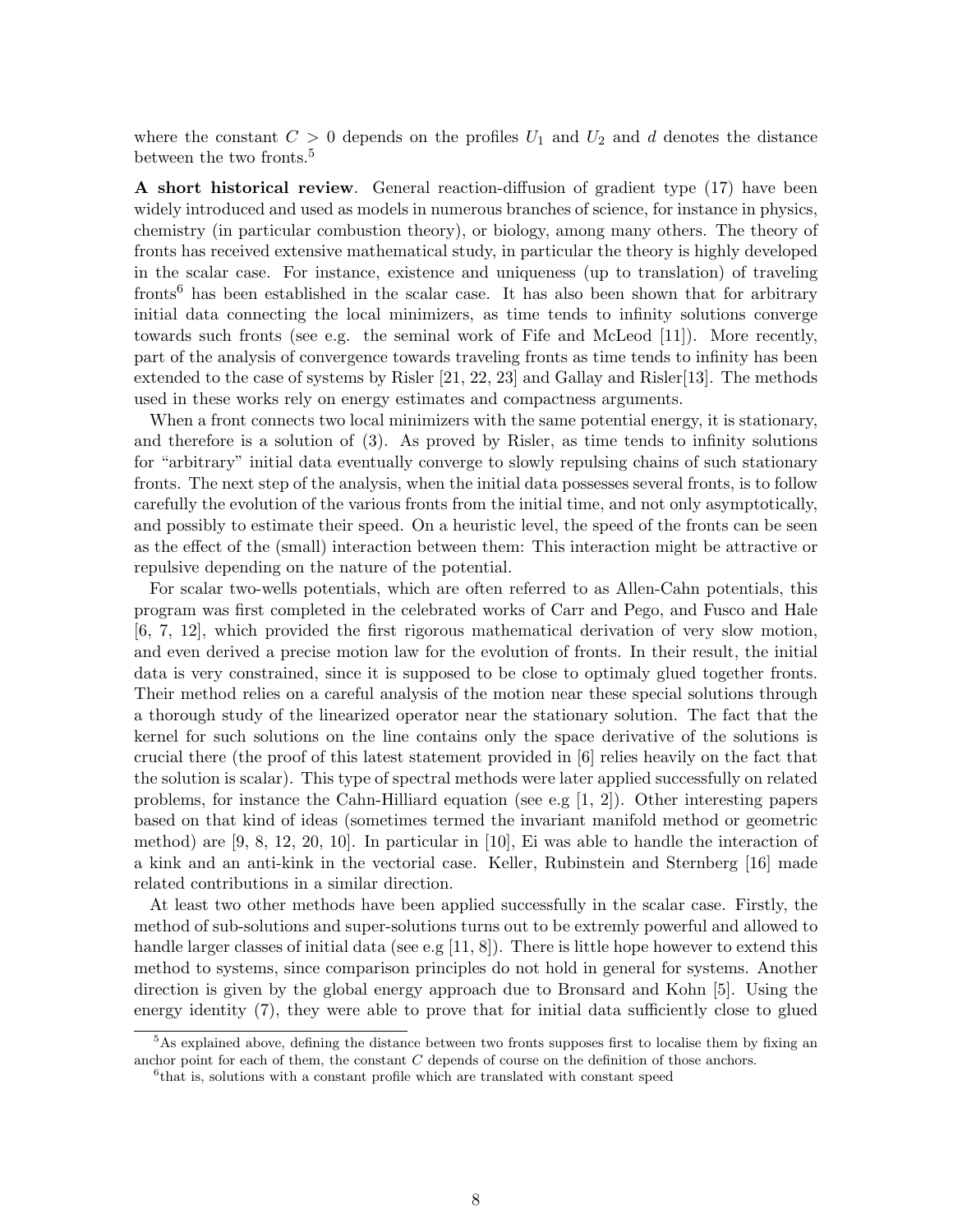where the constant  $C > 0$  depends on the profiles  $U_1$  and  $U_2$  and d denotes the distance between the two fronts.<sup>5</sup>

A short historical review. General reaction-diffusion of gradient type (17) have been widely introduced and used as models in numerous branches of science, for instance in physics, chemistry (in particular combustion theory), or biology, among many others. The theory of fronts has received extensive mathematical study, in particular the theory is highly developed in the scalar case. For instance, existence and uniqueness (up to translation) of traveling fronts<sup>6</sup> has been established in the scalar case. It has also been shown that for arbitrary initial data connecting the local minimizers, as time tends to infinity solutions converge towards such fronts (see e.g. the seminal work of Fife and McLeod [11]). More recently, part of the analysis of convergence towards traveling fronts as time tends to infinity has been extended to the case of systems by Risler [21, 22, 23] and Gallay and Risler[13]. The methods used in these works rely on energy estimates and compactness arguments.

When a front connects two local minimizers with the same potential energy, it is stationary, and therefore is a solution of (3). As proved by Risler, as time tends to infinity solutions for "arbitrary" initial data eventually converge to slowly repulsing chains of such stationary fronts. The next step of the analysis, when the initial data possesses several fronts, is to follow carefully the evolution of the various fronts from the initial time, and not only asymptotically, and possibly to estimate their speed. On a heuristic level, the speed of the fronts can be seen as the effect of the (small) interaction between them: This interaction might be attractive or repulsive depending on the nature of the potential.

For scalar two-wells potentials, which are often referred to as Allen-Cahn potentials, this program was first completed in the celebrated works of Carr and Pego, and Fusco and Hale [6, 7, 12], which provided the first rigorous mathematical derivation of very slow motion, and even derived a precise motion law for the evolution of fronts. In their result, the initial data is very constrained, since it is supposed to be close to optimaly glued together fronts. Their method relies on a careful analysis of the motion near these special solutions through a thorough study of the linearized operator near the stationary solution. The fact that the kernel for such solutions on the line contains only the space derivative of the solutions is crucial there (the proof of this latest statement provided in [6] relies heavily on the fact that the solution is scalar). This type of spectral methods were later applied successfully on related problems, for instance the Cahn-Hilliard equation (see e.g  $[1, 2]$ ). Other interesting papers based on that kind of ideas (sometimes termed the invariant manifold method or geometric method) are [9, 8, 12, 20, 10]. In particular in [10], Ei was able to handle the interaction of a kink and an anti-kink in the vectorial case. Keller, Rubinstein and Sternberg [16] made related contributions in a similar direction.

At least two other methods have been applied successfully in the scalar case. Firstly, the method of sub-solutions and super-solutions turns out to be extremly powerful and allowed to handle larger classes of initial data (see e.g [11, 8]). There is little hope however to extend this method to systems, since comparison principles do not hold in general for systems. Another direction is given by the global energy approach due to Bronsard and Kohn [5]. Using the energy identity (7), they were able to prove that for initial data sufficiently close to glued

 $5$ As explained above, defining the distance between two fronts supposes first to localise them by fixing an anchor point for each of them, the constant C depends of course on the definition of those anchors.

<sup>&</sup>lt;sup>6</sup> that is, solutions with a constant profile which are translated with constant speed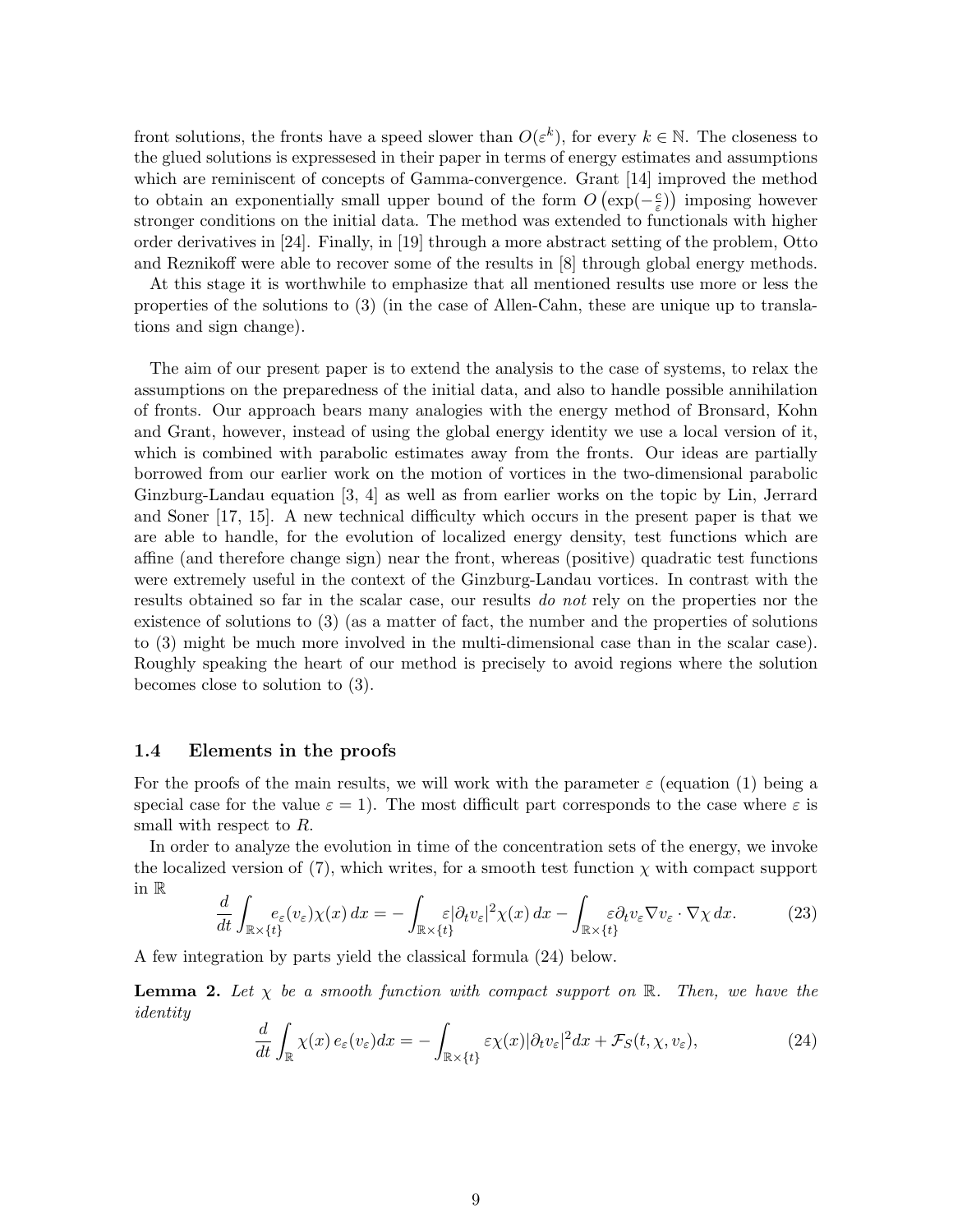front solutions, the fronts have a speed slower than  $O(\varepsilon^k)$ , for every  $k \in \mathbb{N}$ . The closeness to the glued solutions is expressesed in their paper in terms of energy estimates and assumptions which are reminiscent of concepts of Gamma-convergence. Grant [14] improved the method to obtain an exponentially small upper bound of the form  $O(\exp(-\frac{c}{\epsilon}))$  $(\frac{c}{\varepsilon})$  imposing however stronger conditions on the initial data. The method was extended to functionals with higher order derivatives in [24]. Finally, in [19] through a more abstract setting of the problem, Otto and Reznikoff were able to recover some of the results in [8] through global energy methods.

At this stage it is worthwhile to emphasize that all mentioned results use more or less the properties of the solutions to (3) (in the case of Allen-Cahn, these are unique up to translations and sign change).

The aim of our present paper is to extend the analysis to the case of systems, to relax the assumptions on the preparedness of the initial data, and also to handle possible annihilation of fronts. Our approach bears many analogies with the energy method of Bronsard, Kohn and Grant, however, instead of using the global energy identity we use a local version of it, which is combined with parabolic estimates away from the fronts. Our ideas are partially borrowed from our earlier work on the motion of vortices in the two-dimensional parabolic Ginzburg-Landau equation [3, 4] as well as from earlier works on the topic by Lin, Jerrard and Soner [17, 15]. A new technical difficulty which occurs in the present paper is that we are able to handle, for the evolution of localized energy density, test functions which are affine (and therefore change sign) near the front, whereas (positive) quadratic test functions were extremely useful in the context of the Ginzburg-Landau vortices. In contrast with the results obtained so far in the scalar case, our results do not rely on the properties nor the existence of solutions to (3) (as a matter of fact, the number and the properties of solutions to (3) might be much more involved in the multi-dimensional case than in the scalar case). Roughly speaking the heart of our method is precisely to avoid regions where the solution becomes close to solution to (3).

#### 1.4 Elements in the proofs

For the proofs of the main results, we will work with the parameter  $\varepsilon$  (equation (1) being a special case for the value  $\varepsilon = 1$ . The most difficult part corresponds to the case where  $\varepsilon$  is small with respect to R.

In order to analyze the evolution in time of the concentration sets of the energy, we invoke the localized version of (7), which writes, for a smooth test function  $\chi$  with compact support in R

$$
\frac{d}{dt} \int_{\mathbb{R} \times \{t\}} e_{\varepsilon}(v_{\varepsilon}) \chi(x) \, dx = - \int_{\mathbb{R} \times \{t\}} \varepsilon |\partial_t v_{\varepsilon}|^2 \chi(x) \, dx - \int_{\mathbb{R} \times \{t\}} \varepsilon \partial_t v_{\varepsilon} \nabla v_{\varepsilon} \cdot \nabla \chi \, dx. \tag{23}
$$

A few integration by parts yield the classical formula (24) below.

**Lemma 2.** Let  $\chi$  be a smooth function with compact support on  $\mathbb{R}$ . Then, we have the identity

$$
\frac{d}{dt} \int_{\mathbb{R}} \chi(x) \, e_{\varepsilon}(v_{\varepsilon}) dx = - \int_{\mathbb{R} \times \{t\}} \varepsilon \chi(x) |\partial_t v_{\varepsilon}|^2 dx + \mathcal{F}_S(t, \chi, v_{\varepsilon}), \tag{24}
$$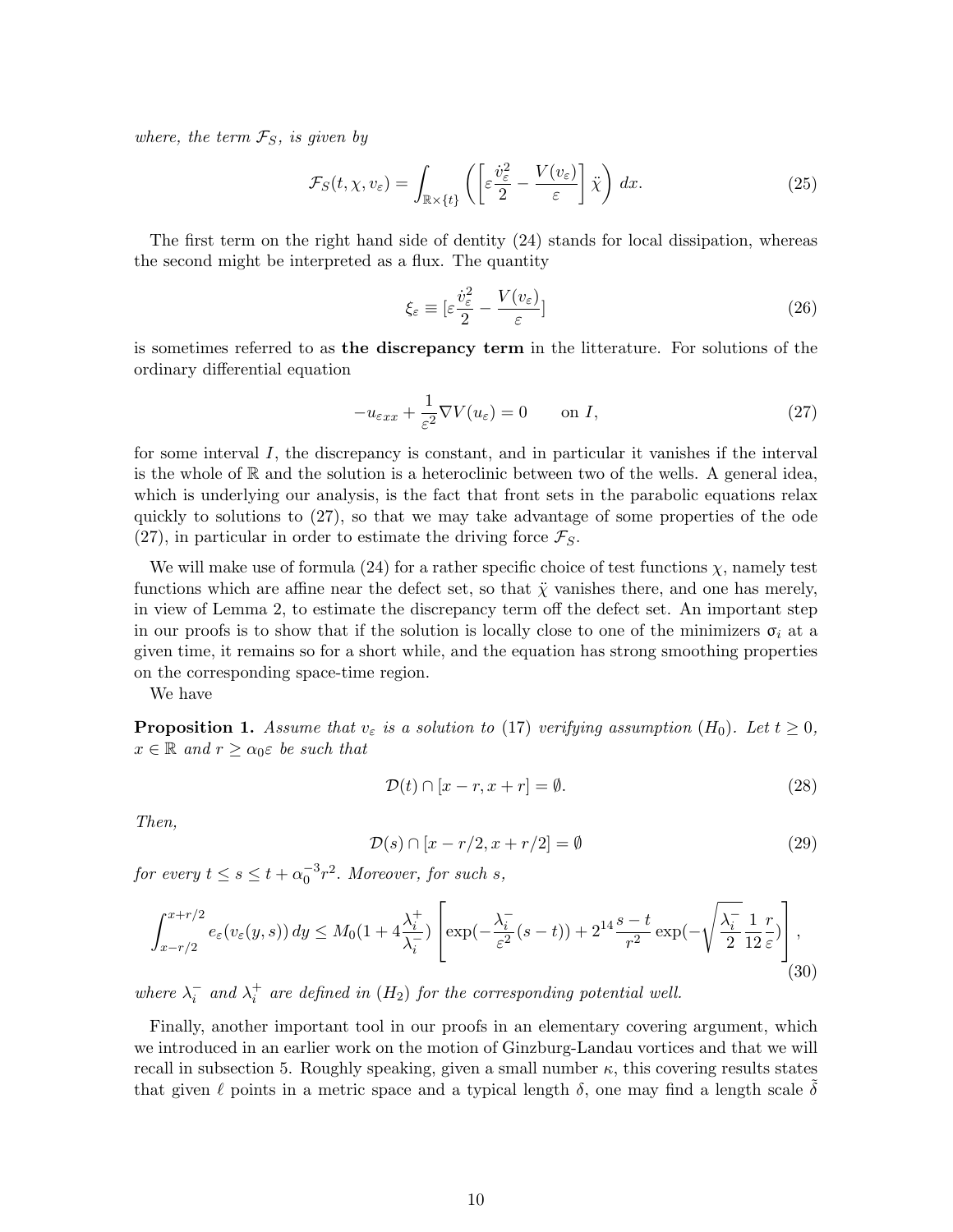where, the term  $\mathcal{F}_S$ , is given by

$$
\mathcal{F}_S(t, \chi, v_\varepsilon) = \int_{\mathbb{R} \times \{t\}} \left( \left[ \varepsilon \frac{\dot{v}_\varepsilon^2}{2} - \frac{V(v_\varepsilon)}{\varepsilon} \right] \ddot{\chi} \right) dx. \tag{25}
$$

The first term on the right hand side of dentity (24) stands for local dissipation, whereas the second might be interpreted as a flux. The quantity

$$
\xi_{\varepsilon} \equiv \left[ \varepsilon \frac{\dot{v}_{\varepsilon}^2}{2} - \frac{V(v_{\varepsilon})}{\varepsilon} \right]
$$
\n(26)

is sometimes referred to as the discrepancy term in the litterature. For solutions of the ordinary differential equation

$$
-u_{\varepsilon xx} + \frac{1}{\varepsilon^2} \nabla V(u_{\varepsilon}) = 0 \qquad \text{on } I,
$$
\n(27)

for some interval I, the discrepancy is constant, and in particular it vanishes if the interval is the whole of  $\mathbb R$  and the solution is a heteroclinic between two of the wells. A general idea, which is underlying our analysis, is the fact that front sets in the parabolic equations relax quickly to solutions to (27), so that we may take advantage of some properties of the ode (27), in particular in order to estimate the driving force  $\mathcal{F}_S$ .

We will make use of formula (24) for a rather specific choice of test functions  $\chi$ , namely test functions which are affine near the defect set, so that  $\ddot{\chi}$  vanishes there, and one has merely, in view of Lemma 2, to estimate the discrepancy term off the defect set. An important step in our proofs is to show that if the solution is locally close to one of the minimizers  $\sigma_i$  at a given time, it remains so for a short while, and the equation has strong smoothing properties on the corresponding space-time region.

We have

**Proposition 1.** Assume that  $v_{\varepsilon}$  is a solution to (17) verifying assumption (H<sub>0</sub>). Let  $t \geq 0$ ,  $x \in \mathbb{R}$  and  $r \geq \alpha_0 \varepsilon$  be such that

$$
\mathcal{D}(t) \cap [x - r, x + r] = \emptyset. \tag{28}
$$

Then,

$$
\mathcal{D}(s) \cap [x - r/2, x + r/2] = \emptyset \tag{29}
$$

for every  $t \leq s \leq t + \alpha_0^{-3} r^2$ . Moreover, for such s,

$$
\int_{x-r/2}^{x+r/2} e_{\varepsilon}(v_{\varepsilon}(y,s)) dy \le M_0(1+4\frac{\lambda_i^+}{\lambda_i^-}) \left[ \exp(-\frac{\lambda_i^-}{\varepsilon^2}(s-t)) + 2^{14}\frac{s-t}{r^2} \exp(-\sqrt{\frac{\lambda_i^-}{2}}\frac{1}{12}\frac{r}{\varepsilon}) \right],
$$
\n(30)

where  $\lambda_i^-$  and  $\lambda_i^+$  are defined in  $(H_2)$  for the corresponding potential well.

Finally, another important tool in our proofs in an elementary covering argument, which we introduced in an earlier work on the motion of Ginzburg-Landau vortices and that we will recall in subsection 5. Roughly speaking, given a small number  $\kappa$ , this covering results states that given  $\ell$  points in a metric space and a typical length  $\delta$ , one may find a length scale  $\delta$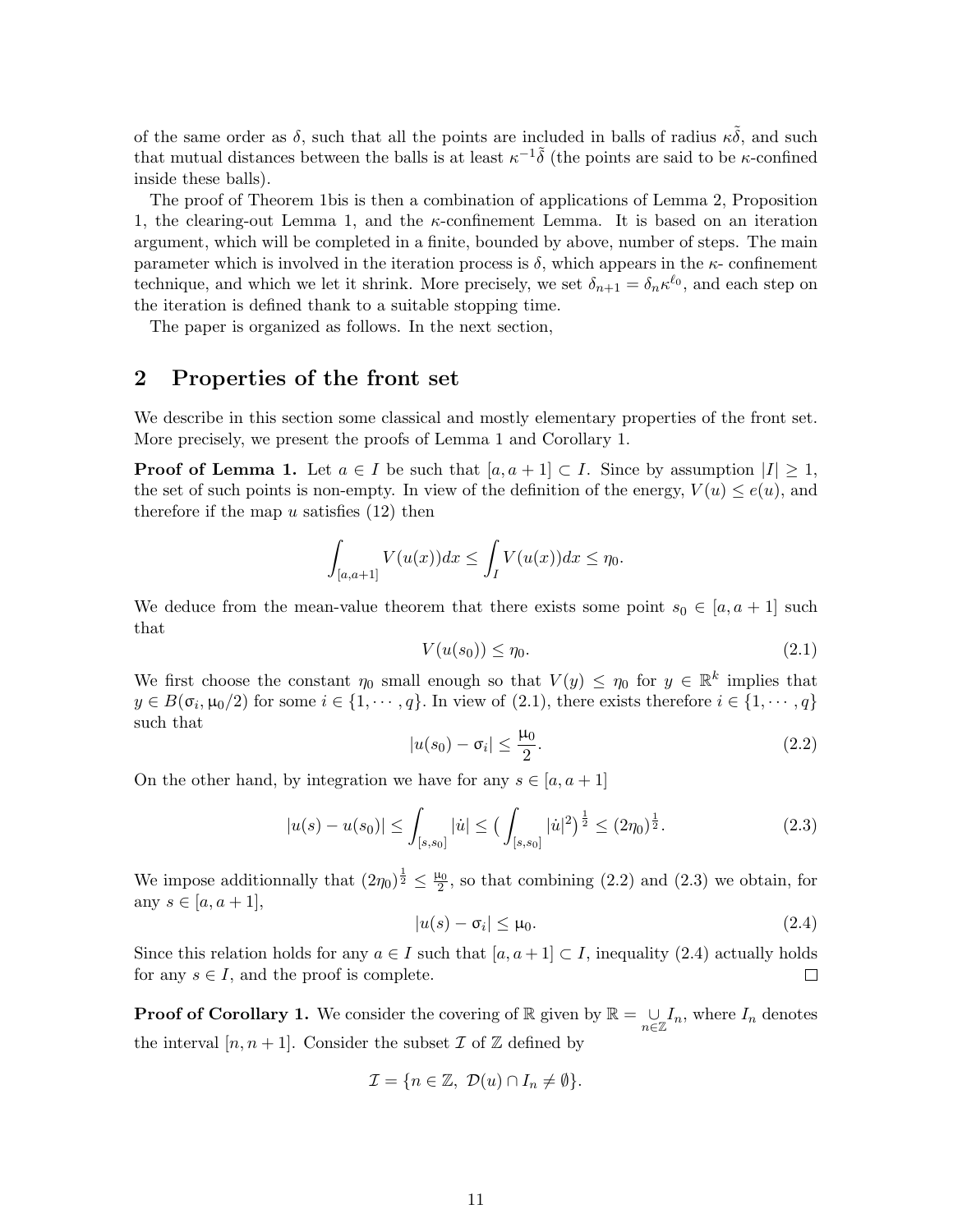of the same order as  $\delta$ , such that all the points are included in balls of radius  $\kappa \delta$ , and such that mutual distances between the balls is at least  $\kappa^{-1}\tilde{\delta}$  (the points are said to be  $\kappa$ -confined inside these balls).

The proof of Theorem 1bis is then a combination of applications of Lemma 2, Proposition 1, the clearing-out Lemma 1, and the  $\kappa$ -confinement Lemma. It is based on an iteration argument, which will be completed in a finite, bounded by above, number of steps. The main parameter which is involved in the iteration process is  $\delta$ , which appears in the  $\kappa$ - confinement technique, and which we let it shrink. More precisely, we set  $\delta_{n+1} = \delta_n \kappa^{\ell_0}$ , and each step on the iteration is defined thank to a suitable stopping time.

The paper is organized as follows. In the next section,

## 2 Properties of the front set

We describe in this section some classical and mostly elementary properties of the front set. More precisely, we present the proofs of Lemma 1 and Corollary 1.

**Proof of Lemma 1.** Let  $a \in I$  be such that  $[a, a + 1] \subset I$ . Since by assumption  $|I| \geq 1$ , the set of such points is non-empty. In view of the definition of the energy,  $V(u) \leq e(u)$ , and therefore if the map  $u$  satisfies  $(12)$  then

$$
\int_{[a,a+1]} V(u(x))dx \leq \int_I V(u(x))dx \leq \eta_0.
$$

We deduce from the mean-value theorem that there exists some point  $s_0 \in [a, a + 1]$  such that

$$
V(u(s_0)) \le \eta_0. \tag{2.1}
$$

We first choose the constant  $\eta_0$  small enough so that  $V(y) \leq \eta_0$  for  $y \in \mathbb{R}^k$  implies that  $y \in B(\sigma_i, \mu_0/2)$  for some  $i \in \{1, \dots, q\}$ . In view of  $(2.1)$ , there exists therefore  $i \in \{1, \dots, q\}$ such that

$$
|u(s_0) - \sigma_i| \le \frac{\mu_0}{2}.\tag{2.2}
$$

On the other hand, by integration we have for any  $s \in [a, a + 1]$ 

$$
|u(s) - u(s_0)| \le \int_{[s,s_0]} |u| \le \left(\int_{[s,s_0]} |u|^2\right)^{\frac{1}{2}} \le (2\eta_0)^{\frac{1}{2}}.
$$
 (2.3)

We impose additionnally that  $(2\eta_0)^{\frac{1}{2}} \leq \frac{\mu_0}{2}$ , so that combining  $(2.2)$  and  $(2.3)$  we obtain, for any  $s \in [a, a + 1]$ ,

$$
|u(s) - \sigma_i| \le \mu_0. \tag{2.4}
$$

Since this relation holds for any  $a \in I$  such that  $[a, a + 1] \subset I$ , inequality (2.4) actually holds for any  $s \in I$ , and the proof is complete.  $\Box$ 

**Proof of Corollary 1.** We consider the covering of R given by  $\mathbb{R} = \bigcup_{n \in \mathbb{Z}} I_n$ , where  $I_n$  denotes the interval  $[n, n+1]$ . Consider the subset  $\mathcal I$  of  $\mathbb Z$  defined by

$$
\mathcal{I} = \{ n \in \mathbb{Z}, \ \mathcal{D}(u) \cap I_n \neq \emptyset \}.
$$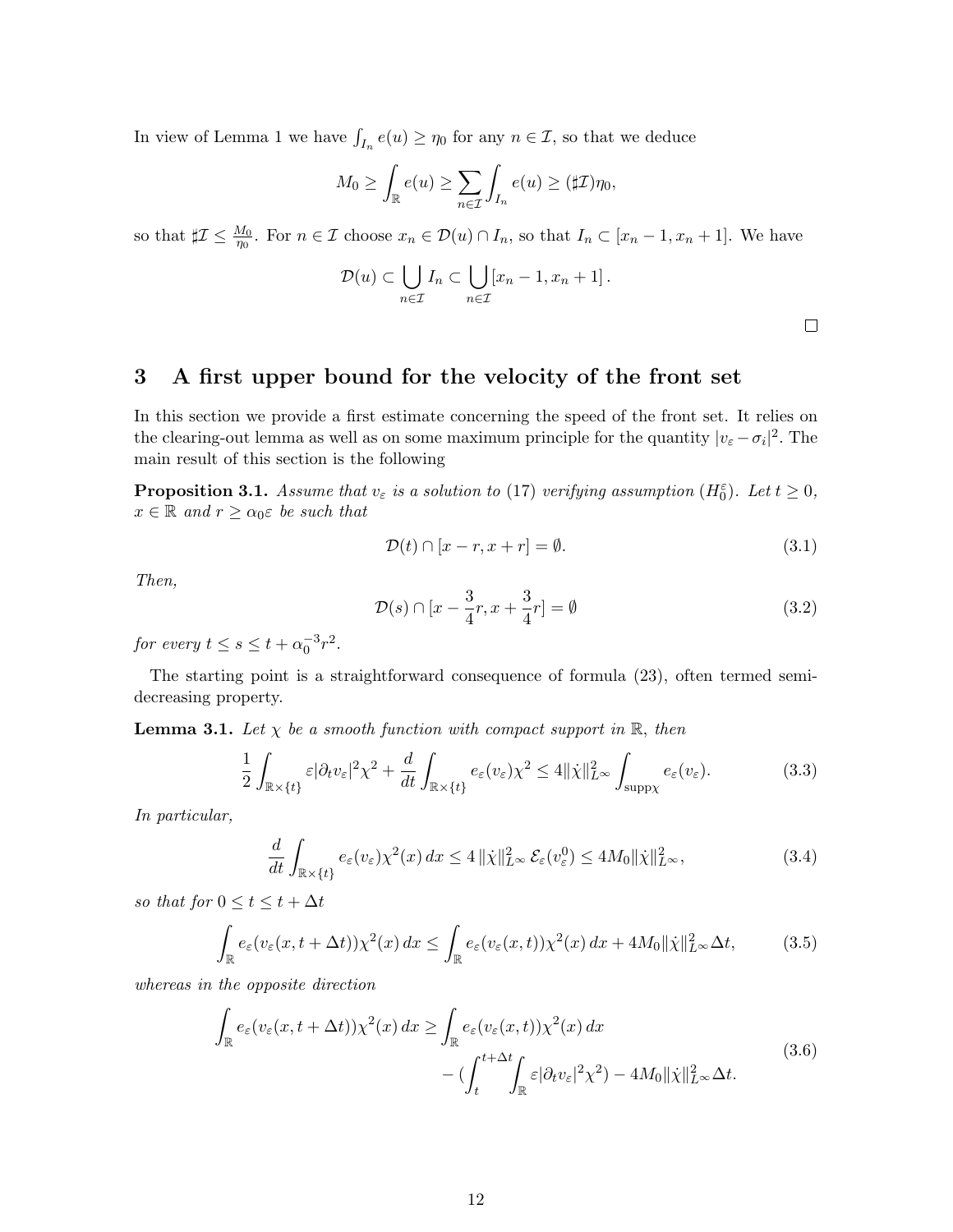In view of Lemma 1 we have  $\int_{I_n} e(u) \ge \eta_0$  for any  $n \in \mathcal{I}$ , so that we deduce

$$
M_0 \ge \int_{\mathbb{R}} e(u) \ge \sum_{n \in \mathcal{I}} \int_{I_n} e(u) \ge (\sharp \mathcal{I}) \eta_0,
$$

so that  $\sharp \mathcal{I} \leq \frac{M_0}{\eta_0}$ . For  $n \in \mathcal{I}$  choose  $x_n \in \mathcal{D}(u) \cap I_n$ , so that  $I_n \subset [x_n-1, x_n+1]$ . We have

$$
\mathcal{D}(u) \subset \bigcup_{n \in \mathcal{I}} I_n \subset \bigcup_{n \in \mathcal{I}} [x_n - 1, x_n + 1].
$$

 $\Box$ 

# 3 A first upper bound for the velocity of the front set

In this section we provide a first estimate concerning the speed of the front set. It relies on the clearing-out lemma as well as on some maximum principle for the quantity  $|v_{\varepsilon} - \sigma_i|^2$ . The main result of this section is the following

**Proposition 3.1.** Assume that  $v_{\varepsilon}$  is a solution to (17) verifying assumption ( $H_0^{\varepsilon}$ ). Let  $t \geq 0$ ,  $x \in \mathbb{R}$  and  $r \geq \alpha_0 \varepsilon$  be such that

$$
\mathcal{D}(t) \cap [x - r, x + r] = \emptyset. \tag{3.1}
$$

Then,

$$
\mathcal{D}(s) \cap [x - \frac{3}{4}r, x + \frac{3}{4}r] = \emptyset \tag{3.2}
$$

for every  $t \leq s \leq t + \alpha_0^{-3} r^2$ .

The starting point is a straightforward consequence of formula (23), often termed semidecreasing property.

**Lemma 3.1.** Let  $\chi$  be a smooth function with compact support in  $\mathbb{R}$ , then

$$
\frac{1}{2} \int_{\mathbb{R} \times \{t\}} \varepsilon |\partial_t v_\varepsilon|^2 \chi^2 + \frac{d}{dt} \int_{\mathbb{R} \times \{t\}} e_\varepsilon(v_\varepsilon) \chi^2 \le 4 \|\dot{\chi}\|_{L^\infty}^2 \int_{\text{supp}\chi} e_\varepsilon(v_\varepsilon). \tag{3.3}
$$

In particular,

$$
\frac{d}{dt} \int_{\mathbb{R} \times \{t\}} e_{\varepsilon}(v_{\varepsilon}) \chi^2(x) dx \le 4 \|\dot{\chi}\|_{L^{\infty}}^2 \mathcal{E}_{\varepsilon}(v_{\varepsilon}^0) \le 4M_0 \|\dot{\chi}\|_{L^{\infty}}^2,
$$
\n(3.4)

so that for  $0 \le t \le t + \Delta t$ 

$$
\int_{\mathbb{R}} e_{\varepsilon}(v_{\varepsilon}(x, t + \Delta t)) \chi^2(x) dx \le \int_{\mathbb{R}} e_{\varepsilon}(v_{\varepsilon}(x, t)) \chi^2(x) dx + 4M_0 \|\dot{\chi}\|_{L^{\infty}}^2 \Delta t, \tag{3.5}
$$

whereas in the opposite direction

$$
\int_{\mathbb{R}} e_{\varepsilon}(v_{\varepsilon}(x, t + \Delta t)) \chi^{2}(x) dx \ge \int_{\mathbb{R}} e_{\varepsilon}(v_{\varepsilon}(x, t)) \chi^{2}(x) dx \n- (\int_{t}^{t + \Delta t} \int_{\mathbb{R}} \varepsilon |\partial_{t} v_{\varepsilon}|^{2} \chi^{2}) - 4M_{0} \|\chi\|_{L^{\infty}}^{2} \Delta t.
$$
\n(3.6)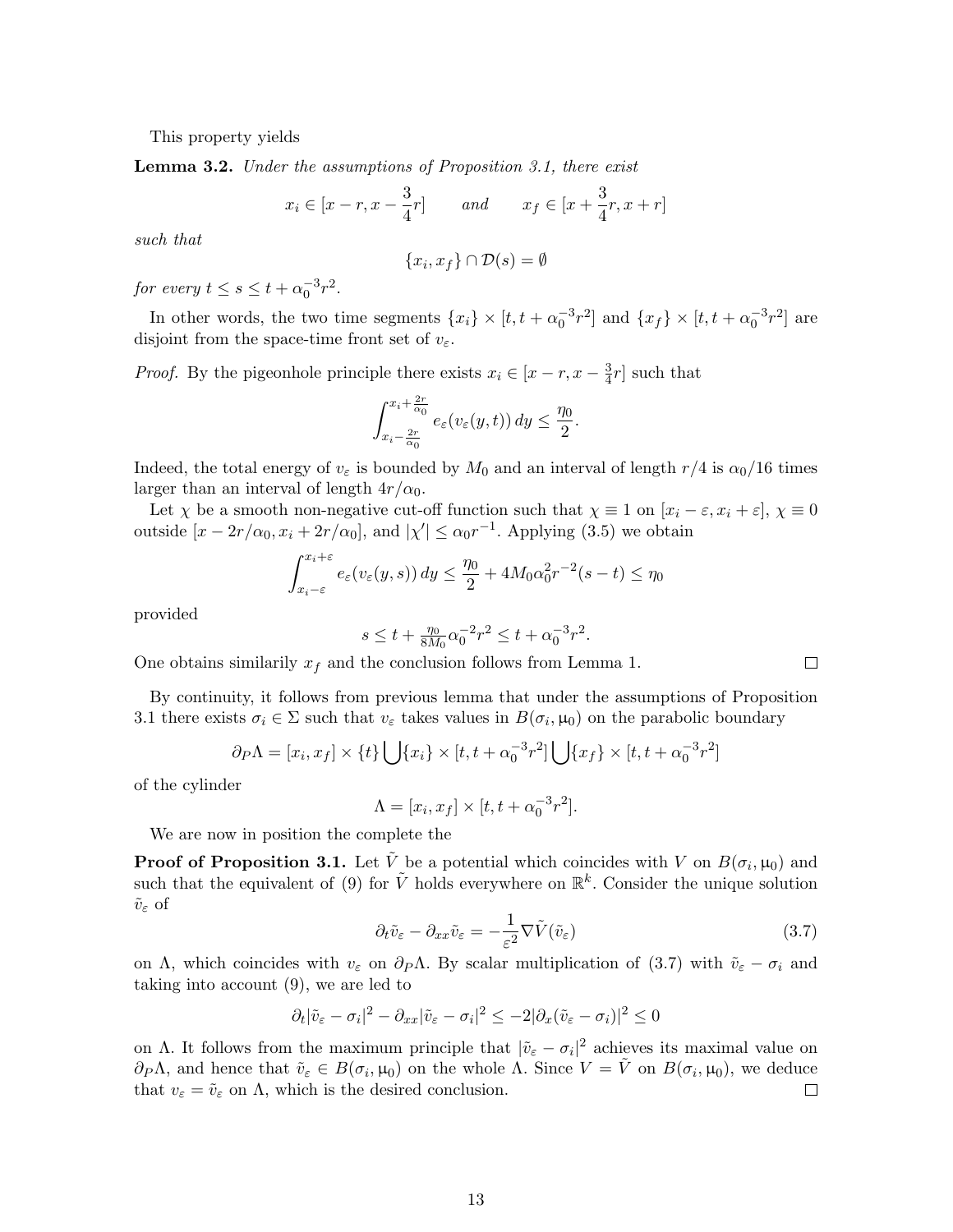This property yields

Lemma 3.2. Under the assumptions of Proposition 3.1, there exist

$$
x_i \in [x - r, x - \frac{3}{4}r]
$$
 and  $x_f \in [x + \frac{3}{4}r, x + r]$ 

such that

$$
\{x_i, x_f\} \cap \mathcal{D}(s) = \emptyset
$$

for every  $t \leq s \leq t + \alpha_0^{-3} r^2$ .

In other words, the two time segments  $\{x_i\} \times [t, t + \alpha_0^{-3}r^2]$  and  $\{x_f\} \times [t, t + \alpha_0^{-3}r^2]$  are disjoint from the space-time front set of  $v_{\varepsilon}$ .

*Proof.* By the pigeonhole principle there exists  $x_i \in [x - r, x - \frac{3}{4}]$  $\frac{3}{4}r$  such that

$$
\int_{x_i - \frac{2r}{\alpha_0}}^{x_i + \frac{2r}{\alpha_0}} e_{\varepsilon}(v_{\varepsilon}(y, t)) dy \le \frac{\eta_0}{2}.
$$

Indeed, the total energy of  $v_{\varepsilon}$  is bounded by  $M_0$  and an interval of length  $r/4$  is  $\alpha_0/16$  times larger than an interval of length  $4r/\alpha_0$ .

Let  $\chi$  be a smooth non-negative cut-off function such that  $\chi \equiv 1$  on  $[x_i - \varepsilon, x_i + \varepsilon], \chi \equiv 0$ outside  $[x - 2r/\alpha_0, x_i + 2r/\alpha_0]$ , and  $|\chi'| \le \alpha_0 r^{-1}$ . Applying (3.5) we obtain

$$
\int_{x_i-\varepsilon}^{x_i+\varepsilon} e_\varepsilon(v_\varepsilon(y,s)) dy \le \frac{\eta_0}{2} + 4M_0 \alpha_0^2 r^{-2} (s-t) \le \eta_0
$$

provided

$$
s \le t + \tfrac{\eta_0}{8M_0} \alpha_0^{-2} r^2 \le t + \alpha_0^{-3} r^2.
$$

One obtains similarily  $x_f$  and the conclusion follows from Lemma 1.

By continuity, it follows from previous lemma that under the assumptions of Proposition 3.1 there exists  $\sigma_i \in \Sigma$  such that  $v_{\varepsilon}$  takes values in  $B(\sigma_i, \mu_0)$  on the parabolic boundary

$$
\partial_P \Lambda = [x_i, x_f] \times \{t\} \bigcup \{x_i\} \times [t, t + \alpha_0^{-3} r^2] \bigcup \{x_f\} \times [t, t + \alpha_0^{-3} r^2]
$$

of the cylinder

$$
\Lambda = [x_i, x_f] \times [t, t + \alpha_0^{-3} r^2].
$$

We are now in position the complete the

**Proof of Proposition 3.1.** Let  $\tilde{V}$  be a potential which coincides with V on  $B(\sigma_i, \mu_0)$  and such that the equivalent of (9) for  $\tilde{V}$  holds everywhere on  $\mathbb{R}^k$ . Consider the unique solution  $\tilde{v}_{\varepsilon}$  of

$$
\partial_t \tilde{v}_{\varepsilon} - \partial_{xx} \tilde{v}_{\varepsilon} = -\frac{1}{\varepsilon^2} \nabla \tilde{V}(\tilde{v}_{\varepsilon})
$$
\n(3.7)

on Λ, which coincides with  $v_{\varepsilon}$  on  $\partial P\Lambda$ . By scalar multiplication of (3.7) with  $\tilde{v}_{\varepsilon} - \sigma_i$  and taking into account (9), we are led to

$$
\partial_t |\tilde{v}_{\varepsilon} - \sigma_i|^2 - \partial_{xx} |\tilde{v}_{\varepsilon} - \sigma_i|^2 \leq -2|\partial_x (\tilde{v}_{\varepsilon} - \sigma_i)|^2 \leq 0
$$

on Λ. It follows from the maximum principle that  $|\tilde{v}_{\varepsilon} - \sigma_i|^2$  achieves its maximal value on  $\partial P\Lambda$ , and hence that  $\tilde{v}_{\varepsilon} \in B(\sigma_i, \mu_0)$  on the whole  $\Lambda$ . Since  $V = \tilde{V}$  on  $B(\sigma_i, \mu_0)$ , we deduce that  $v_{\varepsilon} = \tilde{v}_{\varepsilon}$  on  $\Lambda$ , which is the desired conclusion.  $\Box$ 

 $\Box$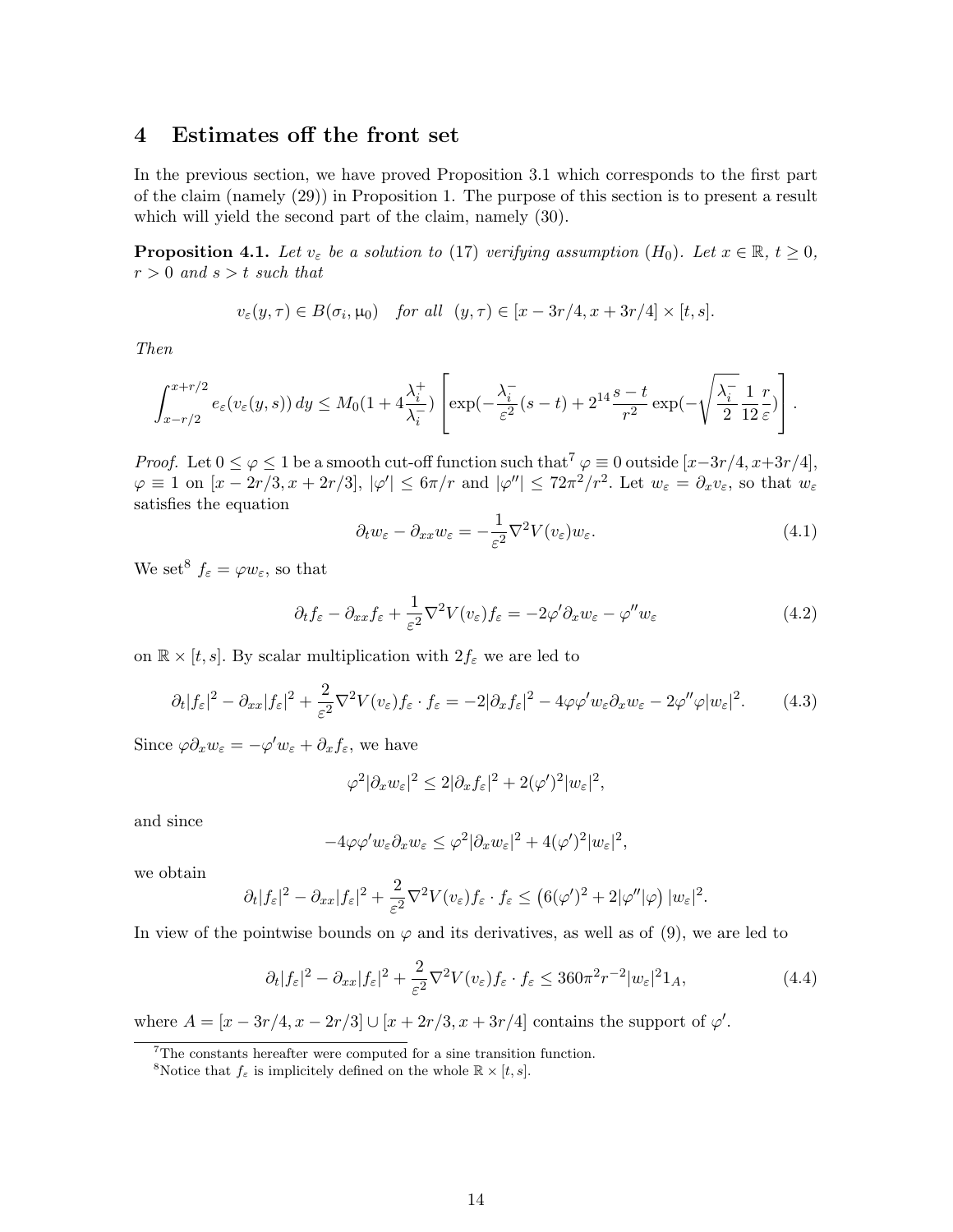## 4 Estimates off the front set

In the previous section, we have proved Proposition 3.1 which corresponds to the first part of the claim (namely (29)) in Proposition 1. The purpose of this section is to present a result which will yield the second part of the claim, namely (30).

**Proposition 4.1.** Let  $v_{\varepsilon}$  be a solution to (17) verifying assumption  $(H_0)$ . Let  $x \in \mathbb{R}$ ,  $t \ge 0$ ,  $r > 0$  and  $s > t$  such that

$$
v_{\varepsilon}(y,\tau) \in B(\sigma_i,\mu_0) \quad \text{for all} \quad (y,\tau) \in [x - 3r/4, x + 3r/4] \times [t,s].
$$

Then

$$
\int_{x-r/2}^{x+r/2} e_{\varepsilon}(v_{\varepsilon}(y,s)) dy \leq M_0(1+4\frac{\lambda_i^+}{\lambda_i^-}) \left[ \exp(-\frac{\lambda_i^-}{\varepsilon^2}(s-t) + 2^{14}\frac{s-t}{r^2}\exp(-\sqrt{\frac{\lambda_i^-}{2}}\frac{1}{12}\frac{r}{\varepsilon}) \right].
$$

*Proof.* Let  $0 \leq \varphi \leq 1$  be a smooth cut-off function such that<sup>7</sup>  $\varphi \equiv 0$  outside  $[x-3r/4, x+3r/4]$ ,  $\varphi \equiv 1$  on  $[x - 2r/3, x + 2r/3], |\varphi'| \leq 6\pi/r$  and  $|\varphi''| \leq 72\pi^2/r^2$ . Let  $w_{\varepsilon} = \partial_x v_{\varepsilon}$ , so that  $w_{\varepsilon}$ satisfies the equation

$$
\partial_t w_{\varepsilon} - \partial_{xx} w_{\varepsilon} = -\frac{1}{\varepsilon^2} \nabla^2 V(v_{\varepsilon}) w_{\varepsilon}.
$$
\n(4.1)

We set<sup>8</sup>  $f_{\varepsilon} = \varphi w_{\varepsilon}$ , so that

$$
\partial_t f_{\varepsilon} - \partial_{xx} f_{\varepsilon} + \frac{1}{\varepsilon^2} \nabla^2 V(v_{\varepsilon}) f_{\varepsilon} = -2\varphi' \partial_x w_{\varepsilon} - \varphi'' w_{\varepsilon}
$$
\n(4.2)

on  $\mathbb{R} \times [t, s]$ . By scalar multiplication with  $2f_{\varepsilon}$  we are led to

$$
\partial_t |f_{\varepsilon}|^2 - \partial_{xx} |f_{\varepsilon}|^2 + \frac{2}{\varepsilon^2} \nabla^2 V(v_{\varepsilon}) f_{\varepsilon} \cdot f_{\varepsilon} = -2 |\partial_x f_{\varepsilon}|^2 - 4\varphi \varphi' w_{\varepsilon} \partial_x w_{\varepsilon} - 2\varphi'' \varphi |w_{\varepsilon}|^2. \tag{4.3}
$$

Since  $\varphi \partial_x w_\varepsilon = -\varphi' w_\varepsilon + \partial_x f_\varepsilon$ , we have

$$
\varphi^2 |\partial_x w_\varepsilon|^2 \leq 2 |\partial_x f_\varepsilon|^2 + 2(\varphi')^2 |w_\varepsilon|^2,
$$

and since

$$
-4\varphi\varphi' w_{\varepsilon}\partial_x w_{\varepsilon} \leq \varphi^2 |\partial_x w_{\varepsilon}|^2 + 4(\varphi')^2 |w_{\varepsilon}|^2,
$$

we obtain

$$
\partial_t |f_{\varepsilon}|^2 - \partial_{xx} |f_{\varepsilon}|^2 + \frac{2}{\varepsilon^2} \nabla^2 V(v_{\varepsilon}) f_{\varepsilon} \cdot f_{\varepsilon} \le (6(\varphi')^2 + 2|\varphi''| \varphi) |w_{\varepsilon}|^2.
$$

In view of the pointwise bounds on  $\varphi$  and its derivatives, as well as of (9), we are led to

$$
\partial_t |f_{\varepsilon}|^2 - \partial_{xx} |f_{\varepsilon}|^2 + \frac{2}{\varepsilon^2} \nabla^2 V(v_{\varepsilon}) f_{\varepsilon} \cdot f_{\varepsilon} \le 360 \pi^2 r^{-2} |w_{\varepsilon}|^2 1_A,\tag{4.4}
$$

where  $A = \frac{x - 3r}{4, x - 2r/3} \cup \frac{x + 2r}{3, x + 3r/4}$  contains the support of  $\varphi'$ .

<sup>7</sup>The constants hereafter were computed for a sine transition function.

<sup>&</sup>lt;sup>8</sup>Notice that  $f_{\varepsilon}$  is implicitely defined on the whole  $\mathbb{R} \times [t, s]$ .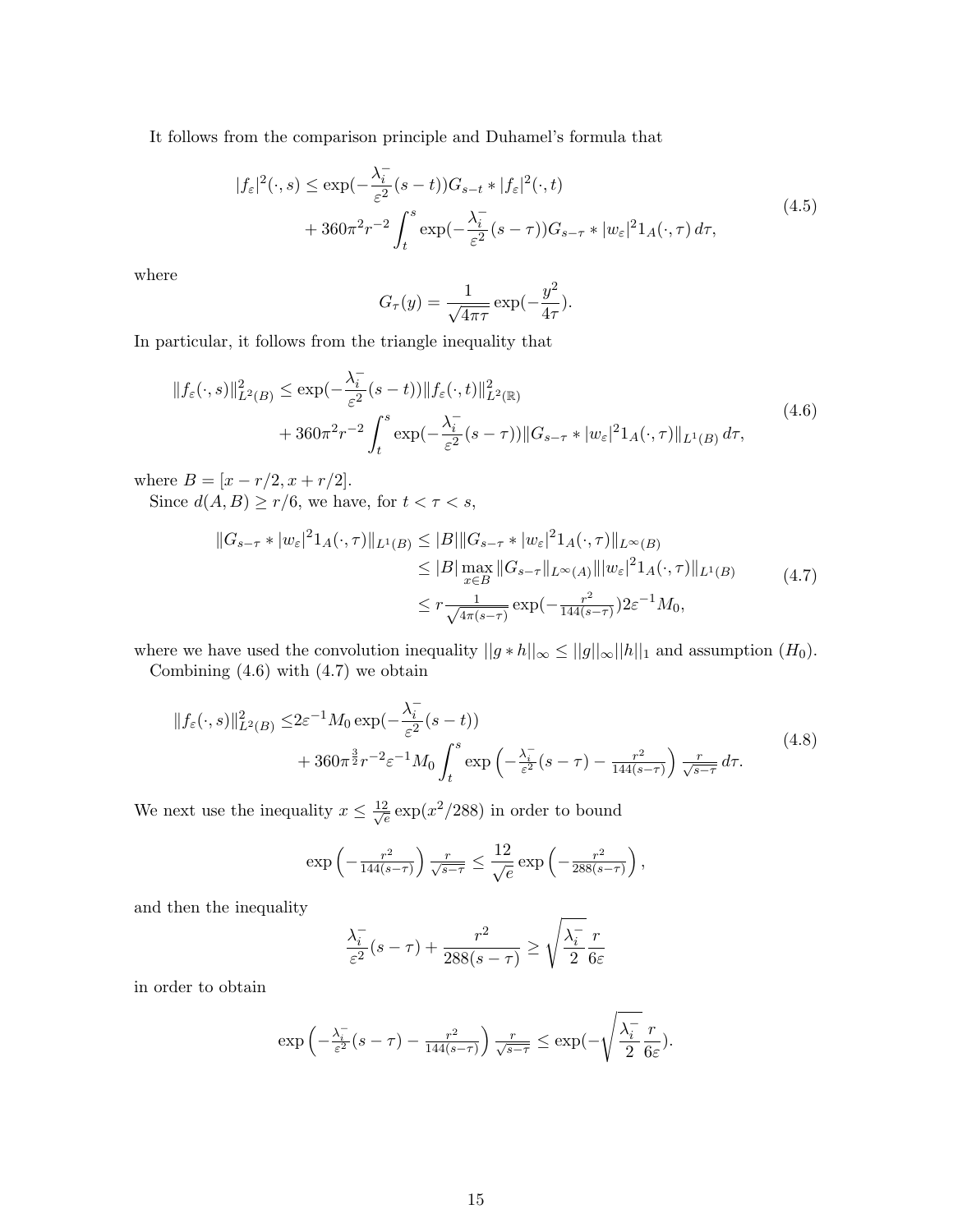It follows from the comparison principle and Duhamel's formula that

$$
|f_{\varepsilon}|^{2}(\cdot,s) \le \exp\left(-\frac{\lambda_{i}^{-}}{\varepsilon^{2}}(s-t)\right)G_{s-t} * |f_{\varepsilon}|^{2}(\cdot,t)
$$
  
+ 
$$
360\pi^{2}r^{-2}\int_{t}^{s}\exp\left(-\frac{\lambda_{i}^{-}}{\varepsilon^{2}}(s-\tau)\right)G_{s-\tau} * |w_{\varepsilon}|^{2}1_{A}(\cdot,\tau) d\tau,
$$
\n
$$
(4.5)
$$

where

$$
G_{\tau}(y) = \frac{1}{\sqrt{4\pi\tau}} \exp(-\frac{y^2}{4\tau}).
$$

In particular, it follows from the triangle inequality that

$$
||f_{\varepsilon}(\cdot,s)||_{L^{2}(B)}^{2} \le \exp(-\frac{\lambda_{i}^{-}}{\varepsilon^{2}}(s-t))||f_{\varepsilon}(\cdot,t)||_{L^{2}(\mathbb{R})}^{2}
$$
  
+ 360 $\pi^{2}r^{-2}\int_{t}^{s}\exp(-\frac{\lambda_{i}^{-}}{\varepsilon^{2}}(s-\tau))||G_{s-\tau}*|w_{\varepsilon}|^{2}1_{A}(\cdot,\tau)||_{L^{1}(B)}d\tau,$  (4.6)

where  $B = [x - r/2, x + r/2].$ 

Since  $d(A, B) \ge r/6$ , we have, for  $t < \tau < s$ ,

$$
||G_{s-\tau} * |w_{\varepsilon}|^{2} 1_{A}(\cdot, \tau)||_{L^{1}(B)} \leq |B| ||G_{s-\tau} * |w_{\varepsilon}|^{2} 1_{A}(\cdot, \tau)||_{L^{\infty}(B)}
$$
  
\n
$$
\leq |B| \max_{x \in B} ||G_{s-\tau}||_{L^{\infty}(A)} |||w_{\varepsilon}|^{2} 1_{A}(\cdot, \tau)||_{L^{1}(B)}
$$
  
\n
$$
\leq r \frac{1}{\sqrt{4\pi(s-\tau)}} \exp(-\frac{r^{2}}{144(s-\tau)}) 2\varepsilon^{-1} M_{0},
$$
\n(4.7)

where we have used the convolution inequality  $||g * h||_{\infty} \le ||g||_{\infty} ||h||_1$  and assumption  $(H_0)$ .

Combining  $(4.6)$  with  $(4.7)$  we obtain

$$
||f_{\varepsilon}(\cdot,s)||_{L^{2}(B)}^{2} \leq 2\varepsilon^{-1} M_{0} \exp\left(-\frac{\lambda_{i}^{-}}{\varepsilon^{2}}(s-t)\right) + 360\pi^{\frac{3}{2}}r^{-2}\varepsilon^{-1} M_{0} \int_{t}^{s} \exp\left(-\frac{\lambda_{i}^{-}}{\varepsilon^{2}}(s-\tau) - \frac{r^{2}}{144(s-\tau)}\right) \frac{r}{\sqrt{s-\tau}} d\tau.
$$
\n(4.8)

We next use the inequality  $x \leq \frac{12}{\sqrt{2}}$  $\frac{2}{e}$  exp( $x^2/288$ ) in order to bound

$$
\exp\left(-\frac{r^2}{144(s-\tau)}\right)\frac{r}{\sqrt{s-\tau}} \le \frac{12}{\sqrt{e}}\exp\left(-\frac{r^2}{288(s-\tau)}\right),
$$

and then the inequality

$$
\frac{\lambda_i^-}{\varepsilon^2}(s-\tau) + \frac{r^2}{288(s-\tau)} \ge \sqrt{\frac{\lambda_i^-}{2}} \frac{r}{6\varepsilon}
$$

in order to obtain

$$
\exp\left(-\frac{\lambda_i^-}{\varepsilon^2}(s-\tau) - \frac{r^2}{144(s-\tau)}\right) \frac{r}{\sqrt{s-\tau}} \le \exp(-\sqrt{\frac{\lambda_i^-}{2}} \frac{r}{6\varepsilon}).
$$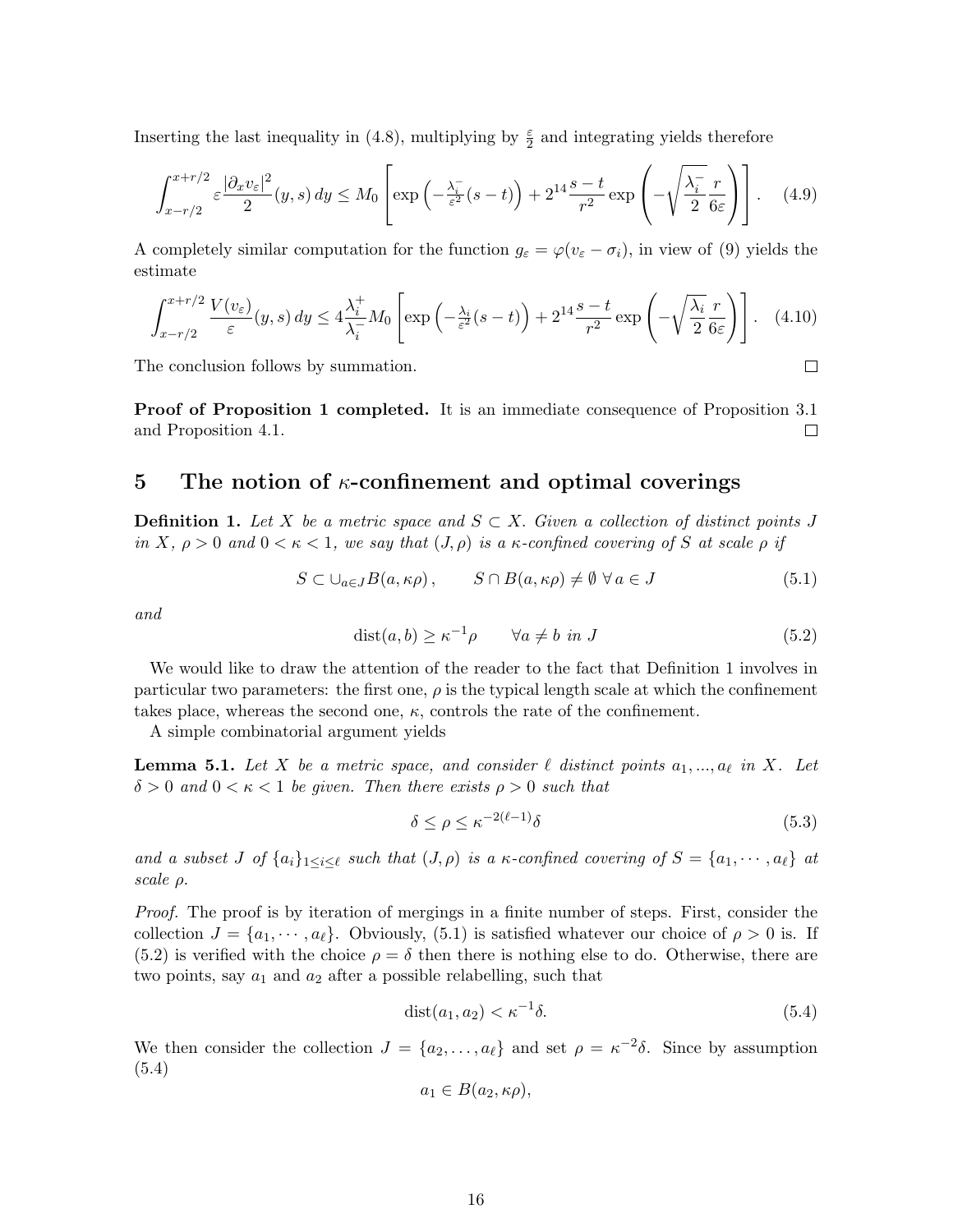Inserting the last inequality in (4.8), multiplying by  $\frac{\varepsilon}{2}$  and integrating yields therefore

$$
\int_{x-r/2}^{x+r/2} \varepsilon \frac{|\partial_x v_{\varepsilon}|^2}{2} (y, s) dy \le M_0 \left[ \exp\left(-\frac{\lambda_i^-}{\varepsilon^2} (s-t)\right) + 2^{14} \frac{s-t}{r^2} \exp\left(-\sqrt{\frac{\lambda_i^-}{2}} \frac{r}{6\varepsilon}\right) \right]. \tag{4.9}
$$

A completely similar computation for the function  $g_{\varepsilon} = \varphi(v_{\varepsilon} - \sigma_i)$ , in view of (9) yields the estimate

$$
\int_{x-r/2}^{x+r/2} \frac{V(v_{\varepsilon})}{\varepsilon}(y,s) \, dy \le 4 \frac{\lambda_i^+}{\lambda_i^-} M_0 \left[ \exp\left(-\frac{\lambda_i}{\varepsilon^2}(s-t)\right) + 2^{14} \frac{s-t}{r^2} \exp\left(-\sqrt{\frac{\lambda_i}{2}} \frac{r}{6\varepsilon}\right) \right]. \tag{4.10}
$$

The conclusion follows by summation.

Proof of Proposition 1 completed. It is an immediate consequence of Proposition 3.1 and Proposition 4.1.  $\Box$ 

## 5 The notion of  $\kappa$ -confinement and optimal coverings

**Definition 1.** Let X be a metric space and  $S \subset X$ . Given a collection of distinct points J in X,  $\rho > 0$  and  $0 < \kappa < 1$ , we say that  $(J, \rho)$  is a  $\kappa$ -confined covering of S at scale  $\rho$  if

$$
S \subset \bigcup_{a \in J} B(a, \kappa \rho), \qquad S \cap B(a, \kappa \rho) \neq \emptyset \ \forall \, a \in J \tag{5.1}
$$

and

$$
dist(a, b) \ge \kappa^{-1} \rho \qquad \forall a \ne b \text{ in } J \tag{5.2}
$$

 $\Box$ 

We would like to draw the attention of the reader to the fact that Definition 1 involves in particular two parameters: the first one,  $\rho$  is the typical length scale at which the confinement takes place, whereas the second one,  $\kappa$ , controls the rate of the confinement.

A simple combinatorial argument yields

**Lemma 5.1.** Let X be a metric space, and consider  $\ell$  distinct points  $a_1, ..., a_\ell$  in X. Let  $\delta > 0$  and  $0 < \kappa < 1$  be given. Then there exists  $\rho > 0$  such that

$$
\delta \le \rho \le \kappa^{-2(\ell-1)}\delta \tag{5.3}
$$

and a subset J of  $\{a_i\}_{1\leq i\leq \ell}$  such that  $(J, \rho)$  is a  $\kappa$ -confined covering of  $S = \{a_1, \dots, a_\ell\}$  at scale ρ.

Proof. The proof is by iteration of mergings in a finite number of steps. First, consider the collection  $J = \{a_1, \dots, a_\ell\}$ . Obviously, (5.1) is satisfied whatever our choice of  $\rho > 0$  is. If (5.2) is verified with the choice  $\rho = \delta$  then there is nothing else to do. Otherwise, there are two points, say  $a_1$  and  $a_2$  after a possible relabelling, such that

$$
dist(a_1, a_2) < \kappa^{-1}\delta. \tag{5.4}
$$

We then consider the collection  $J = \{a_2, \ldots, a_\ell\}$  and set  $\rho = \kappa^{-2}\delta$ . Since by assumption (5.4)

$$
a_1 \in B(a_2, \kappa \rho),
$$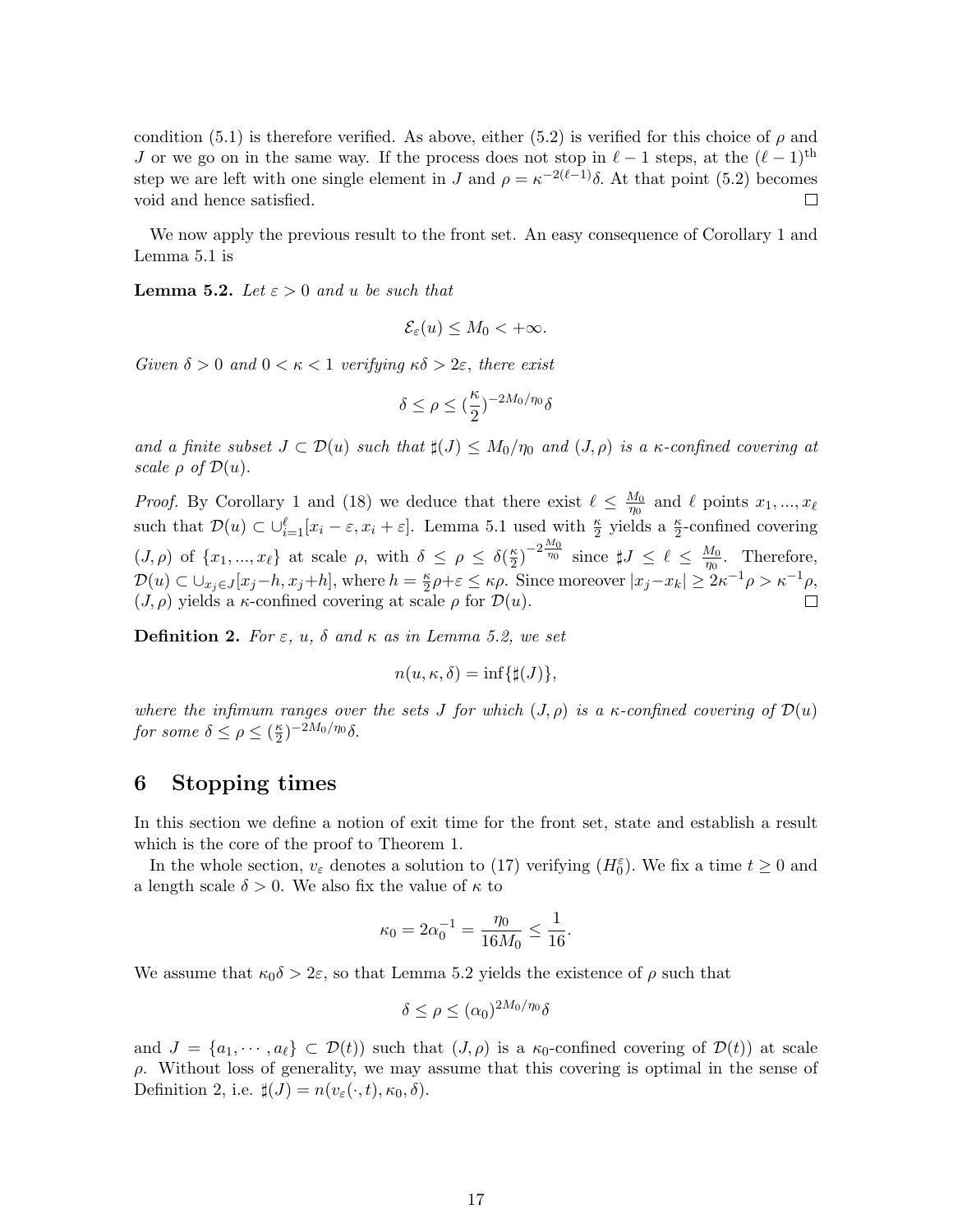condition (5.1) is therefore verified. As above, either (5.2) is verified for this choice of  $\rho$  and J or we go on in the same way. If the process does not stop in  $\ell - 1$  steps, at the  $(\ell - 1)$ <sup>th</sup> step we are left with one single element in J and  $\rho = \kappa^{-2(\ell-1)}\delta$ . At that point (5.2) becomes void and hence satisfied.  $\Box$ 

We now apply the previous result to the front set. An easy consequence of Corollary 1 and Lemma 5.1 is

**Lemma 5.2.** Let  $\varepsilon > 0$  and u be such that

$$
\mathcal{E}_{\varepsilon}(u) \leq M_0 < +\infty.
$$

Given  $\delta > 0$  and  $0 < \kappa < 1$  verifying  $\kappa \delta > 2\varepsilon$ , there exist

$$
\delta \le \rho \le (\frac{\kappa}{2})^{-2M_0/\eta_0} \delta
$$

and a finite subset  $J \subset \mathcal{D}(u)$  such that  $\sharp(J) \leq M_0/\eta_0$  and  $(J, \rho)$  is a  $\kappa$ -confined covering at scale  $\rho$  of  $\mathcal{D}(u)$ .

*Proof.* By Corollary 1 and (18) we deduce that there exist  $\ell \leq \frac{M_0}{m_0}$  $\frac{M_0}{\eta_0}$  and  $\ell$  points  $x_1, ..., x_\ell$ such that  $\mathcal{D}(u) \subset \bigcup_{i=1}^{\ell} [x_i - \varepsilon, x_i + \varepsilon]$ . Lemma 5.1 used with  $\frac{\kappa}{2}$  yields a  $\frac{\kappa}{2}$ -confined covering  $(J, \rho)$  of  $\{x_1, ..., x_\ell\}$  at scale  $\rho$ , with  $\delta \leq \rho \leq \delta(\frac{\kappa}{2})$  $\frac{\kappa}{2}$ )<sup>-2 $\frac{M_0}{\eta_0}$  since  $\sharp J \leq \ell \leq \frac{M_0}{\eta_0}$ </sup>  $\frac{M_0}{\eta_0}$ . Therefore,  $\mathcal{D}(u) \subset \bigcup_{x_j \in J} [x_j-h, x_j+h],$  where  $h = \frac{\kappa}{2}$  $\frac{\kappa}{2}\rho+\varepsilon \leq \kappa\rho$ . Since moreover  $|x_j-x_k| \geq 2\kappa^{-1}\rho > \kappa^{-1}\rho$ ,  $(J, \rho)$  yields a  $\kappa$ -confined covering at scale  $\rho$  for  $\mathcal{D}(u)$ .

**Definition 2.** For  $\varepsilon$ ,  $u$ ,  $\delta$  and  $\kappa$  as in Lemma 5.2, we set

$$
n(u, \kappa, \delta) = \inf\{\sharp(J)\},\
$$

where the infimum ranges over the sets J for which  $(J, \rho)$  is a  $\kappa$ -confined covering of  $\mathcal{D}(u)$ for some  $\delta \leq \rho \leq (\frac{\kappa}{2})$  $(\frac{\kappa}{2})^{-2M_0/\eta_0}\delta.$ 

## 6 Stopping times

In this section we define a notion of exit time for the front set, state and establish a result which is the core of the proof to Theorem 1.

In the whole section,  $v_{\varepsilon}$  denotes a solution to (17) verifying  $(H_0^{\varepsilon})$ . We fix a time  $t \ge 0$  and a length scale  $\delta > 0$ . We also fix the value of  $\kappa$  to

$$
\kappa_0 = 2\alpha_0^{-1} = \frac{\eta_0}{16M_0} \le \frac{1}{16}.
$$

We assume that  $\kappa_0 \delta > 2\varepsilon$ , so that Lemma 5.2 yields the existence of  $\rho$  such that

$$
\delta \le \rho \le (\alpha_0)^{2M_0/\eta_0} \delta
$$

and  $J = \{a_1, \dots, a_\ell\} \subset \mathcal{D}(t)$  such that  $(J, \rho)$  is a  $\kappa_0$ -confined covering of  $\mathcal{D}(t)$  at scale  $\rho$ . Without loss of generality, we may assume that this covering is optimal in the sense of Definition 2, i.e.  $\sharp(J) = n(v_{\varepsilon}(\cdot, t), \kappa_0, \delta)$ .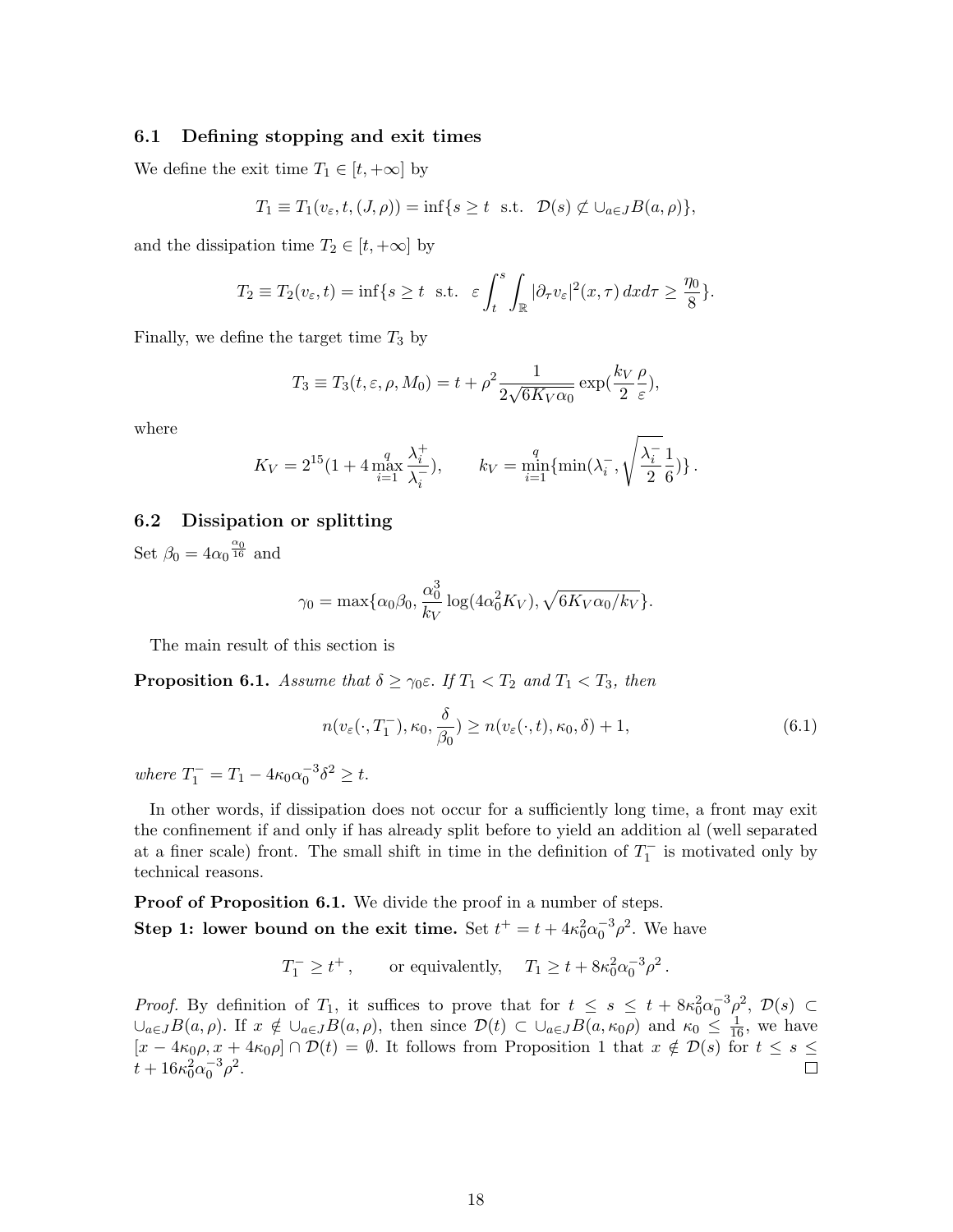### 6.1 Defining stopping and exit times

We define the exit time  $T_1 \in [t, +\infty]$  by

$$
T_1 \equiv T_1(v_{\varepsilon}, t, (J, \rho)) = \inf\{s \ge t \text{ s.t. } \mathcal{D}(s) \not\subset \cup_{a \in J} B(a, \rho)\},\
$$

and the dissipation time  $T_2 \in [t, +\infty]$  by

$$
T_2 \equiv T_2(v_{\varepsilon}, t) = \inf\{s \ge t \text{ s.t. } \varepsilon \int_t^s \int_{\mathbb{R}} |\partial_\tau v_{\varepsilon}|^2(x, \tau) dx d\tau \ge \frac{\eta_0}{8}\}.
$$

Finally, we define the target time  $T_3$  by

$$
T_3 \equiv T_3(t, \varepsilon, \rho, M_0) = t + \rho^2 \frac{1}{2\sqrt{6K_V \alpha_0}} \exp(\frac{k_V \rho}{2 \varepsilon}),
$$

where

$$
K_V = 2^{15} (1 + 4 \max_{i=1}^q \frac{\lambda_i^+}{\lambda_i^-}), \qquad k_V = \min_{i=1}^q \{ \min(\lambda_i^-, \sqrt{\frac{\lambda_i^-}{2}} \frac{1}{6}) \}.
$$

### 6.2 Dissipation or splitting

Set  $\beta_0 = 4\alpha_0 \frac{\alpha_0}{16}$  and

$$
\gamma_0 = \max\{\alpha_0\beta_0, \frac{\alpha_0^3}{k_V}\log(4\alpha_0^2 K_V), \sqrt{6K_V\alpha_0/k_V}\}.
$$

The main result of this section is

**Proposition 6.1.** Assume that  $\delta \geq \gamma_0 \varepsilon$ . If  $T_1 < T_2$  and  $T_1 < T_3$ , then

$$
n(v_{\varepsilon}(\cdot, T_1^-), \kappa_0, \frac{\delta}{\beta_0}) \ge n(v_{\varepsilon}(\cdot, t), \kappa_0, \delta) + 1,
$$
\n(6.1)

where  $T_1^- = T_1 - 4\kappa_0 \alpha_0^{-3} \delta^2 \geq t$ .

In other words, if dissipation does not occur for a sufficiently long time, a front may exit the confinement if and only if has already split before to yield an addition al (well separated at a finer scale) front. The small shift in time in the definition of  $T_1^-$  is motivated only by technical reasons.

**Proof of Proposition 6.1.** We divide the proof in a number of steps. **Step 1:** lower bound on the exit time. Set  $t^+ = t + 4\kappa_0^2 \alpha_0^{-3} \rho^2$ . We have

$$
T_1^- \ge t^+
$$
, or equivalently,  $T_1 \ge t + 8\kappa_0^2 \alpha_0^{-3} \rho^2$ .

*Proof.* By definition of  $T_1$ , it suffices to prove that for  $t \leq s \leq t + 8\kappa_0^2\alpha_0^{-3}\rho^2$ ,  $\mathcal{D}(s) \subset$  $\cup_{a\in J}B(a,\rho)$ . If  $x \notin \cup_{a\in J}B(a,\rho)$ , then since  $\mathcal{D}(t) \subset \cup_{a\in J}B(a,\kappa_0\rho)$  and  $\kappa_0 \leq \frac{1}{16}$ , we have  $[x - 4\kappa_0 \rho, x + 4\kappa_0 \rho] \cap \mathcal{D}(t) = \emptyset$ . It follows from Proposition 1 that  $x \notin \mathcal{D}(s)$  for  $t \leq s \leq$  $t + 16\kappa_0^2 \alpha_0^{-3} \rho^2$ .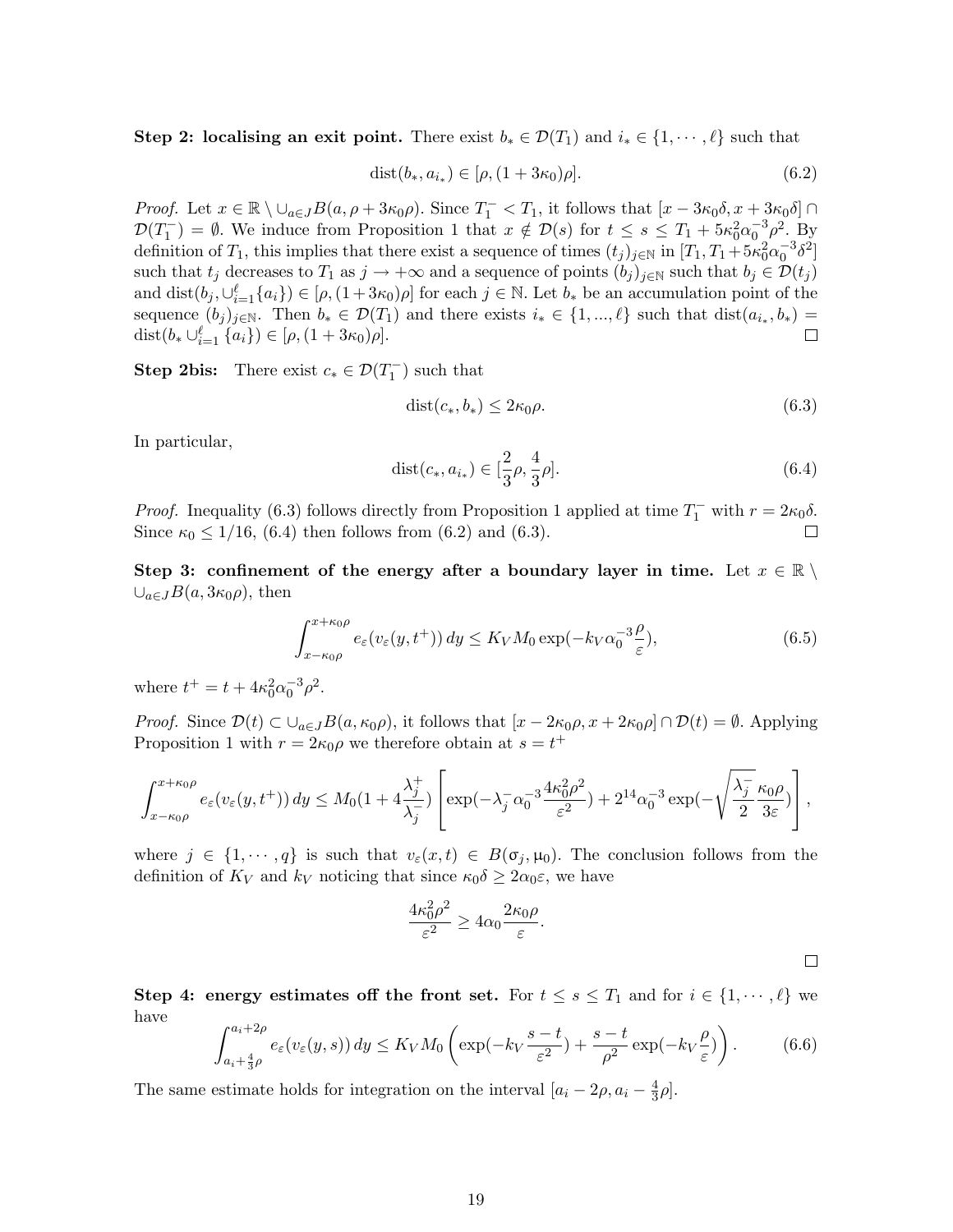Step 2: localising an exit point. There exist  $b_* \in \mathcal{D}(T_1)$  and  $i_* \in \{1, \dots, \ell\}$  such that

$$
dist(b_*, a_{i_*}) \in [\rho, (1+3\kappa_0)\rho]. \tag{6.2}
$$

Proof. Let  $x \in \mathbb{R} \setminus \bigcup_{a \in J} B(a, \rho + 3\kappa_0 \rho)$ . Since  $T_1^- < T_1$ , it follows that  $[x - 3\kappa_0 \delta, x + 3\kappa_0 \delta] \cap$  $\mathcal{D}(T_1^-) = \emptyset$ . We induce from Proposition 1 that  $x \notin \mathcal{D}(s)$  for  $t \leq s \leq T_1 + 5\kappa_0^2 \alpha_0^{-3} \rho^2$ . By definition of  $T_1$ , this implies that there exist a sequence of times  $(t_j)_{j\in\mathbb{N}}$  in  $[T_1, T_1 + 5\kappa_0^2\alpha_0^{-3}\delta^2]$ such that  $t_j$  decreases to  $T_1$  as  $j \to +\infty$  and a sequence of points  $(b_j)_{j\in\mathbb{N}}$  such that  $b_j \in \mathcal{D}(t_j)$ and dist $(b_j, \cup_{i=1}^{\ell} \{a_i\}) \in [\rho, (1+3\kappa_0)\rho]$  for each  $j \in \mathbb{N}$ . Let  $b_*$  be an accumulation point of the sequence  $(b_j)_{j\in\mathbb{N}}$ . Then  $b_*\in\mathcal{D}(T_1)$  and there exists  $i_*\in\{1,...,\ell\}$  such that  $dist(a_{i_*},b_*)=$ dist $(b_* \cup_{i=1}^{\ell} \{a_i\}) \in [\rho, (1+3\kappa_0)\rho].$  $\Box$ 

**Step 2bis:** There exist  $c_* \in \mathcal{D}(T_1^-)$  such that

$$
dist(c_*, b_*) \le 2\kappa_0 \rho. \tag{6.3}
$$

In particular,

$$
dist(c_*, a_{i_*}) \in [\frac{2}{3}\rho, \frac{4}{3}\rho].
$$
\n(6.4)

*Proof.* Inequality (6.3) follows directly from Proposition 1 applied at time  $T_1^-$  with  $r = 2\kappa_0\delta$ . Since  $\kappa_0 \leq 1/16$ , (6.4) then follows from (6.2) and (6.3). П

Step 3: confinement of the energy after a boundary layer in time. Let  $x \in \mathbb{R} \setminus \mathbb{R}$  $\cup_{a\in J}B(a,3\kappa_0\rho)$ , then

$$
\int_{x-\kappa_0\rho}^{x+\kappa_0\rho} e_{\varepsilon}(v_{\varepsilon}(y,t^+)) dy \le K_V M_0 \exp(-k_V \alpha_0^{-3} \frac{\rho}{\varepsilon}), \tag{6.5}
$$

where  $t^+ = t + 4\kappa_0^2 \alpha_0^{-3} \rho^2$ .

*Proof.* Since  $\mathcal{D}(t) \subset \bigcup_{a \in J} B(a, \kappa_0 \rho)$ , it follows that  $[x - 2\kappa_0 \rho, x + 2\kappa_0 \rho] \cap \mathcal{D}(t) = \emptyset$ . Applying Proposition 1 with  $r = 2\kappa_0 \rho$  we therefore obtain at  $s = t^+$ 

$$
\int_{x-\kappa_0\rho}^{x+\kappa_0\rho} e_{\varepsilon}(v_{\varepsilon}(y,t^+)) dy \leq M_0(1+4\frac{\lambda_j^+}{\lambda_j^-}) \left[ \exp(-\lambda_j^- \alpha_0^{-3} \frac{4\kappa_0^2 \rho^2}{\varepsilon^2}) + 2^{14} \alpha_0^{-3} \exp(-\sqrt{\frac{\lambda_j^-}{2}} \frac{\kappa_0 \rho}{3\varepsilon}) \right],
$$

where  $j \in \{1, \dots, q\}$  is such that  $v_{\varepsilon}(x, t) \in B(\sigma_i, \mu_0)$ . The conclusion follows from the definition of  $K_V$  and  $k_V$  noticing that since  $\kappa_0 \delta \geq 2\alpha_0 \varepsilon$ , we have

$$
\frac{4\kappa_0^2 \rho^2}{\varepsilon^2} \ge 4\alpha_0 \frac{2\kappa_0 \rho}{\varepsilon}.
$$

Step 4: energy estimates off the front set. For  $t \leq s \leq T_1$  and for  $i \in \{1, \dots, \ell\}$  we have

$$
\int_{a_i + \frac{4}{3}\rho}^{a_i + 2\rho} e_\varepsilon(v_\varepsilon(y, s)) dy \le K_V M_0 \left( \exp(-k_V \frac{s - t}{\varepsilon^2}) + \frac{s - t}{\rho^2} \exp(-k_V \frac{\rho}{\varepsilon}) \right). \tag{6.6}
$$

The same estimate holds for integration on the interval  $[a_i - 2\rho, a_i - \frac{4}{3}]$  $rac{4}{3}\rho$ .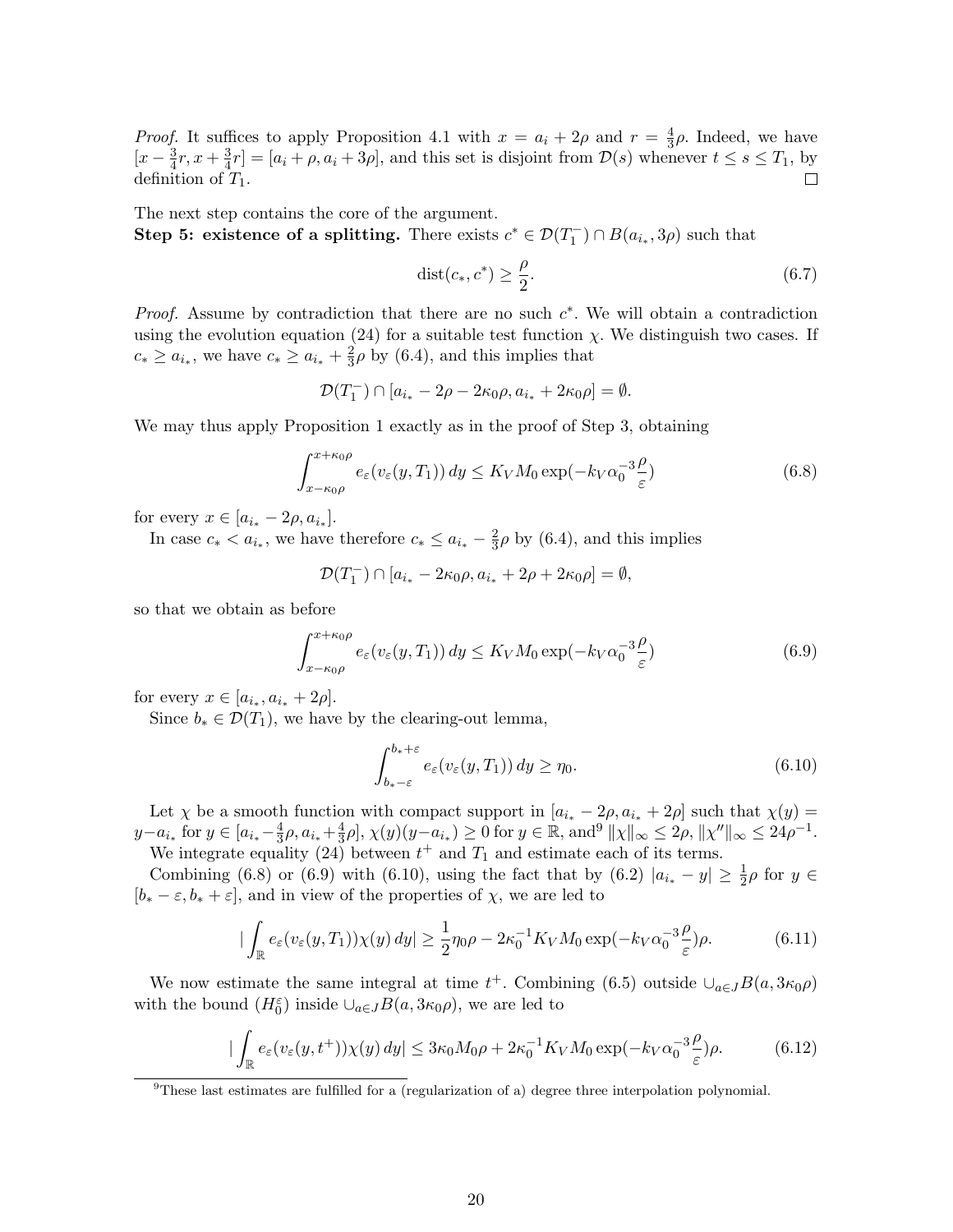*Proof.* It suffices to apply Proposition 4.1 with  $x = a_i + 2\rho$  and  $r = \frac{4}{3}$  $\frac{4}{3}\rho$ . Indeed, we have  $\left[x-\frac{3}{4}\right]$  $\frac{3}{4}r, x + \frac{3}{4}$  $\frac{3}{4}r] = [a_i + \rho, a_i + 3\rho]$ , and this set is disjoint from  $\mathcal{D}(s)$  whenever  $t \leq s \leq T_1$ , by definition of  $T_1$ .  $\Box$ 

The next step contains the core of the argument. Step 5: existence of a splitting. There exists  $c^* \in \mathcal{D}(T_1^-) \cap B(a_{i_*}, 3\rho)$  such that

$$
dist(c_*, c^*) \ge \frac{\rho}{2}.\tag{6.7}
$$

*Proof.* Assume by contradiction that there are no such  $c^*$ . We will obtain a contradiction using the evolution equation (24) for a suitable test function  $\chi$ . We distinguish two cases. If  $c_* \ge a_{i_*}$ , we have  $c_* \ge a_{i_*} + \frac{2}{3}$  $\frac{2}{3}\rho$  by (6.4), and this implies that

$$
\mathcal{D}(T_1^-) \cap [a_{i_*} - 2\rho - 2\kappa_0\rho, a_{i_*} + 2\kappa_0\rho] = \emptyset.
$$

We may thus apply Proposition 1 exactly as in the proof of Step 3, obtaining

$$
\int_{x-\kappa_0\rho}^{x+\kappa_0\rho} e_{\varepsilon}(v_{\varepsilon}(y,T_1)) dy \le K_V M_0 \exp(-k_V \alpha_0^{-3} \frac{\rho}{\varepsilon})
$$
\n(6.8)

for every  $x \in [a_{i_*} - 2\rho, a_{i_*}].$ 

In case  $c_* < a_{i_*}$ , we have therefore  $c_* \leq a_{i_*} - \frac{2}{3}$  $\frac{2}{3}\rho$  by (6.4), and this implies

$$
\mathcal{D}(T_1^-) \cap [a_{i_*} - 2\kappa_0 \rho, a_{i_*} + 2\rho + 2\kappa_0 \rho] = \emptyset,
$$

so that we obtain as before

$$
\int_{x-\kappa_0\rho}^{x+\kappa_0\rho} e_{\varepsilon}(v_{\varepsilon}(y,T_1)) dy \le K_V M_0 \exp(-k_V \alpha_0^{-3} \frac{\rho}{\varepsilon})
$$
\n(6.9)

for every  $x \in [a_{i_*}, a_{i_*} + 2\rho].$ 

Since  $b_* \in \mathcal{D}(T_1)$ , we have by the clearing-out lemma,

$$
\int_{b_*-\varepsilon}^{b_*+\varepsilon} e_\varepsilon(v_\varepsilon(y,T_1)) dy \ge \eta_0.
$$
\n(6.10)

Let  $\chi$  be a smooth function with compact support in  $[a_{i_*}-2\rho, a_{i_*}+2\rho]$  such that  $\chi(y)$  =  $y-a_{i_*}$  for  $y \in [a_{i_*}-\frac{4}{3}]$  $\frac{4}{3}\rho$ ,  $a_{i_*}+\frac{4}{3}$  $\frac{4}{3}\rho, \chi(y)(y-a_{i_*}) \ge 0$  for  $y \in \mathbb{R}$ , and<sup>9</sup>  $||\chi||_{\infty} \le 2\rho, ||\chi''||_{\infty} \le 24\rho^{-1}$ .

We integrate equality (24) between  $t^+$  and  $T_1$  and estimate each of its terms.

Combining (6.8) or (6.9) with (6.10), using the fact that by (6.2)  $|a_{i_*} - y| \geq \frac{1}{2}\rho$  for  $y \in$  $[b<sub>*</sub> - \varepsilon, b<sub>*</sub> + \varepsilon]$ , and in view of the properties of  $\chi$ , we are led to

$$
\left| \int_{\mathbb{R}} e_{\varepsilon}(v_{\varepsilon}(y,T_1)) \chi(y) \, dy \right| \ge \frac{1}{2} \eta_0 \rho - 2\kappa_0^{-1} K_V M_0 \exp(-k_V \alpha_0^{-3} \frac{\rho}{\varepsilon}) \rho. \tag{6.11}
$$

We now estimate the same integral at time  $t^+$ . Combining (6.5) outside  $\cup_{a \in J} B(a, 3\kappa_0 \rho)$ with the bound  $(H_0^{\varepsilon})$  inside  $\cup_{a \in J} B(a, 3\kappa_0 \rho)$ , we are led to

$$
\left| \int_{\mathbb{R}} e_{\varepsilon}(v_{\varepsilon}(y, t^+)) \chi(y) \, dy \right| \leq 3\kappa_0 M_0 \rho + 2\kappa_0^{-1} K_V M_0 \exp(-k_V \alpha_0^{-3} \frac{\rho}{\varepsilon}) \rho. \tag{6.12}
$$

<sup>9</sup>These last estimates are fulfilled for a (regularization of a) degree three interpolation polynomial.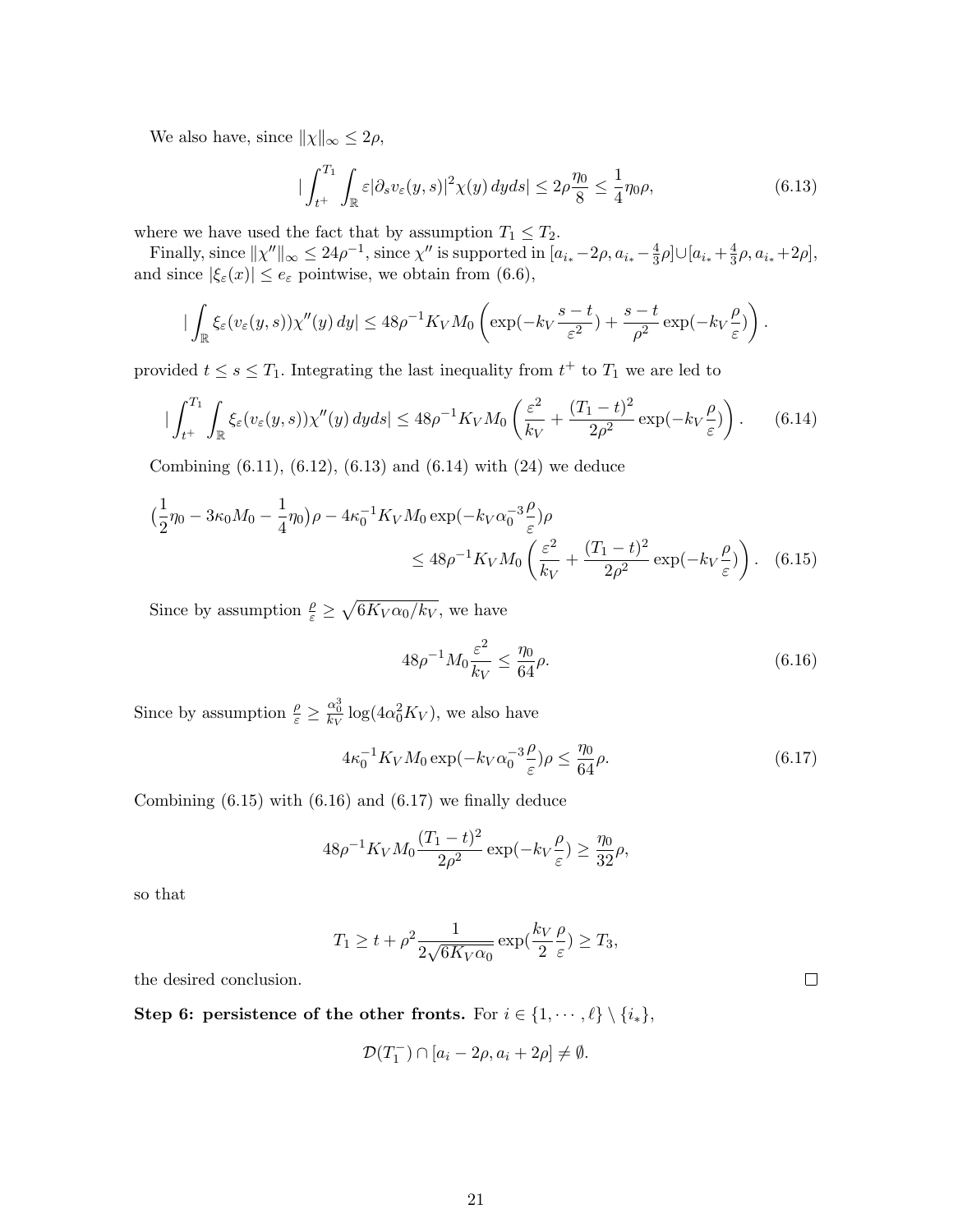We also have, since  $||\chi||_{\infty} \leq 2\rho$ ,

$$
\left|\int_{t^+}^{T_1} \int_{\mathbb{R}} \varepsilon |\partial_s v_{\varepsilon}(y, s)|^2 \chi(y) \, dy ds\right| \le 2\rho \frac{\eta_0}{8} \le \frac{1}{4} \eta_0 \rho,\tag{6.13}
$$

where we have used the fact that by assumption  $T_1 \leq T_2$ .

Finally, since  $\|\chi''\|_{\infty} \leq 24\rho^{-1}$ , since  $\chi''$  is supported in  $[a_{i_*}-2\rho, a_{i_*}-\frac{4}{3}]$  $\frac{4}{3}\rho$ ]∪ $[a_{i_*}+\frac{4}{3}]$  $rac{4}{3}\rho, a_{i_*}+2\rho],$ and since  $|\xi_{\varepsilon}(x)| \leq e_{\varepsilon}$  pointwise, we obtain from (6.6),

$$
\left|\int_{\mathbb{R}} \xi_{\varepsilon}(v_{\varepsilon}(y,s))\chi''(y)\,dy\right| \leq 48\rho^{-1}K_V M_0\left(\exp(-k_V\frac{s-t}{\varepsilon^2}) + \frac{s-t}{\rho^2}\exp(-k_V\frac{\rho}{\varepsilon})\right).
$$

provided  $t \leq s \leq T_1$ . Integrating the last inequality from  $t^+$  to  $T_1$  we are led to

$$
\left| \int_{t^+}^{T_1} \int_{\mathbb{R}} \xi_{\varepsilon}(v_{\varepsilon}(y,s)) \chi''(y) \, dyds \right| \leq 48\rho^{-1} K_V M_0 \left( \frac{\varepsilon^2}{k_V} + \frac{(T_1 - t)^2}{2\rho^2} \exp(-k_V \frac{\rho}{\varepsilon}) \right). \tag{6.14}
$$

Combining (6.11), (6.12), (6.13) and (6.14) with (24) we deduce

$$
\left(\frac{1}{2}\eta_0 - 3\kappa_0 M_0 - \frac{1}{4}\eta_0\right)\rho - 4\kappa_0^{-1}K_V M_0 \exp(-k_V \alpha_0^{-3}\frac{\rho}{\varepsilon})\rho
$$
  

$$
\leq 48\rho^{-1}K_V M_0 \left(\frac{\varepsilon^2}{k_V} + \frac{(T_1 - t)^2}{2\rho^2} \exp(-k_V \frac{\rho}{\varepsilon})\right). \quad (6.15)
$$

Since by assumption  $\frac{\rho}{\varepsilon} \geq \sqrt{6K_V \alpha_0/k_V}$ , we have

$$
48\rho^{-1}M_0 \frac{\varepsilon^2}{k_V} \le \frac{\eta_0}{64}\rho. \tag{6.16}
$$

Since by assumption  $\frac{\rho}{\varepsilon} \geq \frac{\alpha_0^3}{k_V} \log(4\alpha_0^2 K_V)$ , we also have

$$
4\kappa_0^{-1} K_V M_0 \exp(-k_V \alpha_0^{-3} \frac{\rho}{\varepsilon}) \rho \le \frac{\eta_0}{64} \rho.
$$
 (6.17)

Combining  $(6.15)$  with  $(6.16)$  and  $(6.17)$  we finally deduce

$$
48\rho^{-1}K_V M_0 \frac{(T_1 - t)^2}{2\rho^2} \exp(-k_V \frac{\rho}{\varepsilon}) \ge \frac{\eta_0}{32}\rho,
$$

so that

$$
T_1 \ge t + \rho^2 \frac{1}{2\sqrt{6K_V\alpha_0}} \exp(\frac{k_V}{2}\frac{\rho}{\varepsilon}) \ge T_3,
$$

the desired conclusion.

Step 6: persistence of the other fronts. For  $i \in \{1, \dots, \ell\} \setminus \{i_*\},\$ 

$$
\mathcal{D}(T_1^-) \cap [a_i - 2\rho, a_i + 2\rho] \neq \emptyset.
$$

 $\Box$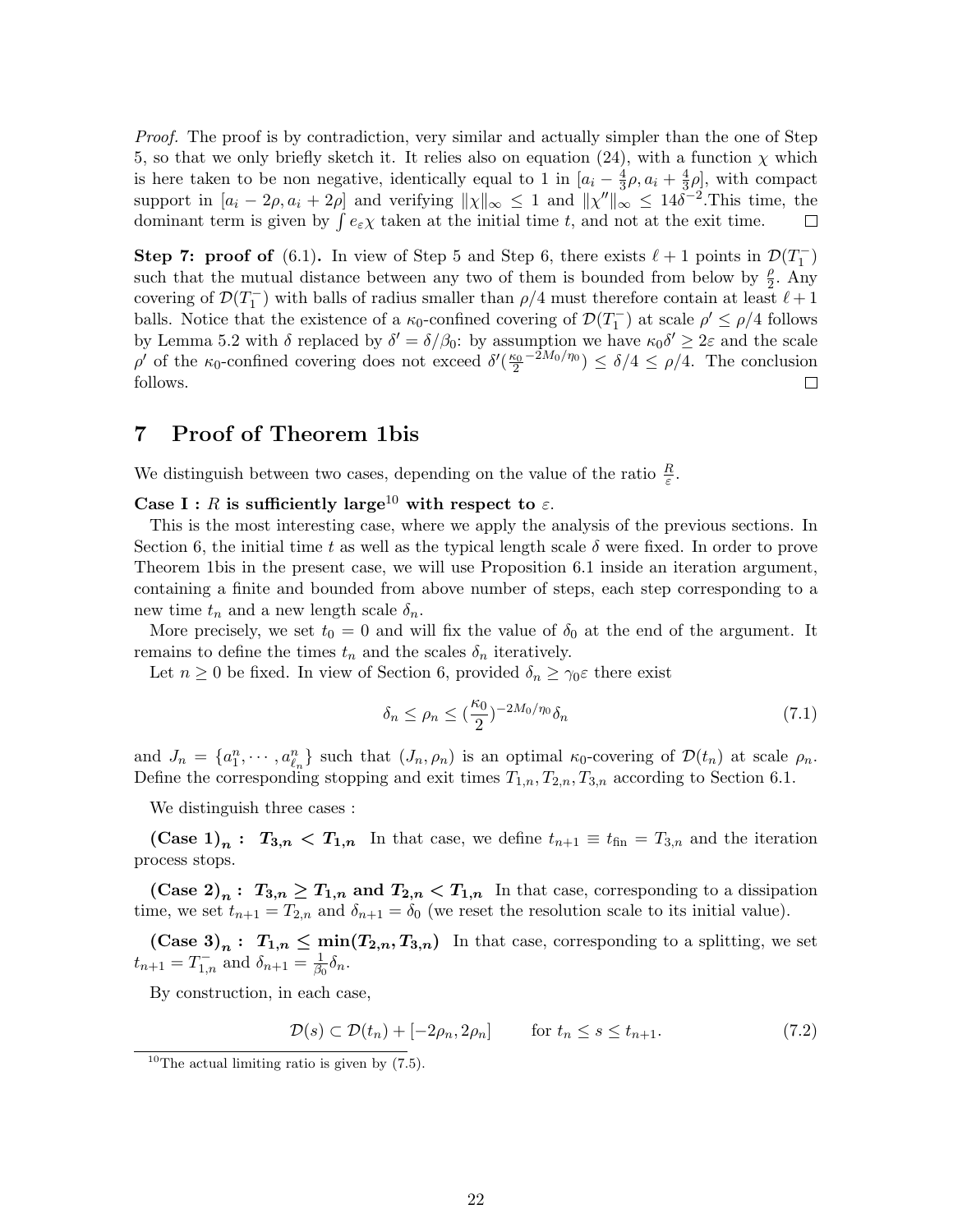Proof. The proof is by contradiction, very similar and actually simpler than the one of Step 5, so that we only briefly sketch it. It relies also on equation (24), with a function  $\chi$  which is here taken to be non negative, identically equal to 1 in  $[a_i - \frac{4}{3}]$  $\frac{4}{3}\rho, a_i + \frac{4}{3}$  $(\frac{4}{3}\rho)$ , with compact support in  $[a_i - 2\rho, a_i + 2\rho]$  and verifying  $||\chi||_{\infty} \leq 1$  and  $||\chi''||_{\infty} \leq 14\delta^{-2}$ . This time, the dominant term is given by  $\int e_{\varepsilon} \chi$  taken at the initial time t, and not at the exit time.  $\Box$ 

**Step 7: proof of** (6.1). In view of Step 5 and Step 6, there exists  $\ell + 1$  points in  $\mathcal{D}(T_1^-)$ such that the mutual distance between any two of them is bounded from below by  $\frac{\rho}{2}$ . Any covering of  $\mathcal{D}(T_1^-)$  with balls of radius smaller than  $\rho/4$  must therefore contain at least  $\ell+1$ balls. Notice that the existence of a  $\kappa_0$ -confined covering of  $\mathcal{D}(T_1^-)$  at scale  $\rho' \leq \rho/4$  follows by Lemma 5.2 with  $\delta$  replaced by  $\delta' = \delta/\beta_0$ : by assumption we have  $\kappa_0 \delta' \geq 2\varepsilon$  and the scale  $\rho'$  of the κ<sub>0</sub>-confined covering does not exceed  $\delta'(\frac{\kappa_0}{2}^{-2M_0/\eta_0}) \leq \delta/4 \leq \rho/4$ . The conclusion follows.  $\Box$ 

## 7 Proof of Theorem 1bis

We distinguish between two cases, depending on the value of the ratio  $\frac{R}{\varepsilon}$ .

Case I : R is sufficiently large<sup>10</sup> with respect to  $\varepsilon$ .

This is the most interesting case, where we apply the analysis of the previous sections. In Section 6, the initial time t as well as the typical length scale  $\delta$  were fixed. In order to prove Theorem 1bis in the present case, we will use Proposition 6.1 inside an iteration argument, containing a finite and bounded from above number of steps, each step corresponding to a new time  $t_n$  and a new length scale  $\delta_n$ .

More precisely, we set  $t_0 = 0$  and will fix the value of  $\delta_0$  at the end of the argument. It remains to define the times  $t_n$  and the scales  $\delta_n$  iteratively.

Let  $n \geq 0$  be fixed. In view of Section 6, provided  $\delta_n \geq \gamma_0 \varepsilon$  there exist

$$
\delta_n \le \rho_n \le (\frac{\kappa_0}{2})^{-2M_0/\eta_0} \delta_n \tag{7.1}
$$

and  $J_n = \{a_1^n, \dots, a_{\ell_n}^n\}$  such that  $(J_n, \rho_n)$  is an optimal  $\kappa_0$ -covering of  $\mathcal{D}(t_n)$  at scale  $\rho_n$ . Define the corresponding stopping and exit times  $T_{1,n}, T_{2,n}, T_{3,n}$  according to Section 6.1.

We distinguish three cases :

(Case 1)<sub>n</sub>:  $T_{3,n} < T_{1,n}$  In that case, we define  $t_{n+1} \equiv t_{fin} = T_{3,n}$  and the iteration process stops.

(Case 2)<sub>n</sub>:  $T_{3,n} \geq T_{1,n}$  and  $T_{2,n} < T_{1,n}$  In that case, corresponding to a dissipation time, we set  $t_{n+1} = T_{2,n}$  and  $\delta_{n+1} = \delta_0$  (we reset the resolution scale to its initial value).

(Case 3)<sub>n</sub>:  $T_{1,n} \n\t\leq \min(T_{2,n}, T_{3,n})$  In that case, corresponding to a splitting, we set  $t_{n+1} = T_{1,n}^-$  and  $\delta_{n+1} = \frac{1}{\beta_0}$  $\frac{1}{\beta_0}\delta_n.$ 

By construction, in each case,

$$
\mathcal{D}(s) \subset \mathcal{D}(t_n) + [-2\rho_n, 2\rho_n] \qquad \text{for } t_n \le s \le t_{n+1}.
$$
 (7.2)

<sup>&</sup>lt;sup>10</sup>The actual limiting ratio is given by  $(7.5)$ .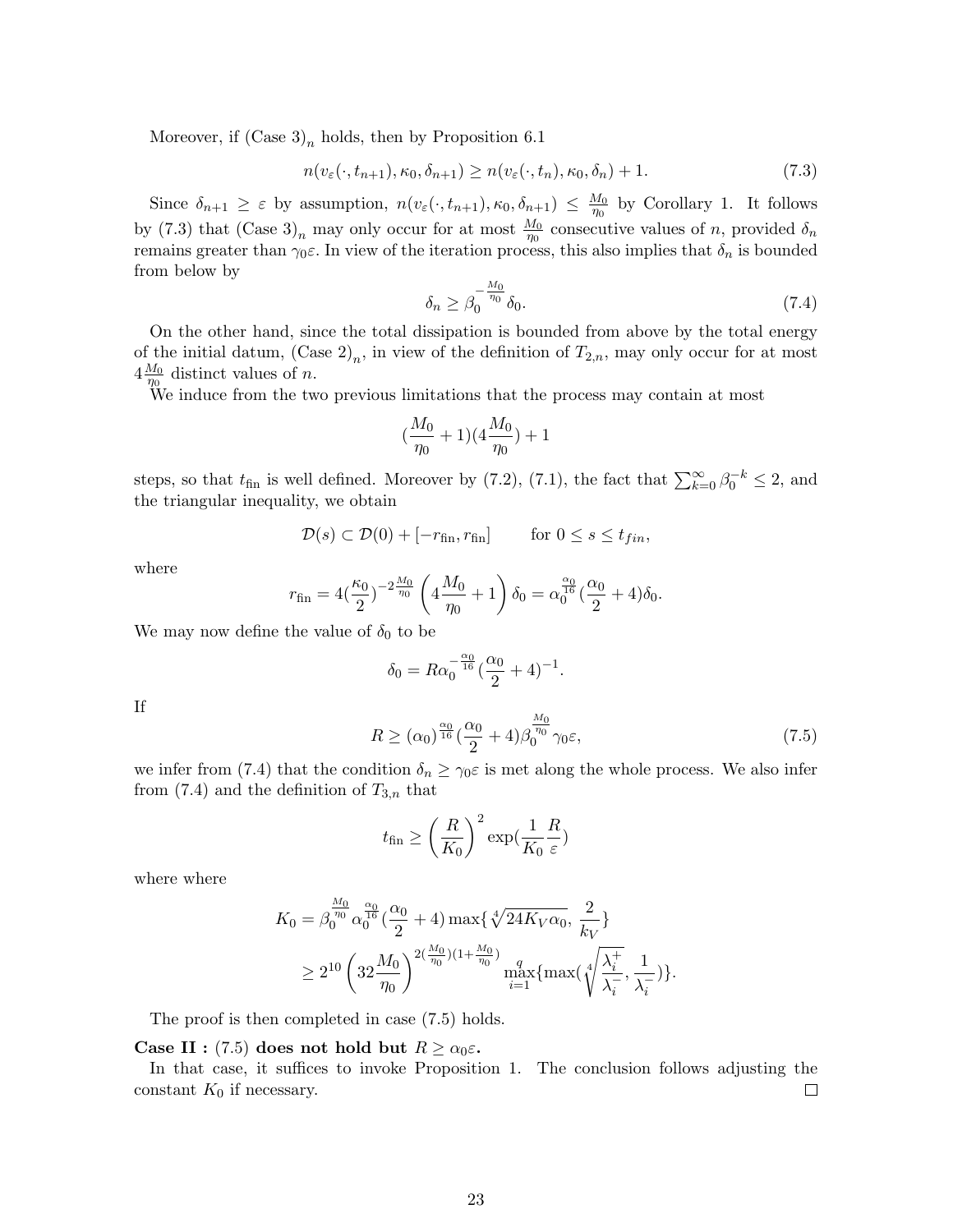Moreover, if  $(Case 3)<sub>n</sub>$  holds, then by Proposition 6.1

$$
n(v_{\varepsilon}(\cdot, t_{n+1}), \kappa_0, \delta_{n+1}) \ge n(v_{\varepsilon}(\cdot, t_n), \kappa_0, \delta_n) + 1. \tag{7.3}
$$

Since  $\delta_{n+1} \geq \varepsilon$  by assumption,  $n(v_{\varepsilon}(\cdot, t_{n+1}), \kappa_0, \delta_{n+1}) \leq \frac{M_0}{n_0}$  $\frac{M_0}{\eta_0}$  by Corollary 1. It follows by (7.3) that  $(\text{Case } 3)_n$  may only occur for at most  $\frac{M_0}{\eta_0}$  consecutive values of n, provided  $\delta_n$ remains greater than  $\gamma_0 \varepsilon$ . In view of the iteration process, this also implies that  $\delta_n$  is bounded from below by

$$
\delta_n \ge \beta_0^{-\frac{M_0}{\eta_0}} \delta_0. \tag{7.4}
$$

On the other hand, since the total dissipation is bounded from above by the total energy of the initial datum,  $(\text{Case } 2)_n$ , in view of the definition of  $T_{2,n}$ , may only occur for at most  $4\frac{M_0}{n_0}$  distinct values of *n*.

 $\frac{n_0}{n_0}$  distinct values of *n*.<br>We induce from the two previous limitations that the process may contain at most

$$
(\frac{M_0}{\eta_0}+1)(4\frac{M_0}{\eta_0})+1
$$

steps, so that  $t_{fin}$  is well defined. Moreover by (7.2), (7.1), the fact that  $\sum_{k=0}^{\infty} \beta_0^{-k} \leq 2$ , and the triangular inequality, we obtain

$$
\mathcal{D}(s) \subset \mathcal{D}(0) + [-r_{\text{fin}}, r_{\text{fin}}] \quad \text{for } 0 \le s \le t_{fin},
$$

where

$$
r_{\text{fin}} = 4\left(\frac{\kappa_0}{2}\right)^{-2\frac{M_0}{\eta_0}} \left(4\frac{M_0}{\eta_0} + 1\right) \delta_0 = \alpha_0^{\frac{\alpha_0}{16}} \left(\frac{\alpha_0}{2} + 4\right) \delta_0.
$$

We may now define the value of  $\delta_0$  to be

$$
\delta_0 = R\alpha_0^{-\frac{\alpha_0}{16}}(\frac{\alpha_0}{2} + 4)^{-1}.
$$

If

$$
R \ge (\alpha_0)^{\frac{\alpha_0}{16}}(\frac{\alpha_0}{2} + 4)\beta_0^{\frac{M_0}{\eta_0}}\gamma_0\varepsilon,\tag{7.5}
$$

we infer from (7.4) that the condition  $\delta_n \geq \gamma_0 \varepsilon$  is met along the whole process. We also infer from  $(7.4)$  and the definition of  $T_{3,n}$  that

$$
t_{\text{fin}} \ge \left(\frac{R}{K_0}\right)^2 \exp\left(\frac{1}{K_0}\frac{R}{\varepsilon}\right)
$$

where where

$$
K_0 = \beta_0^{\frac{M_0}{\eta_0}} \alpha_0^{\frac{\alpha_0}{16}} (\frac{\alpha_0}{2} + 4) \max\{\sqrt[4]{24K_V\alpha_0}, \frac{2}{k_V}\}\
$$
  

$$
\geq 2^{10} \left(32 \frac{M_0}{\eta_0}\right)^{2(\frac{M_0}{\eta_0})(1 + \frac{M_0}{\eta_0})} \max_{i=1}^q \{\max\{\sqrt[4]{\frac{\lambda_i^+}{\lambda_i^-}}, \frac{1}{\lambda_i^-}\}\}.
$$

The proof is then completed in case (7.5) holds.

#### Case II : (7.5) does not hold but  $R \ge \alpha_0 \varepsilon$ .

In that case, it suffices to invoke Proposition 1. The conclusion follows adjusting the constant  $K_0$  if necessary.  $\Box$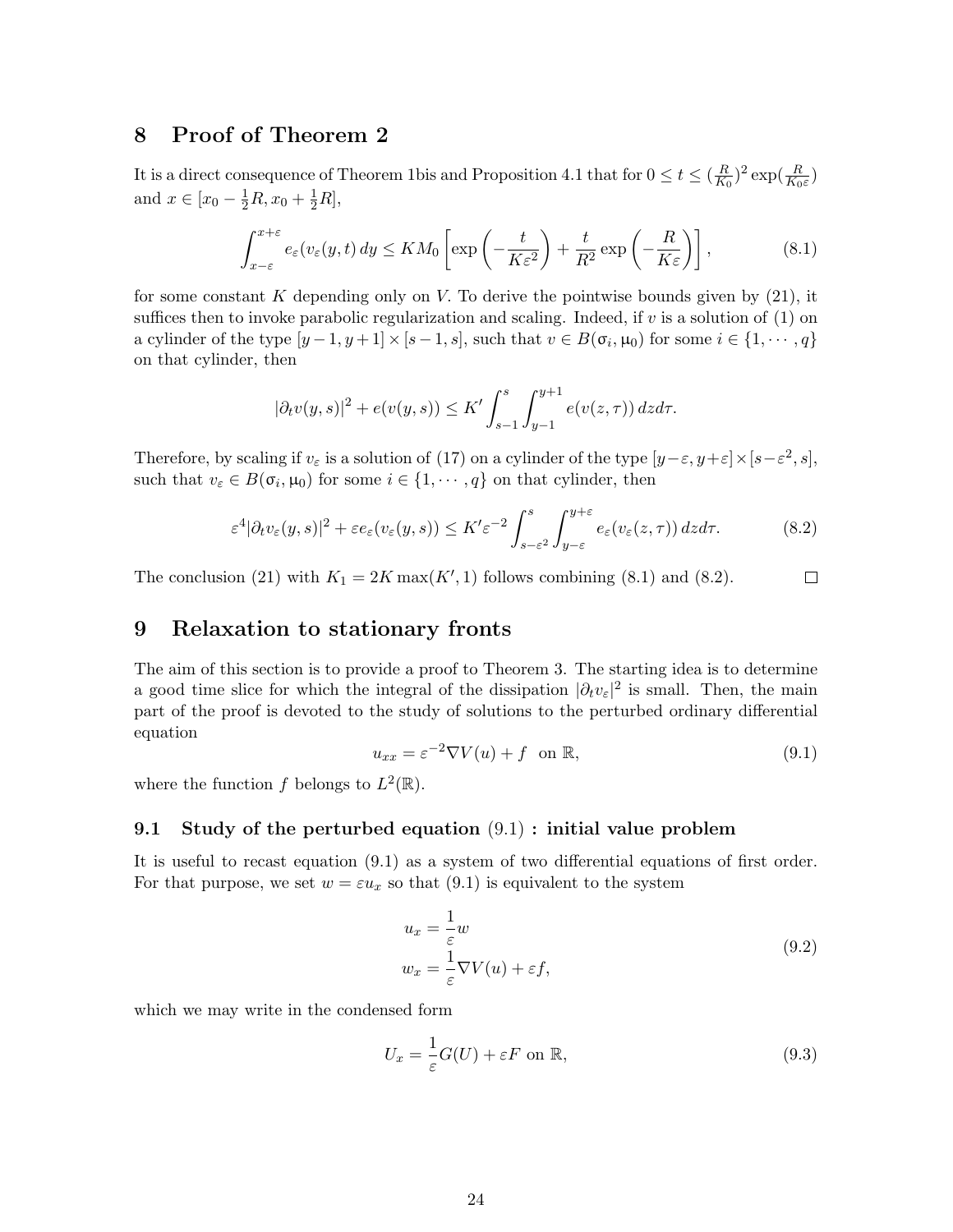# 8 Proof of Theorem 2

It is a direct consequence of Theorem 1bis and Proposition 4.1 that for  $0 \le t \le (\frac{R}{K})$  $(\frac{R}{K_0})^2 \exp(\frac{R}{K_0 \varepsilon})$ and  $x \in [x_0 - \frac{1}{2}R, x_0 + \frac{1}{2}R]$ ,

$$
\int_{x-\varepsilon}^{x+\varepsilon} e_{\varepsilon}(v_{\varepsilon}(y,t)) dy \le KM_0 \left[ \exp\left(-\frac{t}{K\varepsilon^2}\right) + \frac{t}{R^2} \exp\left(-\frac{R}{K\varepsilon}\right) \right],
$$
 (8.1)

for some constant K depending only on V. To derive the pointwise bounds given by  $(21)$ , it suffices then to invoke parabolic regularization and scaling. Indeed, if v is a solution of (1) on a cylinder of the type  $[y-1, y+1] \times [s-1, s]$ , such that  $v \in B(\sigma_i, \mu_0)$  for some  $i \in \{1, \dots, q\}$ on that cylinder, then

$$
|\partial_t v(y,s)|^2 + e(v(y,s)) \le K' \int_{s-1}^s \int_{y-1}^{y+1} e(v(z,\tau)) \, dz \, d\tau.
$$

Therefore, by scaling if  $v_{\varepsilon}$  is a solution of (17) on a cylinder of the type  $[y-\varepsilon, y+\varepsilon] \times [s-\varepsilon^2, s]$ , such that  $v_{\varepsilon} \in B(\sigma_i, \mu_0)$  for some  $i \in \{1, \dots, q\}$  on that cylinder, then

$$
\varepsilon^4 |\partial_t v_\varepsilon(y,s)|^2 + \varepsilon e_\varepsilon(v_\varepsilon(y,s)) \le K' \varepsilon^{-2} \int_{s-\varepsilon^2}^s \int_{y-\varepsilon}^{y+\varepsilon} e_\varepsilon(v_\varepsilon(z,\tau)) \, dz d\tau. \tag{8.2}
$$

The conclusion (21) with  $K_1 = 2K \max(K', 1)$  follows combining (8.1) and (8.2).  $\Box$ 

## 9 Relaxation to stationary fronts

The aim of this section is to provide a proof to Theorem 3. The starting idea is to determine a good time slice for which the integral of the dissipation  $|\partial_t v_\varepsilon|^2$  is small. Then, the main part of the proof is devoted to the study of solutions to the perturbed ordinary differential equation

$$
u_{xx} = \varepsilon^{-2} \nabla V(u) + f \quad \text{on } \mathbb{R},\tag{9.1}
$$

where the function f belongs to  $L^2(\mathbb{R})$ .

## 9.1 Study of the perturbed equation (9.1) : initial value problem

It is useful to recast equation (9.1) as a system of two differential equations of first order. For that purpose, we set  $w = \varepsilon u_x$  so that (9.1) is equivalent to the system

$$
u_x = \frac{1}{\varepsilon} w
$$
  
\n
$$
w_x = \frac{1}{\varepsilon} \nabla V(u) + \varepsilon f,
$$
\n(9.2)

which we may write in the condensed form

$$
U_x = \frac{1}{\varepsilon} G(U) + \varepsilon F \text{ on } \mathbb{R},\tag{9.3}
$$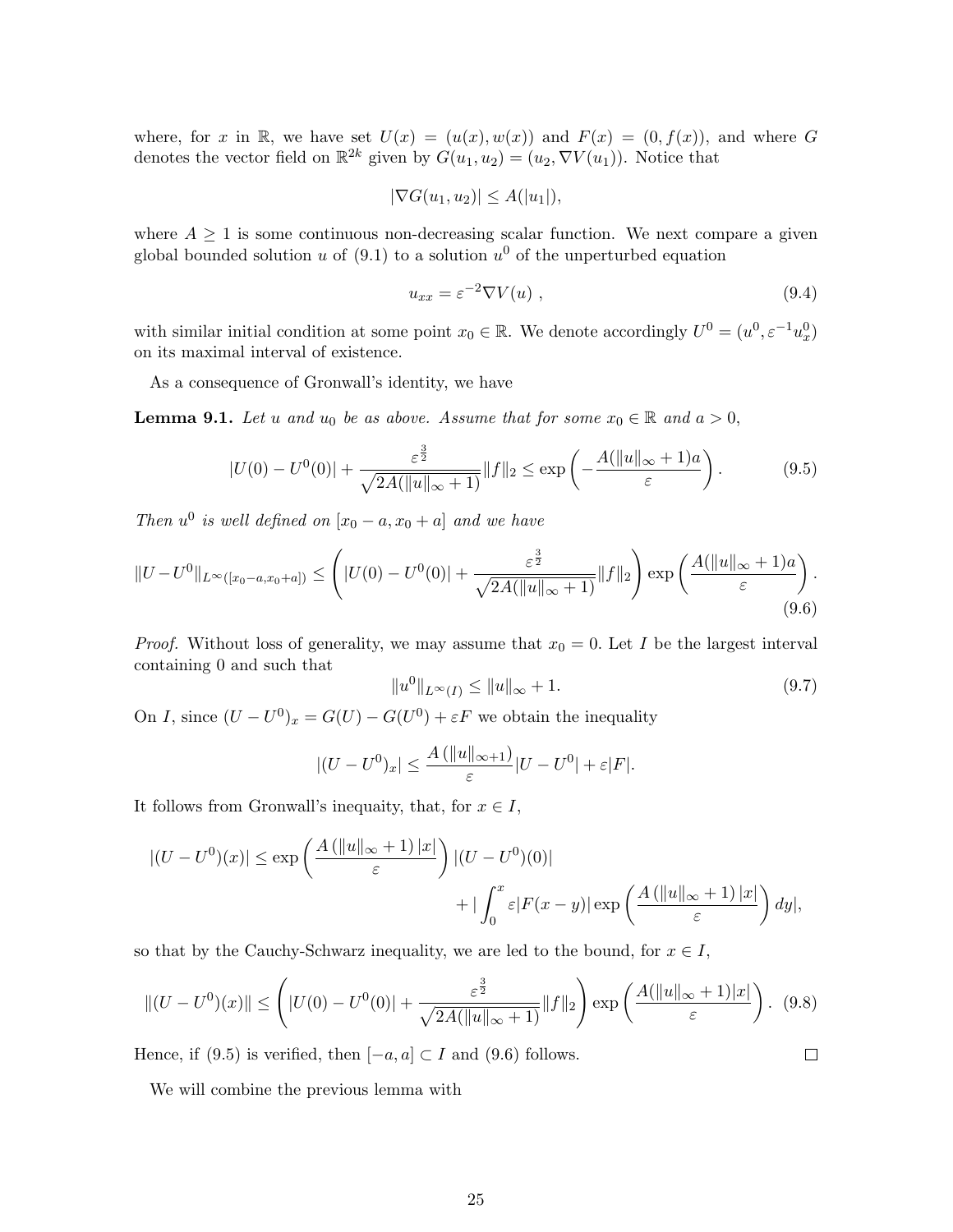where, for x in R, we have set  $U(x) = (u(x), w(x))$  and  $F(x) = (0, f(x))$ , and where G denotes the vector field on  $\mathbb{R}^{2k}$  given by  $G(u_1, u_2) = (u_2, \nabla V(u_1))$ . Notice that

$$
|\nabla G(u_1, u_2)| \le A(|u_1|),
$$

where  $A \geq 1$  is some continuous non-decreasing scalar function. We next compare a given global bounded solution u of (9.1) to a solution  $u^0$  of the unperturbed equation

$$
u_{xx} = \varepsilon^{-2} \nabla V(u) \tag{9.4}
$$

with similar initial condition at some point  $x_0 \in \mathbb{R}$ . We denote accordingly  $U^0 = (u^0, \varepsilon^{-1} u_x^0)$ on its maximal interval of existence.

As a consequence of Gronwall's identity, we have

**Lemma 9.1.** Let u and u<sub>0</sub> be as above. Assume that for some  $x_0 \in \mathbb{R}$  and  $a > 0$ ,

$$
|U(0) - U^{0}(0)| + \frac{\varepsilon^{\frac{3}{2}}}{\sqrt{2A(\|u\|_{\infty} + 1)}} \|f\|_{2} \le \exp\left(-\frac{A(\|u\|_{\infty} + 1)a}{\varepsilon}\right).
$$
 (9.5)

Then  $u^0$  is well defined on  $[x_0 - a, x_0 + a]$  and we have

$$
||U - U^{0}||_{L^{\infty}([x_0 - a, x_0 + a])} \leq \left( |U(0) - U^{0}(0)| + \frac{\varepsilon^{\frac{3}{2}}}{\sqrt{2A(||u||_{\infty} + 1)}} ||f||_2 \right) \exp\left(\frac{A(||u||_{\infty} + 1)a}{\varepsilon}\right).
$$
\n(9.6)

*Proof.* Without loss of generality, we may assume that  $x_0 = 0$ . Let I be the largest interval containing 0 and such that

$$
||u^0||_{L^{\infty}(I)} \le ||u||_{\infty} + 1.
$$
\n(9.7)

 $\Box$ 

On *I*, since  $(U - U^0)_x = G(U) - G(U^0) + \varepsilon F$  we obtain the inequality

$$
|(U - U^0)_x| \le \frac{A (||u||_{\infty+1})}{\varepsilon} |U - U^0| + \varepsilon |F|.
$$

It follows from Gronwall's inequaity, that, for  $x \in I$ ,

$$
|(U - U^0)(x)| \le \exp\left(\frac{A\left(\|u\|_{\infty} + 1\right)|x|}{\varepsilon}\right) |(U - U^0)(0)| + |\int_0^x \varepsilon |F(x - y)| \exp\left(\frac{A\left(\|u\|_{\infty} + 1\right)|x|}{\varepsilon}\right) dy|,
$$

so that by the Cauchy-Schwarz inequality, we are led to the bound, for  $x \in I$ ,

$$
||(U - U^{0})(x)|| \leq \left(|U(0) - U^{0}(0)| + \frac{\varepsilon^{\frac{3}{2}}}{\sqrt{2A(||u||_{\infty} + 1)}} ||f||_{2}\right) \exp\left(\frac{A(||u||_{\infty} + 1)|x|}{\varepsilon}\right). \tag{9.8}
$$

Hence, if (9.5) is verified, then  $[-a, a] \subset I$  and (9.6) follows.

We will combine the previous lemma with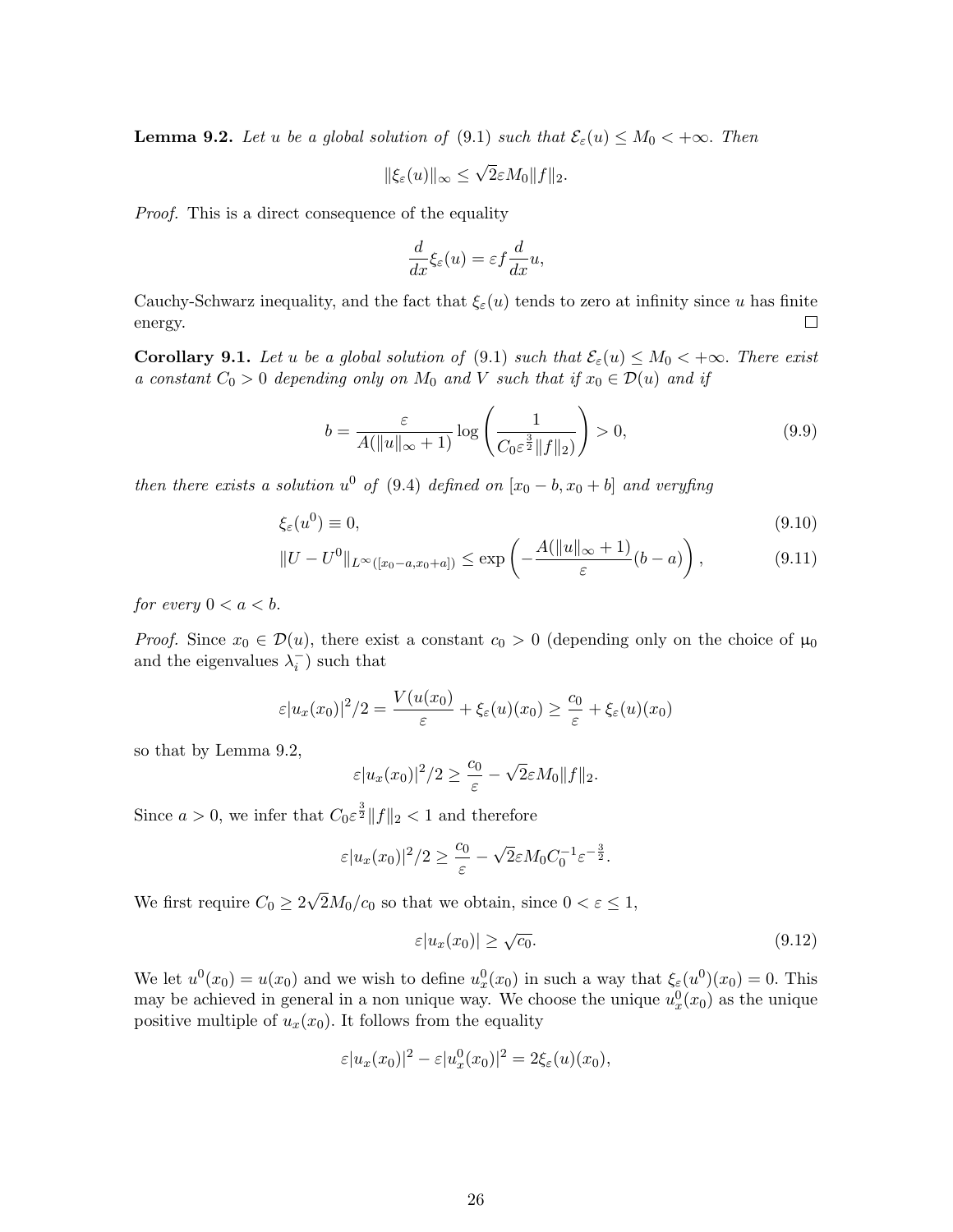**Lemma 9.2.** Let u be a global solution of (9.1) such that  $\mathcal{E}_{\varepsilon}(u) \leq M_0 < +\infty$ . Then

$$
\|\xi_{\varepsilon}(u)\|_{\infty} \leq \sqrt{2}\varepsilon M_0 \|f\|_2.
$$

Proof. This is a direct consequence of the equality

$$
\frac{d}{dx}\xi_{\varepsilon}(u) = \varepsilon f \frac{d}{dx}u,
$$

Cauchy-Schwarz inequality, and the fact that  $\xi_{\varepsilon}(u)$  tends to zero at infinity since u has finite energy.  $\Box$ 

**Corollary 9.1.** Let u be a global solution of (9.1) such that  $\mathcal{E}_{\varepsilon}(u) \leq M_0 < +\infty$ . There exist a constant  $C_0 > 0$  depending only on  $M_0$  and V such that if  $x_0 \in \mathcal{D}(u)$  and if

$$
b = \frac{\varepsilon}{A(\|u\|_{\infty} + 1)} \log \left( \frac{1}{C_0 \varepsilon^{\frac{3}{2}} \|f\|_2} \right) > 0,
$$
\n(9.9)

then there exists a solution  $u^0$  of (9.4) defined on  $[x_0 - b, x_0 + b]$  and veryfing

$$
\xi_{\varepsilon}(u^{0}) \equiv 0,\tag{9.10}
$$

$$
||U - U^{0}||_{L^{\infty}([x_0 - a, x_0 + a])} \le \exp\left(-\frac{A(||u||_{\infty} + 1)}{\varepsilon}(b - a)\right),
$$
\n(9.11)

for every  $0 < a < b$ .

*Proof.* Since  $x_0 \in \mathcal{D}(u)$ , there exist a constant  $c_0 > 0$  (depending only on the choice of  $\mu_0$ and the eigenvalues  $\lambda_i^-$ ) such that

$$
\varepsilon |u_x(x_0)|^2/2 = \frac{V(u(x_0)}{\varepsilon} + \xi_{\varepsilon}(u)(x_0) \ge \frac{c_0}{\varepsilon} + \xi_{\varepsilon}(u)(x_0)
$$

so that by Lemma 9.2,

$$
\varepsilon |u_x(x_0)|^2/2 \geq \frac{c_0}{\varepsilon} - \sqrt{2\varepsilon}M_0||f||_2.
$$

Since  $a > 0$ , we infer that  $C_0 \varepsilon^{\frac{3}{2}} ||f||_2 < 1$  and therefore

$$
\varepsilon |u_x(x_0)|^2/2 \ge \frac{c_0}{\varepsilon} - \sqrt{2}\varepsilon M_0 C_0^{-1} \varepsilon^{-\frac{3}{2}}.
$$

We first require  $C_0 \geq 2$ √  $2M_0/c_0$  so that we obtain, since  $0 < \varepsilon \leq 1$ ,

$$
\varepsilon |u_x(x_0)| \ge \sqrt{c_0}.\tag{9.12}
$$

We let  $u^0(x_0) = u(x_0)$  and we wish to define  $u_x^0(x_0)$  in such a way that  $\xi_{\varepsilon}(u^0)(x_0) = 0$ . This may be achieved in general in a non unique way. We choose the unique  $u_x^0(x_0)$  as the unique positive multiple of  $u_x(x_0)$ . It follows from the equality

$$
\varepsilon |u_x(x_0)|^2 - \varepsilon |u_x^0(x_0)|^2 = 2\xi_{\varepsilon}(u)(x_0),
$$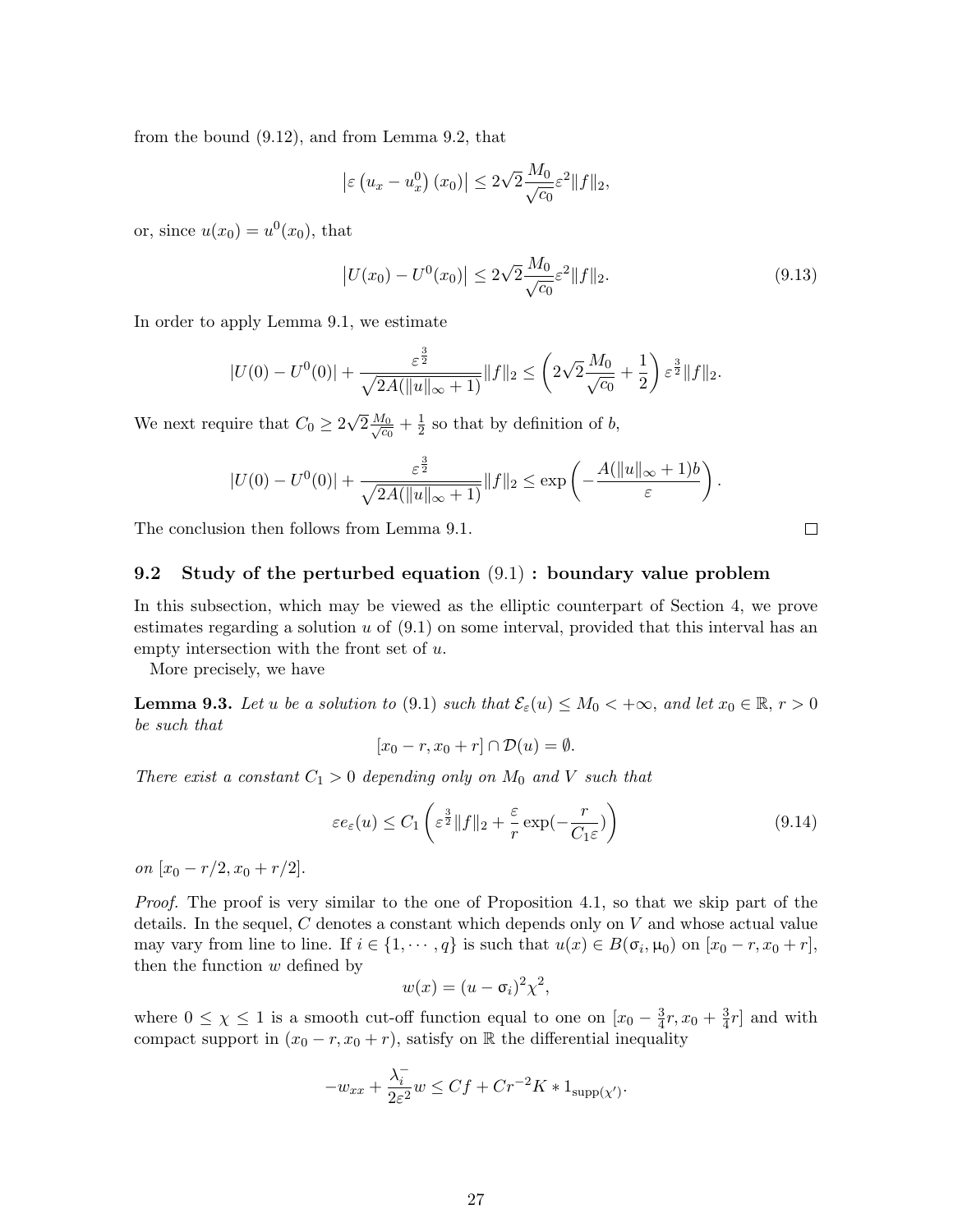from the bound (9.12), and from Lemma 9.2, that

$$
\left|\varepsilon\left(u_x - u_x^0\right)(x_0)\right| \le 2\sqrt{2} \frac{M_0}{\sqrt{c_0}} \varepsilon^2 \|f\|_2,
$$

or, since  $u(x_0) = u^0(x_0)$ , that

$$
\left| U(x_0) - U^0(x_0) \right| \le 2\sqrt{2} \frac{M_0}{\sqrt{c_0}} \varepsilon^2 \| f \|_2.
$$
\n(9.13)

In order to apply Lemma 9.1, we estimate

$$
|U(0) - U^0(0)| + \frac{\varepsilon^{\frac{3}{2}}}{\sqrt{2A(\|u\|_{\infty} + 1)}} \|f\|_2 \leq \left(2\sqrt{2}\frac{M_0}{\sqrt{c_0}} + \frac{1}{2}\right)\varepsilon^{\frac{3}{2}} \|f\|_2.
$$

We next require that  $C_0 \geq 2$ √  $\overline{2}\frac{M_0}{\sqrt{c}}$  $\frac{I_0}{c_0}+\frac{1}{2}$  $\frac{1}{2}$  so that by definition of b,

$$
|U(0) - U^0(0)| + \frac{\varepsilon^{\frac{3}{2}}}{\sqrt{2A(\|u\|_{\infty} + 1)}} \|f\|_2 \le \exp\left(-\frac{A(\|u\|_{\infty} + 1)b}{\varepsilon}\right).
$$

The conclusion then follows from Lemma 9.1.

## 9.2 Study of the perturbed equation (9.1) : boundary value problem

In this subsection, which may be viewed as the elliptic counterpart of Section 4, we prove estimates regarding a solution  $u$  of  $(9.1)$  on some interval, provided that this interval has an empty intersection with the front set of  $u$ .

More precisely, we have

**Lemma 9.3.** Let u be a solution to (9.1) such that  $\mathcal{E}_{\varepsilon}(u) \leq M_0 < +\infty$ , and let  $x_0 \in \mathbb{R}, r > 0$ be such that

$$
[x_0 - r, x_0 + r] \cap \mathcal{D}(u) = \emptyset.
$$

There exist a constant  $C_1 > 0$  depending only on  $M_0$  and V such that

$$
\varepsilon e_{\varepsilon}(u) \le C_1 \left( \varepsilon^{\frac{3}{2}} \|f\|_2 + \frac{\varepsilon}{r} \exp(-\frac{r}{C_1 \varepsilon}) \right) \tag{9.14}
$$

on  $[x_0 - r/2, x_0 + r/2].$ 

Proof. The proof is very similar to the one of Proposition 4.1, so that we skip part of the details. In the sequel,  $C$  denotes a constant which depends only on  $V$  and whose actual value may vary from line to line. If  $i \in \{1, \dots, q\}$  is such that  $u(x) \in B(\sigma_i, \mu_0)$  on  $[x_0 - r, x_0 + r]$ , then the function  $w$  defined by

$$
w(x) = (u - \sigma_i)^2 \chi^2,
$$

where  $0 \leq \chi \leq 1$  is a smooth cut-off function equal to one on  $[x_0 - \frac{3}{4}]$  $\frac{3}{4}r, x_0 + \frac{3}{4}$  $\frac{3}{4}r$  and with compact support in  $(x_0 - r, x_0 + r)$ , satisfy on R the differential inequality

$$
-w_{xx} + \frac{\lambda_i^-}{2\varepsilon^2} w \leq C f + C r^{-2} K * 1_{\text{supp}(\chi')}.
$$

 $\Box$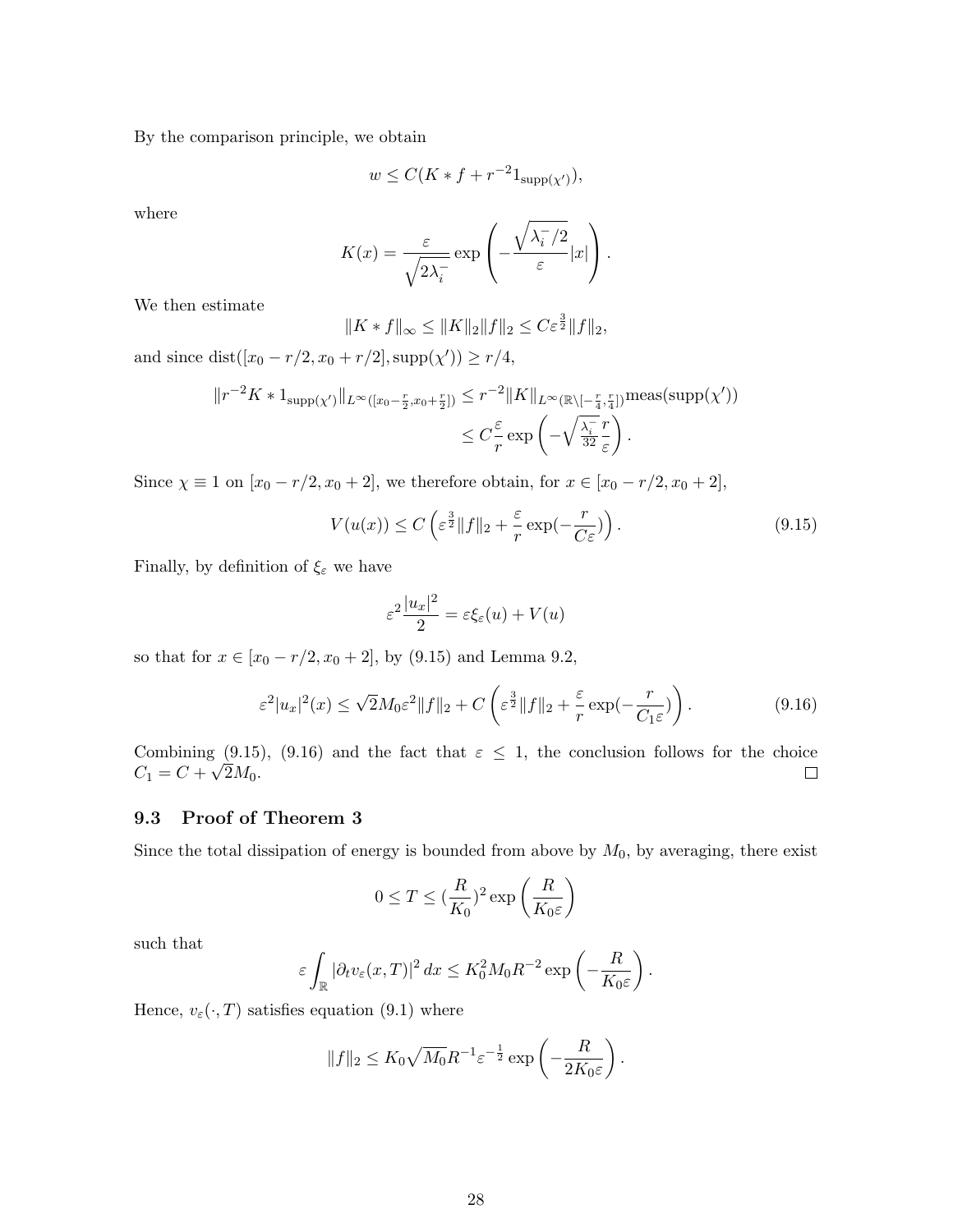By the comparison principle, we obtain

$$
w \le C(K * f + r^{-2}1_{\text{supp}(\chi')}),
$$

where

$$
K(x) = \frac{\varepsilon}{\sqrt{2\lambda_i}} \exp\left(-\frac{\sqrt{\lambda_i^-/2}}{\varepsilon}|x|\right).
$$

We then estimate

$$
||K * f||_{\infty} \le ||K||_2 ||f||_2 \le C\varepsilon^{\frac{3}{2}} ||f||_2,
$$

and since  $dist([x_0 - r/2, x_0 + r/2], supp(\chi')) \ge r/4$ ,

$$
||r^{-2}K * 1_{\text{supp}(\chi')}||_{L^{\infty}([x_0 - \frac{r}{2}, x_0 + \frac{r}{2}])} \leq r^{-2}||K||_{L^{\infty}(\mathbb{R}\setminus[-\frac{r}{4}, \frac{r}{4}])}\text{meas}(\text{supp}(\chi'))
$$
  

$$
\leq C\frac{\varepsilon}{r}\exp\left(-\sqrt{\frac{\lambda_{\overline{i}}}{{32}}\frac{r}{\varepsilon}}\right).
$$

Since  $\chi \equiv 1$  on  $[x_0 - r/2, x_0 + 2]$ , we therefore obtain, for  $x \in [x_0 - r/2, x_0 + 2]$ ,

$$
V(u(x)) \le C \left( \varepsilon^{\frac{3}{2}} \|f\|_2 + \frac{\varepsilon}{r} \exp(-\frac{r}{C\varepsilon}) \right). \tag{9.15}
$$

Finally, by definition of  $\xi_\varepsilon$  we have

$$
\varepsilon^2 \frac{|u_x|^2}{2} = \varepsilon \xi_{\varepsilon}(u) + V(u)
$$

so that for  $x \in [x_0 - r/2, x_0 + 2]$ , by (9.15) and Lemma 9.2,

$$
\varepsilon^2 |u_x|^2(x) \le \sqrt{2} M_0 \varepsilon^2 \|f\|_2 + C \left(\varepsilon^{\frac{3}{2}} \|f\|_2 + \frac{\varepsilon}{r} \exp(-\frac{r}{C_1 \varepsilon})\right). \tag{9.16}
$$

Combining (9.15), (9.16) and the fact that  $\varepsilon \leq 1$ , the conclusion follows for the choice  $C_1 = C + \sqrt{2M_0}.$  $\Box$ 

### 9.3 Proof of Theorem 3

Since the total dissipation of energy is bounded from above by  $M_0$ , by averaging, there exist

$$
0\leq T\leq (\frac{R}{K_0})^2\exp\left(\frac{R}{K_0\varepsilon}\right)
$$

such that

$$
\varepsilon \int_{\mathbb{R}} |\partial_t v_{\varepsilon}(x,T)|^2 dx \leq K_0^2 M_0 R^{-2} \exp\left(-\frac{R}{K_0 \varepsilon}\right).
$$

Hence,  $v_{\varepsilon}(\cdot, T)$  satisfies equation (9.1) where

$$
||f||_2 \leq K_0 \sqrt{M_0} R^{-1} \varepsilon^{-\frac{1}{2}} \exp\left(-\frac{R}{2K_0 \varepsilon}\right).
$$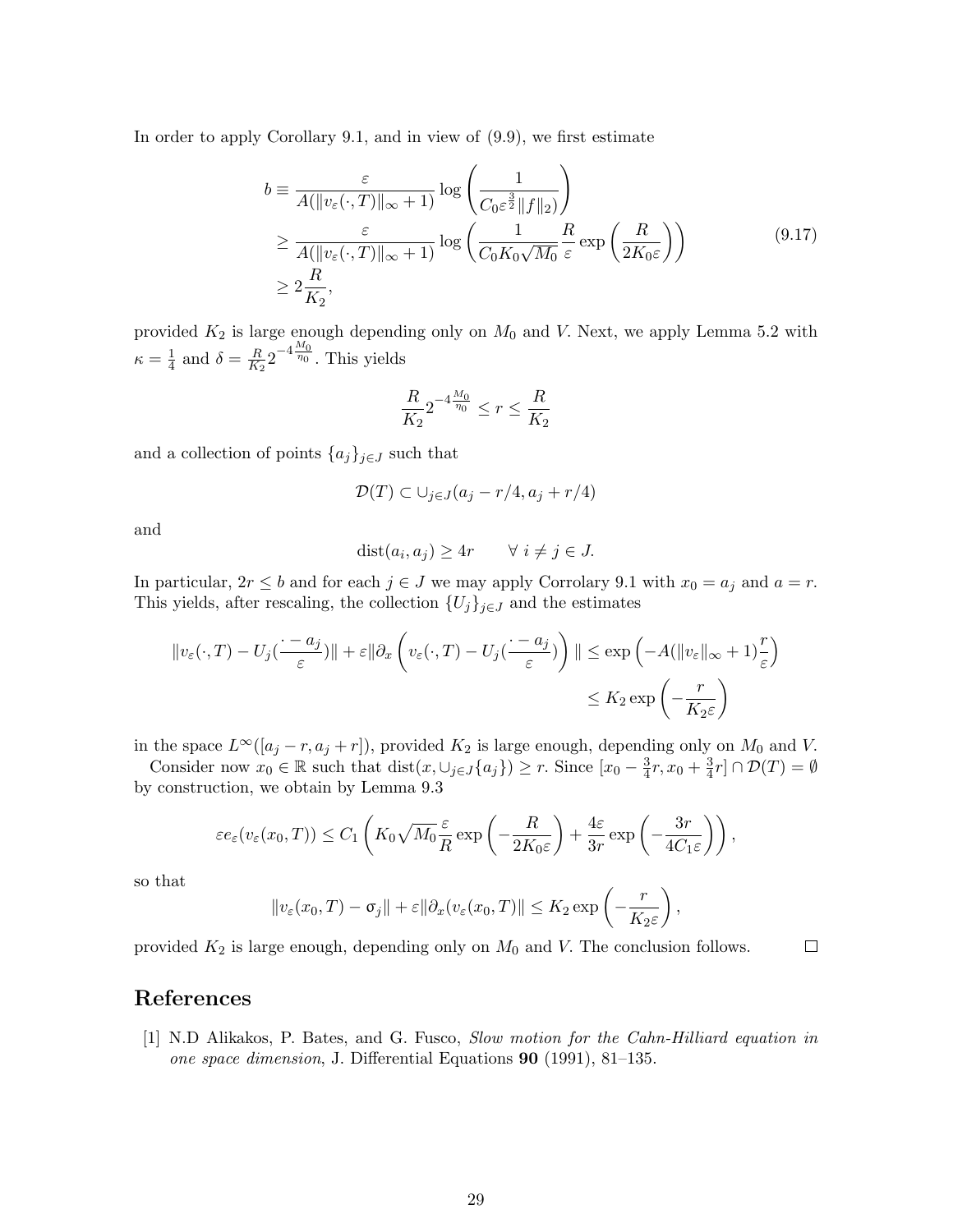In order to apply Corollary 9.1, and in view of (9.9), we first estimate

$$
b \equiv \frac{\varepsilon}{A(\|v_{\varepsilon}(\cdot,T)\|_{\infty}+1)} \log\left(\frac{1}{C_0 \varepsilon^{\frac{3}{2}} \|f\|_2}\right)
$$
  
\n
$$
\geq \frac{\varepsilon}{A(\|v_{\varepsilon}(\cdot,T)\|_{\infty}+1)} \log\left(\frac{1}{C_0 K_0 \sqrt{M_0}} \frac{R}{\varepsilon} \exp\left(\frac{R}{2K_0 \varepsilon}\right)\right)
$$
  
\n
$$
\geq 2\frac{R}{K_2},
$$
\n(9.17)

provided  $K_2$  is large enough depending only on  $M_0$  and V. Next, we apply Lemma 5.2 with  $\kappa = \frac{1}{4}$  $\frac{1}{4}$  and  $\delta = \frac{R}{K_2}$  $\frac{R}{K_2}2^{-4\frac{M_0}{\eta_0}}$ . This yields

$$
\frac{R}{K_2} 2^{-4\frac{M_0}{\eta_0}} \le r \le \frac{R}{K_2}
$$

and a collection of points  $\{a_j\}_{j\in J}$  such that

$$
\mathcal{D}(T) \subset \cup_{j \in J} (a_j - r/4, a_j + r/4)
$$

and

$$
dist(a_i, a_j) \ge 4r \qquad \forall i \ne j \in J.
$$

In particular,  $2r \leq b$  and for each  $j \in J$  we may apply Corrolary 9.1 with  $x_0 = a_j$  and  $a = r$ . This yields, after rescaling, the collection  ${U_j}_{j\in J}$  and the estimates

$$
||v_{\varepsilon}(\cdot,T) - U_j(\frac{\cdot - a_j}{\varepsilon})|| + \varepsilon ||\partial_x \left( v_{\varepsilon}(\cdot,T) - U_j(\frac{\cdot - a_j}{\varepsilon}) \right)|| \le \exp\left( -A(||v_{\varepsilon}||_{\infty} + 1)\frac{r}{\varepsilon} \right)
$$
  

$$
\le K_2 \exp\left( -\frac{r}{K_2 \varepsilon} \right)
$$

in the space  $L^{\infty}([a_j - r, a_j + r])$ , provided  $K_2$  is large enough, depending only on  $M_0$  and V.

Consider now  $x_0 \in \mathbb{R}$  such that  $dist(x, \cup_{j\in J}\{a_j\}) \geq r$ . Since  $[x_0 - \frac{3}{4}]$  $\frac{3}{4}r, x_0+\frac{3}{4}$  $\frac{3}{4}r]\cap \mathcal{D}(T)=\emptyset$ by construction, we obtain by Lemma 9.3

$$
\varepsilon e_{\varepsilon}(v_{\varepsilon}(x_0,T)) \leq C_1 \left( K_0 \sqrt{M_0} \frac{\varepsilon}{R} \exp\left(-\frac{R}{2K_0 \varepsilon}\right) + \frac{4\varepsilon}{3r} \exp\left(-\frac{3r}{4C_1 \varepsilon}\right) \right),
$$

so that

$$
||v_{\varepsilon}(x_0,T)-\sigma_j||+\varepsilon||\partial_x(v_{\varepsilon}(x_0,T)||\leq K_2\exp\left(-\frac{r}{K_2\varepsilon}\right),
$$

 $\Box$ 

provided  $K_2$  is large enough, depending only on  $M_0$  and V. The conclusion follows.

## References

[1] N.D Alikakos, P. Bates, and G. Fusco, Slow motion for the Cahn-Hilliard equation in one space dimension, J. Differential Equations 90 (1991), 81–135.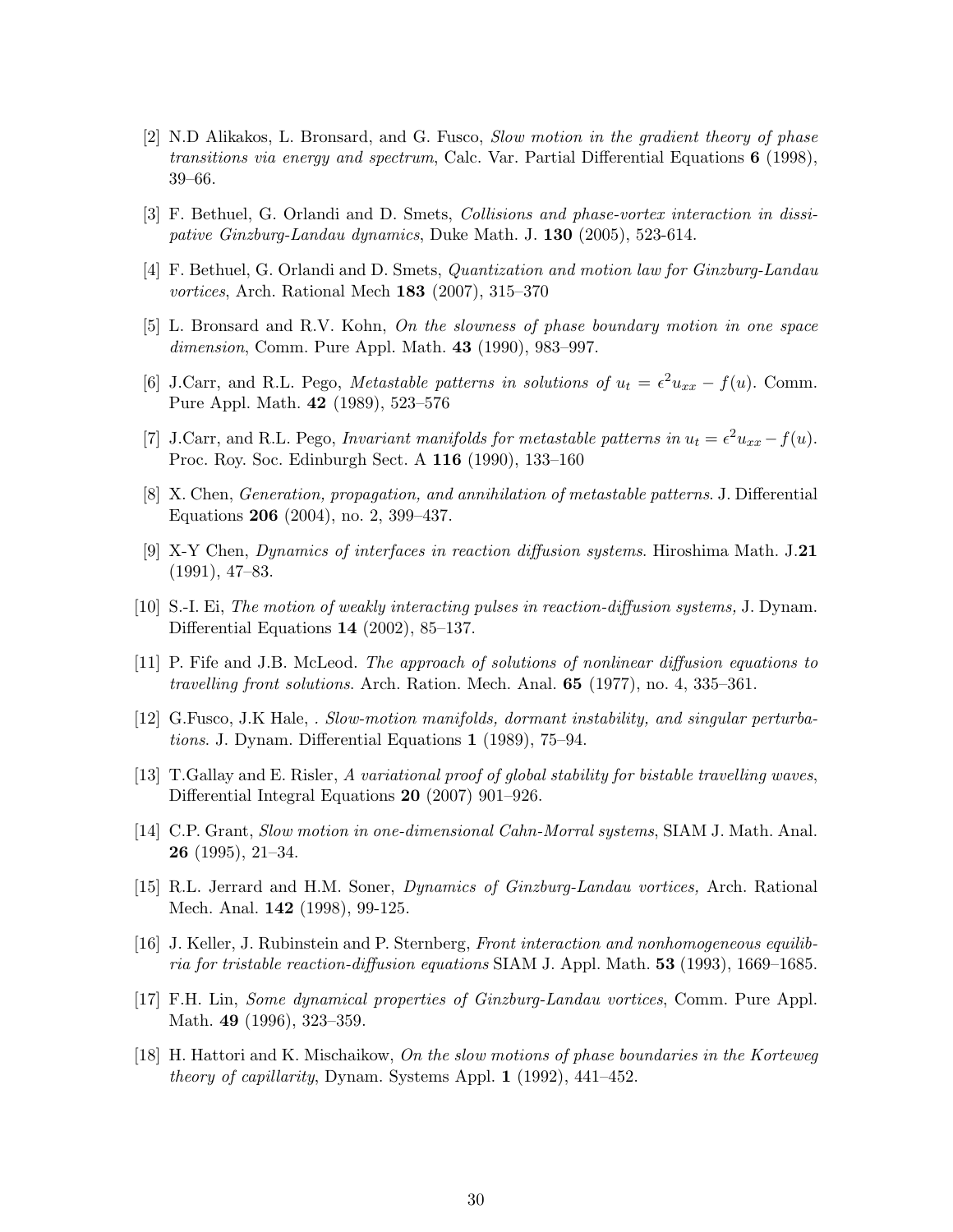- [2] N.D Alikakos, L. Bronsard, and G. Fusco, Slow motion in the gradient theory of phase transitions via energy and spectrum, Calc. Var. Partial Differential Equations  $6$  (1998), 39–66.
- [3] F. Bethuel, G. Orlandi and D. Smets, Collisions and phase-vortex interaction in dissipative Ginzburg-Landau dynamics, Duke Math. J. 130 (2005), 523-614.
- [4] F. Bethuel, G. Orlandi and D. Smets, Quantization and motion law for Ginzburg-Landau vortices, Arch. Rational Mech 183 (2007), 315–370
- [5] L. Bronsard and R.V. Kohn, On the slowness of phase boundary motion in one space dimension, Comm. Pure Appl. Math. 43 (1990), 983–997.
- [6] J.Carr, and R.L. Pego, Metastable patterns in solutions of  $u_t = \epsilon^2 u_{xx} f(u)$ . Comm. Pure Appl. Math. 42 (1989), 523–576
- [7] J.Carr, and R.L. Pego, *Invariant manifolds for metastable patterns in*  $u_t = \epsilon^2 u_{xx} f(u)$ . Proc. Roy. Soc. Edinburgh Sect. A 116 (1990), 133–160
- [8] X. Chen, Generation, propagation, and annihilation of metastable patterns. J. Differential Equations 206 (2004), no. 2, 399–437.
- [9] X-Y Chen, Dynamics of interfaces in reaction diffusion systems. Hiroshima Math. J.21 (1991), 47–83.
- [10] S.-I. Ei, The motion of weakly interacting pulses in reaction-diffusion systems, J. Dynam. Differential Equations 14 (2002), 85–137.
- [11] P. Fife and J.B. McLeod. The approach of solutions of nonlinear diffusion equations to travelling front solutions. Arch. Ration. Mech. Anal. 65 (1977), no. 4, 335–361.
- [12] G.Fusco, J.K Hale, . Slow-motion manifolds, dormant instability, and singular perturbations. J. Dynam. Differential Equations 1 (1989), 75–94.
- [13] T.Gallay and E. Risler, A variational proof of global stability for bistable travelling waves, Differential Integral Equations 20 (2007) 901–926.
- [14] C.P. Grant, Slow motion in one-dimensional Cahn-Morral systems, SIAM J. Math. Anal. 26 (1995), 21–34.
- [15] R.L. Jerrard and H.M. Soner, Dynamics of Ginzburg-Landau vortices, Arch. Rational Mech. Anal. 142 (1998), 99-125.
- [16] J. Keller, J. Rubinstein and P. Sternberg, Front interaction and nonhomogeneous equilibria for tristable reaction-diffusion equations SIAM J. Appl. Math. 53 (1993), 1669–1685.
- [17] F.H. Lin, Some dynamical properties of Ginzburg-Landau vortices, Comm. Pure Appl. Math. 49 (1996), 323–359.
- [18] H. Hattori and K. Mischaikow, On the slow motions of phase boundaries in the Korteweg theory of capillarity, Dynam. Systems Appl. 1 (1992), 441–452.